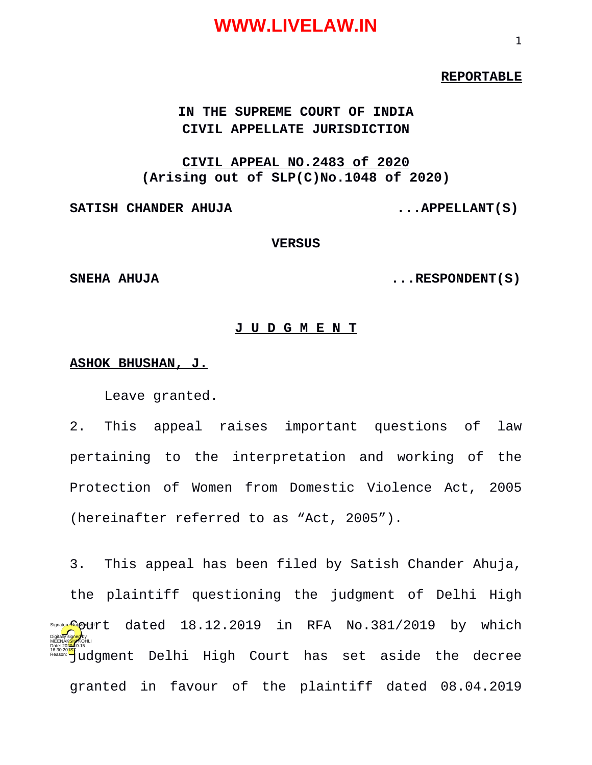#### **REPORTABLE**

#### **IN THE SUPREME COURT OF INDIA CIVIL APPELLATE JURISDICTION**

#### **CIVIL APPEAL NO.2483 of 2020 (Arising out of SLP(C)No.1048 of 2020)**

SATISH CHANDER AHUJA **...APPELLANT**(S)

#### **VERSUS**

**SNEHA AHUJA ...RESPONDENT(S)**

#### **J U D G M E N T**

#### **ASHOK BHUSHAN, J.**

Leave granted.

2. This appeal raises important questions of law pertaining to the interpretation and working of the Protection of Women from Domestic Violence Act, 2005 (hereinafter referred to as "Act, 2005").

3. This appeal has been filed by Satish Chander Ahuja, the plaintiff questioning the judgment of Delhi High s@aay<mark>e@</mark>@t#rt dated 18.12.2019 in RFA No.381/2019 by which f<sup>6:30:20</sup> Judgment Delhi High Court has set aside the decree granted in favour of the plaintiff dated 08.04.2019 Digitally signed by MEENAK<mark>SH</mark>AKOHLI Date: 2020.10.15 Reason: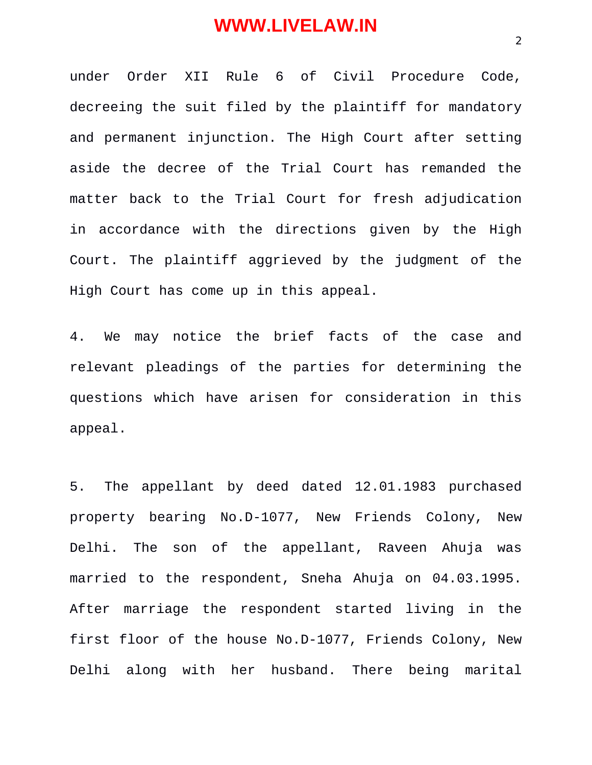under Order XII Rule 6 of Civil Procedure Code, decreeing the suit filed by the plaintiff for mandatory and permanent injunction. The High Court after setting aside the decree of the Trial Court has remanded the matter back to the Trial Court for fresh adjudication in accordance with the directions given by the High Court. The plaintiff aggrieved by the judgment of the High Court has come up in this appeal.

4. We may notice the brief facts of the case and relevant pleadings of the parties for determining the questions which have arisen for consideration in this appeal.

5. The appellant by deed dated 12.01.1983 purchased property bearing No.D-1077, New Friends Colony, New Delhi. The son of the appellant, Raveen Ahuja was married to the respondent, Sneha Ahuja on 04.03.1995. After marriage the respondent started living in the first floor of the house No.D-1077, Friends Colony, New Delhi along with her husband. There being marital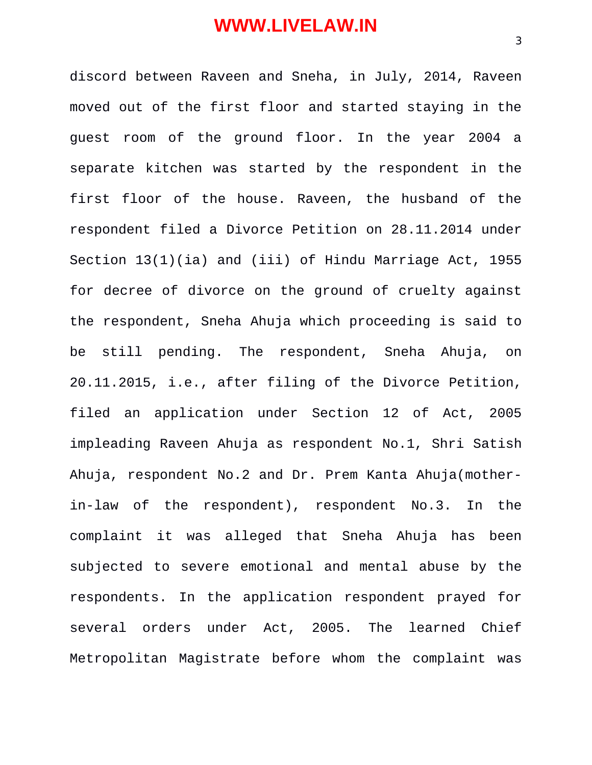discord between Raveen and Sneha, in July, 2014, Raveen moved out of the first floor and started staying in the guest room of the ground floor. In the year 2004 a separate kitchen was started by the respondent in the first floor of the house. Raveen, the husband of the respondent filed a Divorce Petition on 28.11.2014 under Section 13(1)(ia) and (iii) of Hindu Marriage Act, 1955 for decree of divorce on the ground of cruelty against the respondent, Sneha Ahuja which proceeding is said to be still pending. The respondent, Sneha Ahuja, on 20.11.2015, i.e., after filing of the Divorce Petition, filed an application under Section 12 of Act, 2005 impleading Raveen Ahuja as respondent No.1, Shri Satish Ahuja, respondent No.2 and Dr. Prem Kanta Ahuja(motherin-law of the respondent), respondent No.3. In the complaint it was alleged that Sneha Ahuja has been subjected to severe emotional and mental abuse by the respondents. In the application respondent prayed for several orders under Act, 2005. The learned Chief Metropolitan Magistrate before whom the complaint was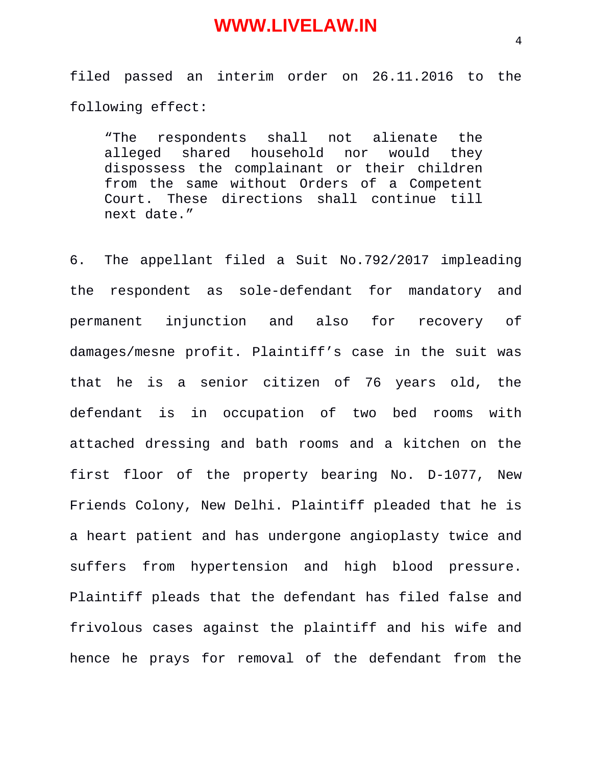filed passed an interim order on 26.11.2016 to the following effect:

"The respondents shall not alienate the alleged shared household nor would they dispossess the complainant or their children from the same without Orders of a Competent Court. These directions shall continue till next date."

6. The appellant filed a Suit No.792/2017 impleading the respondent as sole-defendant for mandatory and permanent injunction and also for recovery of damages/mesne profit. Plaintiff's case in the suit was that he is a senior citizen of 76 years old, the defendant is in occupation of two bed rooms with attached dressing and bath rooms and a kitchen on the first floor of the property bearing No. D-1077, New Friends Colony, New Delhi. Plaintiff pleaded that he is a heart patient and has undergone angioplasty twice and suffers from hypertension and high blood pressure. Plaintiff pleads that the defendant has filed false and frivolous cases against the plaintiff and his wife and hence he prays for removal of the defendant from the

4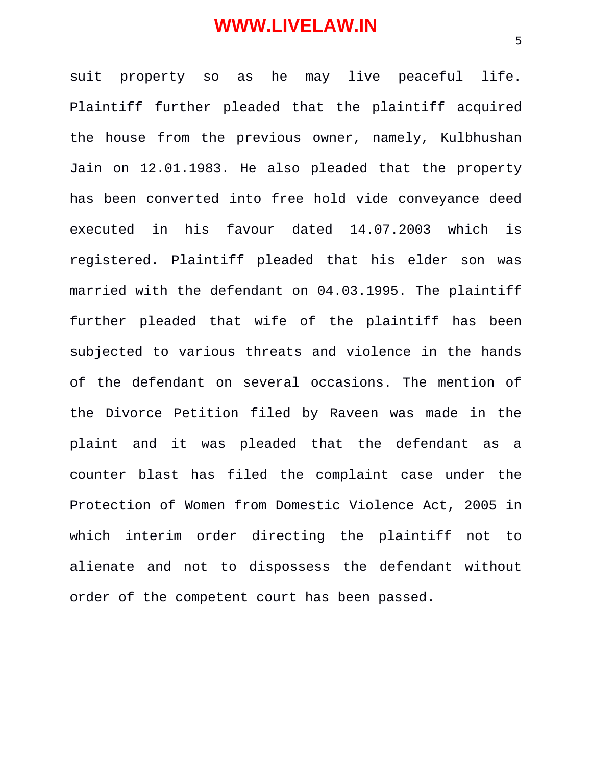suit property so as he may live peaceful life. Plaintiff further pleaded that the plaintiff acquired the house from the previous owner, namely, Kulbhushan Jain on 12.01.1983. He also pleaded that the property has been converted into free hold vide conveyance deed executed in his favour dated 14.07.2003 which is registered. Plaintiff pleaded that his elder son was married with the defendant on 04.03.1995. The plaintiff further pleaded that wife of the plaintiff has been subjected to various threats and violence in the hands of the defendant on several occasions. The mention of the Divorce Petition filed by Raveen was made in the plaint and it was pleaded that the defendant as a counter blast has filed the complaint case under the Protection of Women from Domestic Violence Act, 2005 in which interim order directing the plaintiff not to alienate and not to dispossess the defendant without order of the competent court has been passed.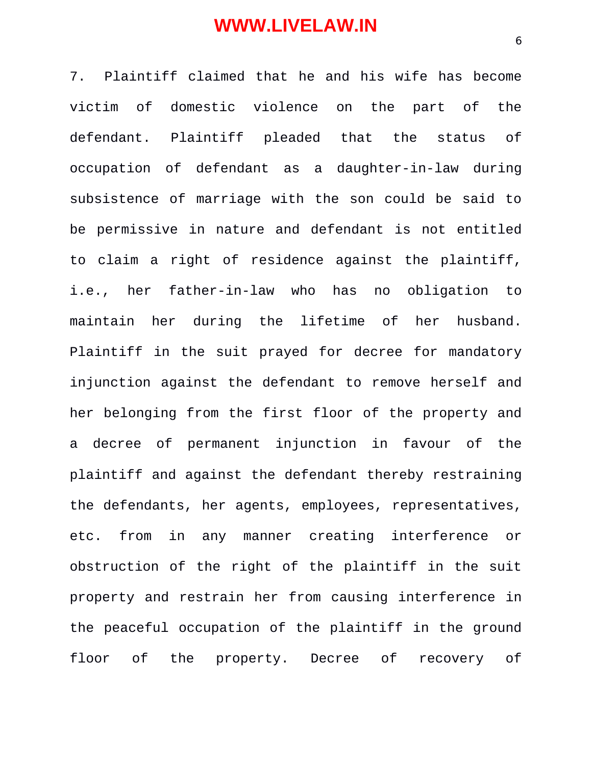7. Plaintiff claimed that he and his wife has become victim of domestic violence on the part of the defendant. Plaintiff pleaded that the status of occupation of defendant as a daughter-in-law during subsistence of marriage with the son could be said to be permissive in nature and defendant is not entitled to claim a right of residence against the plaintiff, i.e., her father-in-law who has no obligation to maintain her during the lifetime of her husband. Plaintiff in the suit prayed for decree for mandatory injunction against the defendant to remove herself and her belonging from the first floor of the property and a decree of permanent injunction in favour of the plaintiff and against the defendant thereby restraining the defendants, her agents, employees, representatives, etc. from in any manner creating interference or obstruction of the right of the plaintiff in the suit property and restrain her from causing interference in the peaceful occupation of the plaintiff in the ground floor of the property. Decree of recovery of

6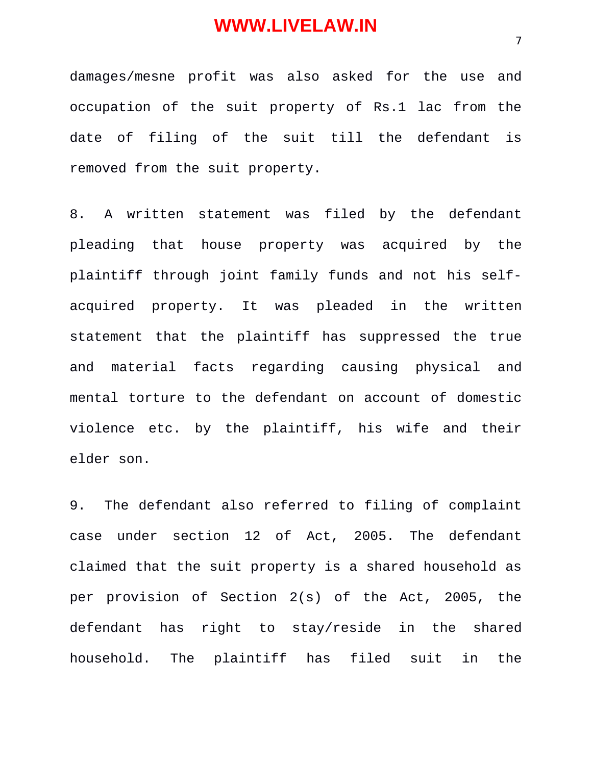damages/mesne profit was also asked for the use and occupation of the suit property of Rs.1 lac from the date of filing of the suit till the defendant is removed from the suit property.

8. A written statement was filed by the defendant pleading that house property was acquired by the plaintiff through joint family funds and not his selfacquired property. It was pleaded in the written statement that the plaintiff has suppressed the true and material facts regarding causing physical and mental torture to the defendant on account of domestic violence etc. by the plaintiff, his wife and their elder son.

9. The defendant also referred to filing of complaint case under section 12 of Act, 2005. The defendant claimed that the suit property is a shared household as per provision of Section 2(s) of the Act, 2005, the defendant has right to stay/reside in the shared household. The plaintiff has filed suit in the

7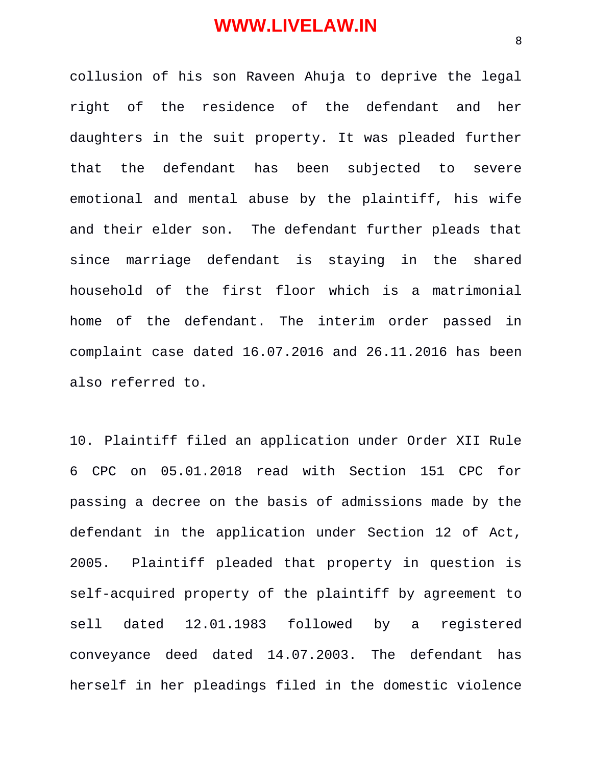collusion of his son Raveen Ahuja to deprive the legal right of the residence of the defendant and her daughters in the suit property. It was pleaded further that the defendant has been subjected to severe emotional and mental abuse by the plaintiff, his wife and their elder son. The defendant further pleads that since marriage defendant is staying in the shared household of the first floor which is a matrimonial home of the defendant. The interim order passed in complaint case dated 16.07.2016 and 26.11.2016 has been also referred to.

10. Plaintiff filed an application under Order XII Rule 6 CPC on 05.01.2018 read with Section 151 CPC for passing a decree on the basis of admissions made by the defendant in the application under Section 12 of Act, 2005. Plaintiff pleaded that property in question is self-acquired property of the plaintiff by agreement to sell dated 12.01.1983 followed by a registered conveyance deed dated 14.07.2003. The defendant has herself in her pleadings filed in the domestic violence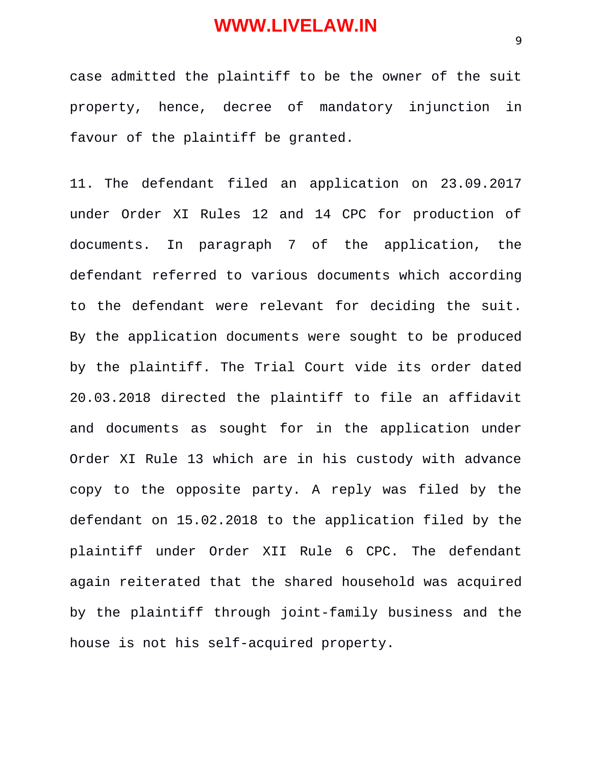case admitted the plaintiff to be the owner of the suit property, hence, decree of mandatory injunction in favour of the plaintiff be granted.

11. The defendant filed an application on 23.09.2017 under Order XI Rules 12 and 14 CPC for production of documents. In paragraph 7 of the application, the defendant referred to various documents which according to the defendant were relevant for deciding the suit. By the application documents were sought to be produced by the plaintiff. The Trial Court vide its order dated 20.03.2018 directed the plaintiff to file an affidavit and documents as sought for in the application under Order XI Rule 13 which are in his custody with advance copy to the opposite party. A reply was filed by the defendant on 15.02.2018 to the application filed by the plaintiff under Order XII Rule 6 CPC. The defendant again reiterated that the shared household was acquired by the plaintiff through joint-family business and the house is not his self-acquired property.

9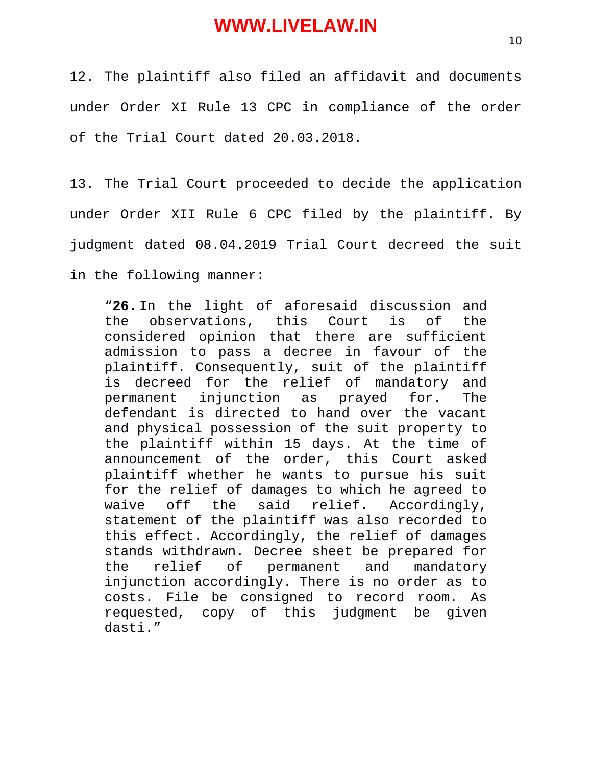12. The plaintiff also filed an affidavit and documents under Order XI Rule 13 CPC in compliance of the order of the Trial Court dated 20.03.2018.

13. The Trial Court proceeded to decide the application under Order XII Rule 6 CPC filed by the plaintiff. By judgment dated 08.04.2019 Trial Court decreed the suit in the following manner:

"**26.** In the light of aforesaid discussion and the observations, this Court is of the considered opinion that there are sufficient admission to pass a decree in favour of the plaintiff. Consequently, suit of the plaintiff is decreed for the relief of mandatory and permanent injunction as prayed for. The defendant is directed to hand over the vacant and physical possession of the suit property to the plaintiff within 15 days. At the time of announcement of the order, this Court asked plaintiff whether he wants to pursue his suit for the relief of damages to which he agreed to waive off the said relief. Accordingly, statement of the plaintiff was also recorded to this effect. Accordingly, the relief of damages stands withdrawn. Decree sheet be prepared for the relief of permanent and mandatory injunction accordingly. There is no order as to costs. File be consigned to record room. As requested, copy of this judgment be given dasti."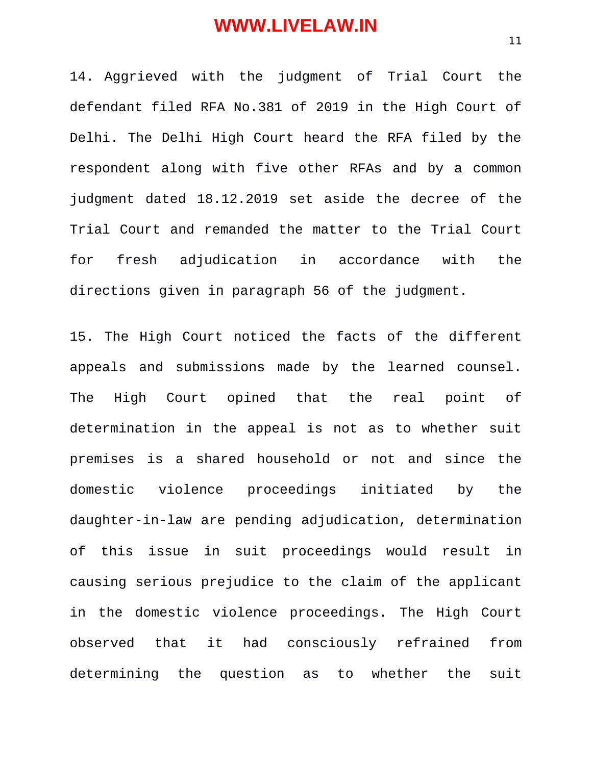14. Aggrieved with the judgment of Trial Court the defendant filed RFA No.381 of 2019 in the High Court of Delhi. The Delhi High Court heard the RFA filed by the respondent along with five other RFAs and by a common judgment dated 18.12.2019 set aside the decree of the Trial Court and remanded the matter to the Trial Court for fresh adjudication in accordance with the directions given in paragraph 56 of the judgment.

15. The High Court noticed the facts of the different appeals and submissions made by the learned counsel. The High Court opined that the real point of determination in the appeal is not as to whether suit premises is a shared household or not and since the domestic violence proceedings initiated by the daughter-in-law are pending adjudication, determination of this issue in suit proceedings would result in causing serious prejudice to the claim of the applicant in the domestic violence proceedings. The High Court observed that it had consciously refrained from determining the question as to whether the suit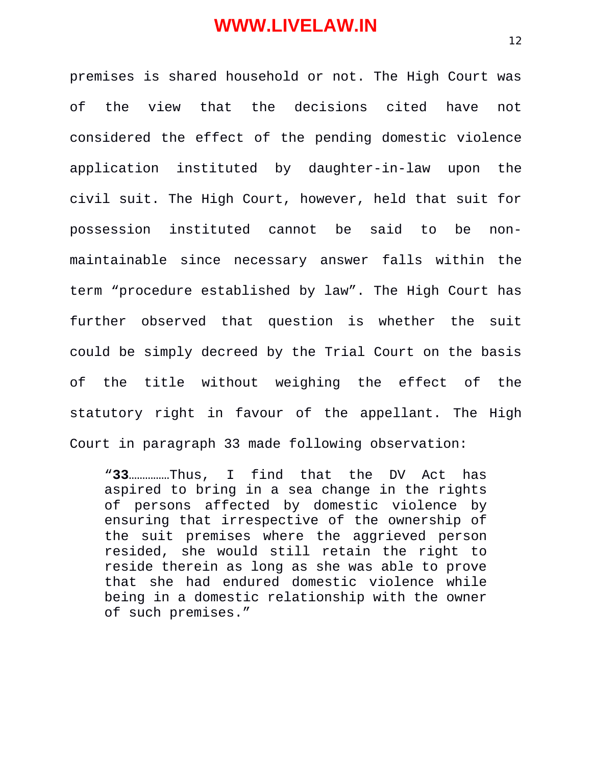premises is shared household or not. The High Court was of the view that the decisions cited have not considered the effect of the pending domestic violence application instituted by daughter-in-law upon the civil suit. The High Court, however, held that suit for possession instituted cannot be said to be nonmaintainable since necessary answer falls within the term "procedure established by law". The High Court has further observed that question is whether the suit could be simply decreed by the Trial Court on the basis of the title without weighing the effect of the statutory right in favour of the appellant. The High Court in paragraph 33 made following observation:

"**33**……………Thus, I find that the DV Act has aspired to bring in a sea change in the rights of persons affected by domestic violence by ensuring that irrespective of the ownership of the suit premises where the aggrieved person resided, she would still retain the right to reside therein as long as she was able to prove that she had endured domestic violence while being in a domestic relationship with the owner of such premises."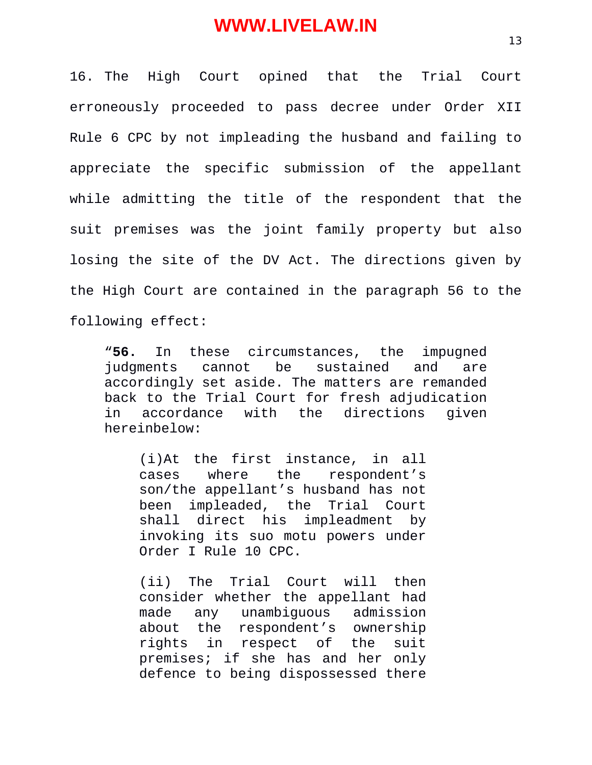16. The High Court opined that the Trial Court erroneously proceeded to pass decree under Order XII Rule 6 CPC by not impleading the husband and failing to appreciate the specific submission of the appellant while admitting the title of the respondent that the suit premises was the joint family property but also losing the site of the DV Act. The directions given by the High Court are contained in the paragraph 56 to the following effect:

"**56.** In these circumstances, the impugned judgments cannot be sustained and are accordingly set aside. The matters are remanded back to the Trial Court for fresh adjudication in accordance with the directions given hereinbelow:

(i)At the first instance, in all cases where the respondent's son/the appellant's husband has not<br>been impleaded, the Trial Court been impleaded, the Trial Court shall direct his impleadment by invoking its suo motu powers under Order I Rule 10 CPC.

(ii) The Trial Court will then consider whether the appellant had made any unambiguous admission about the respondent's ownership rights in respect of the suit premises; if she has and her only defence to being dispossessed there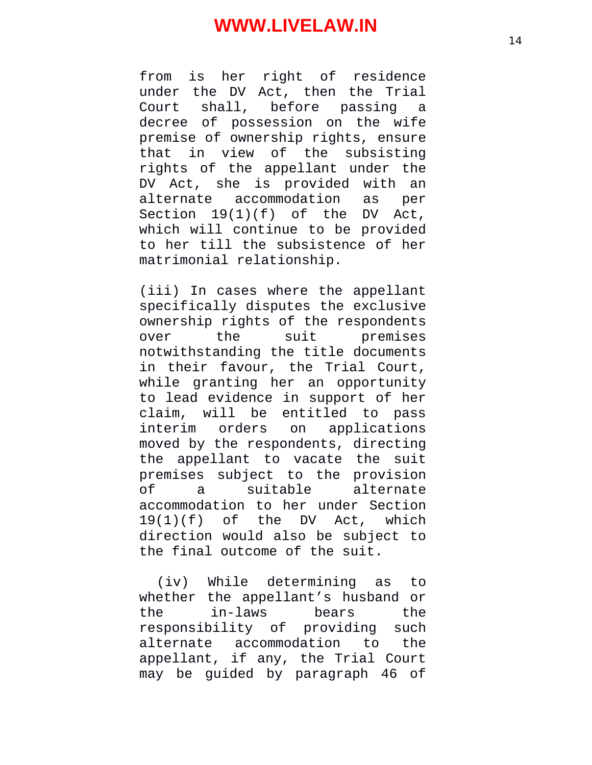from is her right of residence under the DV Act, then the Trial Court shall, before passing a decree of possession on the wife premise of ownership rights, ensure that in view of the subsisting rights of the appellant under the DV Act, she is provided with an alternate accommodation as per Section 19(1)(f) of the DV Act, which will continue to be provided to her till the subsistence of her matrimonial relationship.

(iii) In cases where the appellant specifically disputes the exclusive ownership rights of the respondents over the suit premises notwithstanding the title documents in their favour, the Trial Court, while granting her an opportunity to lead evidence in support of her claim, will be entitled to pass interim orders on applications moved by the respondents, directing the appellant to vacate the suit premises subject to the provision of a suitable accommodation to her under Section 19(1)(f) of the DV Act, which direction would also be subject to the final outcome of the suit.

(iv) While determining as to whether the appellant's husband or the in-laws bears the responsibility of providing such alternate accommodation to the appellant, if any, the Trial Court may be guided by paragraph 46 of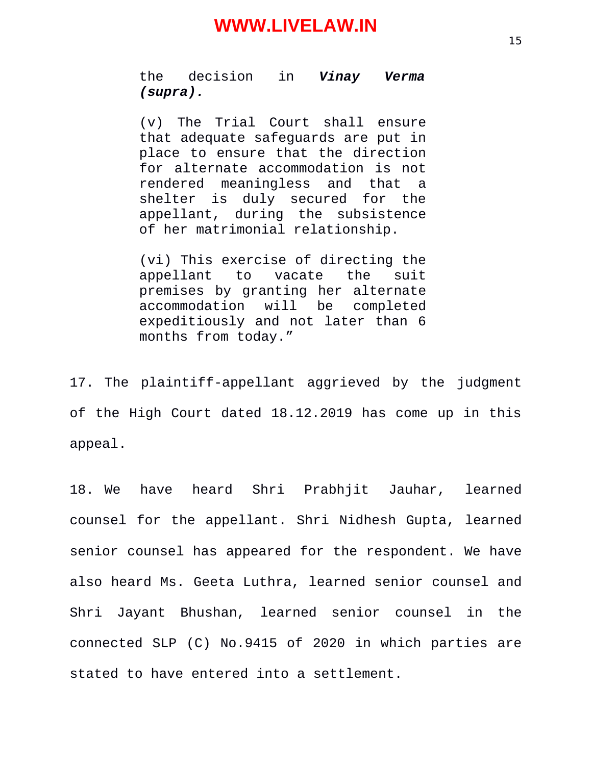the decision in *Vinay Verma (supra).*

(v) The Trial Court shall ensure that adequate safeguards are put in place to ensure that the direction for alternate accommodation is not rendered meaningless and that a shelter is duly secured for the appellant, during the subsistence of her matrimonial relationship.

(vi) This exercise of directing the appellant to vacate the suit premises by granting her alternate accommodation will be completed expeditiously and not later than 6 months from today."

17. The plaintiff-appellant aggrieved by the judgment of the High Court dated 18.12.2019 has come up in this appeal.

18. We have heard Shri Prabhjit Jauhar, learned counsel for the appellant. Shri Nidhesh Gupta, learned senior counsel has appeared for the respondent. We have also heard Ms. Geeta Luthra, learned senior counsel and Shri Jayant Bhushan, learned senior counsel in the connected SLP (C) No.9415 of 2020 in which parties are stated to have entered into a settlement.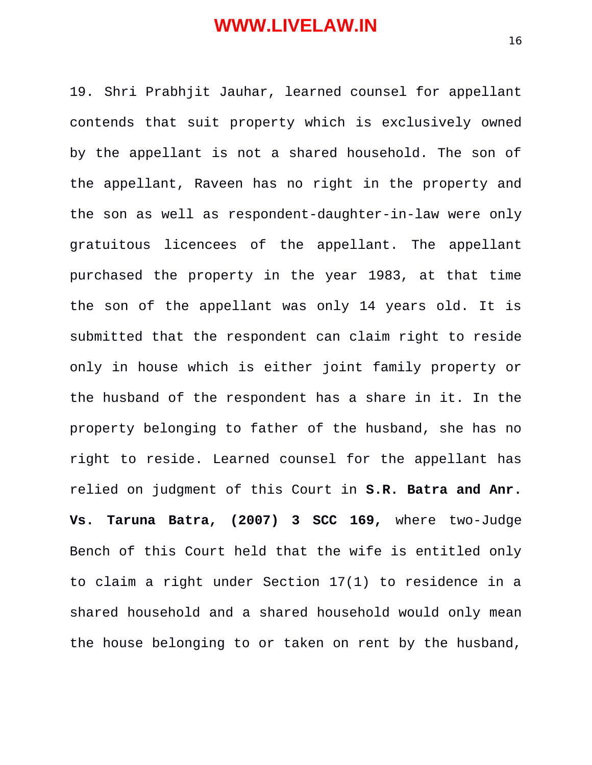19. Shri Prabhjit Jauhar, learned counsel for appellant contends that suit property which is exclusively owned by the appellant is not a shared household. The son of the appellant, Raveen has no right in the property and the son as well as respondent-daughter-in-law were only gratuitous licencees of the appellant. The appellant purchased the property in the year 1983, at that time the son of the appellant was only 14 years old. It is submitted that the respondent can claim right to reside only in house which is either joint family property or the husband of the respondent has a share in it. In the property belonging to father of the husband, she has no right to reside. Learned counsel for the appellant has relied on judgment of this Court in **S.R. Batra and Anr. Vs. Taruna Batra, (2007) 3 SCC 169,** where two-Judge Bench of this Court held that the wife is entitled only to claim a right under Section 17(1) to residence in a shared household and a shared household would only mean the house belonging to or taken on rent by the husband,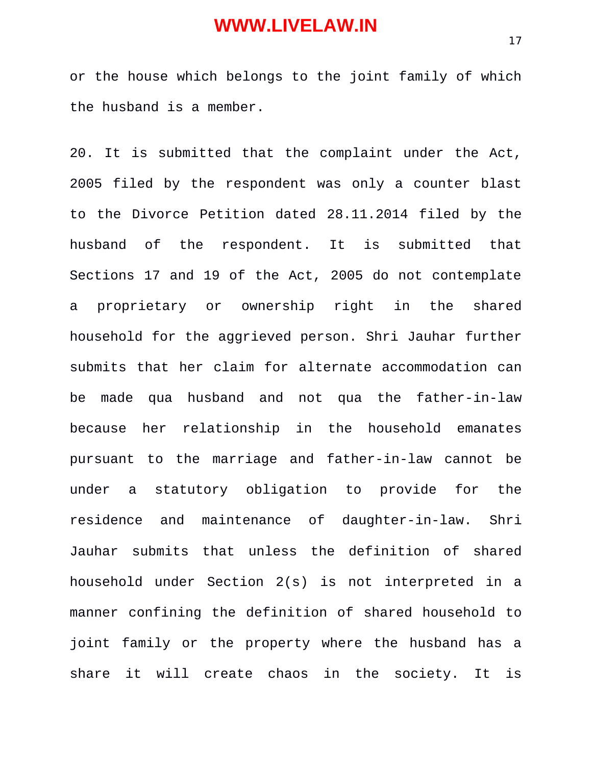or the house which belongs to the joint family of which the husband is a member.

20. It is submitted that the complaint under the Act, 2005 filed by the respondent was only a counter blast to the Divorce Petition dated 28.11.2014 filed by the husband of the respondent. It is submitted that Sections 17 and 19 of the Act, 2005 do not contemplate a proprietary or ownership right in the shared household for the aggrieved person. Shri Jauhar further submits that her claim for alternate accommodation can be made qua husband and not qua the father-in-law because her relationship in the household emanates pursuant to the marriage and father-in-law cannot be under a statutory obligation to provide for the residence and maintenance of daughter-in-law. Shri Jauhar submits that unless the definition of shared household under Section 2(s) is not interpreted in a manner confining the definition of shared household to joint family or the property where the husband has a share it will create chaos in the society. It is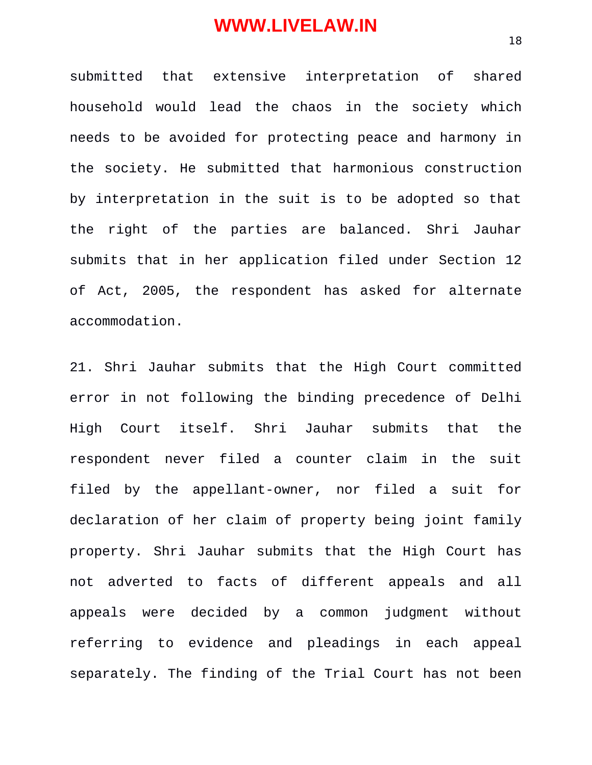submitted that extensive interpretation of shared household would lead the chaos in the society which needs to be avoided for protecting peace and harmony in the society. He submitted that harmonious construction by interpretation in the suit is to be adopted so that the right of the parties are balanced. Shri Jauhar submits that in her application filed under Section 12 of Act, 2005, the respondent has asked for alternate accommodation.

21. Shri Jauhar submits that the High Court committed error in not following the binding precedence of Delhi High Court itself. Shri Jauhar submits that the respondent never filed a counter claim in the suit filed by the appellant-owner, nor filed a suit for declaration of her claim of property being joint family property. Shri Jauhar submits that the High Court has not adverted to facts of different appeals and all appeals were decided by a common judgment without referring to evidence and pleadings in each appeal separately. The finding of the Trial Court has not been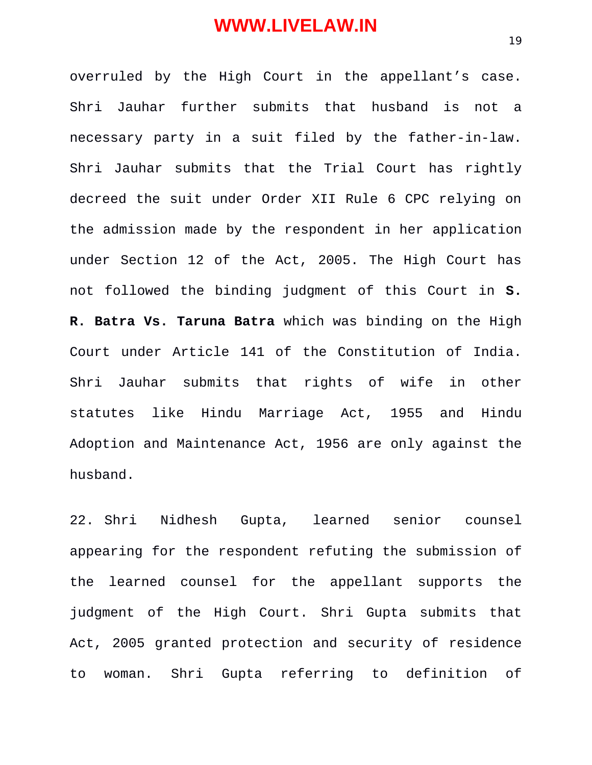overruled by the High Court in the appellant's case. Shri Jauhar further submits that husband is not a necessary party in a suit filed by the father-in-law. Shri Jauhar submits that the Trial Court has rightly decreed the suit under Order XII Rule 6 CPC relying on the admission made by the respondent in her application under Section 12 of the Act, 2005. The High Court has not followed the binding judgment of this Court in **S. R. Batra Vs. Taruna Batra** which was binding on the High Court under Article 141 of the Constitution of India. Shri Jauhar submits that rights of wife in other statutes like Hindu Marriage Act, 1955 and Hindu Adoption and Maintenance Act, 1956 are only against the husband.

22. Shri Nidhesh Gupta, learned senior counsel appearing for the respondent refuting the submission of the learned counsel for the appellant supports the judgment of the High Court. Shri Gupta submits that Act, 2005 granted protection and security of residence to woman. Shri Gupta referring to definition of

19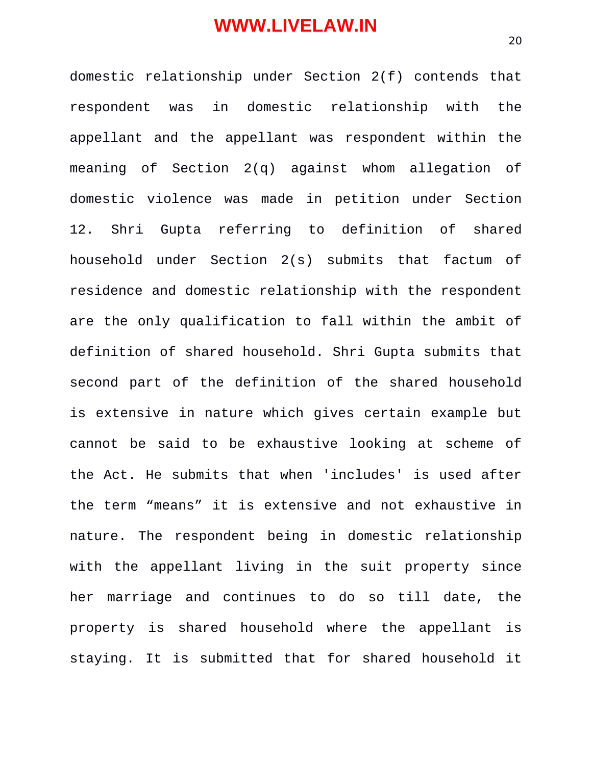domestic relationship under Section 2(f) contends that respondent was in domestic relationship with the appellant and the appellant was respondent within the meaning of Section 2(q) against whom allegation of domestic violence was made in petition under Section 12. Shri Gupta referring to definition of shared household under Section 2(s) submits that factum of residence and domestic relationship with the respondent are the only qualification to fall within the ambit of definition of shared household. Shri Gupta submits that second part of the definition of the shared household is extensive in nature which gives certain example but cannot be said to be exhaustive looking at scheme of the Act. He submits that when 'includes' is used after the term "means" it is extensive and not exhaustive in nature. The respondent being in domestic relationship with the appellant living in the suit property since her marriage and continues to do so till date, the property is shared household where the appellant is staying. It is submitted that for shared household it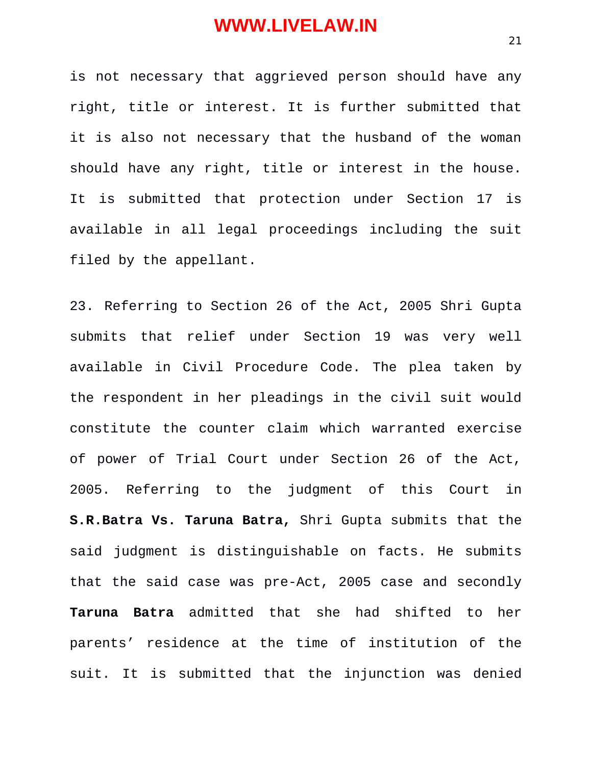is not necessary that aggrieved person should have any right, title or interest. It is further submitted that it is also not necessary that the husband of the woman should have any right, title or interest in the house. It is submitted that protection under Section 17 is available in all legal proceedings including the suit filed by the appellant.

23. Referring to Section 26 of the Act, 2005 Shri Gupta submits that relief under Section 19 was very well available in Civil Procedure Code. The plea taken by the respondent in her pleadings in the civil suit would constitute the counter claim which warranted exercise of power of Trial Court under Section 26 of the Act, 2005. Referring to the judgment of this Court in **S.R.Batra Vs. Taruna Batra,** Shri Gupta submits that the said judgment is distinguishable on facts. He submits that the said case was pre-Act, 2005 case and secondly **Taruna Batra** admitted that she had shifted to her parents' residence at the time of institution of the suit. It is submitted that the injunction was denied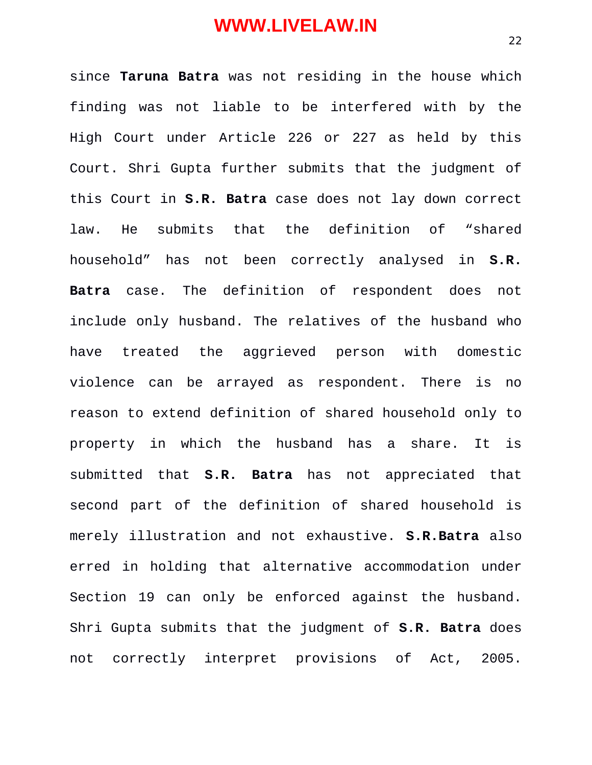since **Taruna Batra** was not residing in the house which finding was not liable to be interfered with by the High Court under Article 226 or 227 as held by this Court. Shri Gupta further submits that the judgment of this Court in **S.R. Batra** case does not lay down correct law. He submits that the definition of "shared household" has not been correctly analysed in **S.R. Batra** case. The definition of respondent does not include only husband. The relatives of the husband who have treated the aggrieved person with domestic violence can be arrayed as respondent. There is no reason to extend definition of shared household only to property in which the husband has a share. It is submitted that **S.R. Batra** has not appreciated that second part of the definition of shared household is merely illustration and not exhaustive. **S.R.Batra** also erred in holding that alternative accommodation under Section 19 can only be enforced against the husband. Shri Gupta submits that the judgment of **S.R. Batra** does not correctly interpret provisions of Act, 2005.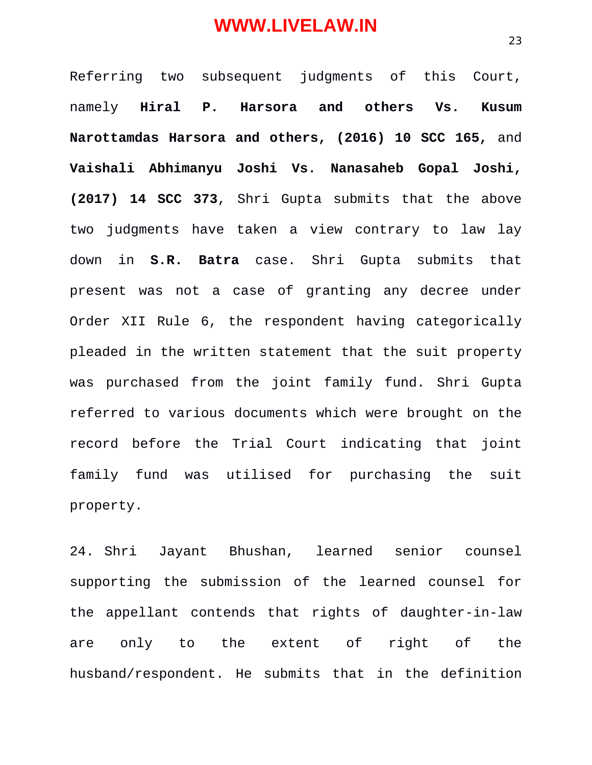Referring two subsequent judgments of this Court, namely **Hiral P. Harsora and others Vs. Kusum Narottamdas Harsora and others, (2016) 10 SCC 165,** and **Vaishali Abhimanyu Joshi Vs. Nanasaheb Gopal Joshi, (2017) 14 SCC 373**, Shri Gupta submits that the above two judgments have taken a view contrary to law lay down in **S.R. Batra** case. Shri Gupta submits that present was not a case of granting any decree under Order XII Rule 6, the respondent having categorically pleaded in the written statement that the suit property was purchased from the joint family fund. Shri Gupta referred to various documents which were brought on the record before the Trial Court indicating that joint family fund was utilised for purchasing the suit property.

24. Shri Jayant Bhushan, learned senior counsel supporting the submission of the learned counsel for the appellant contends that rights of daughter-in-law are only to the extent of right of the husband/respondent. He submits that in the definition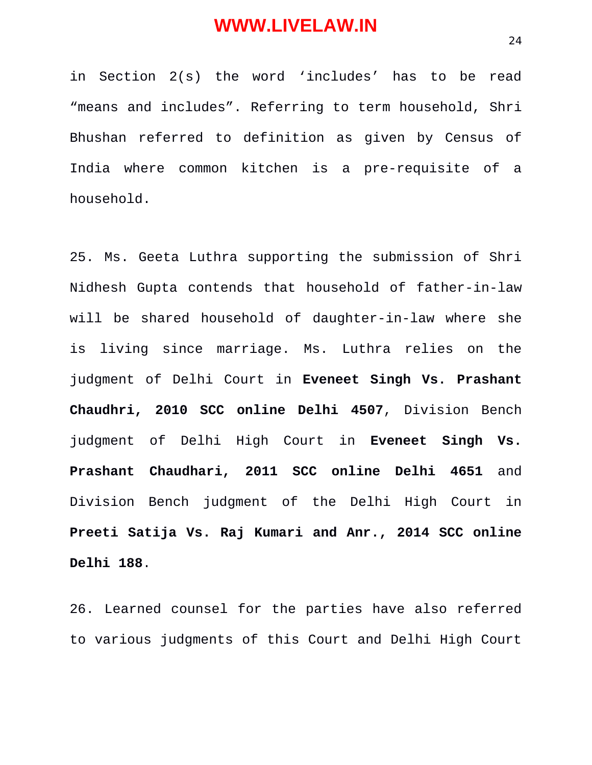in Section 2(s) the word 'includes' has to be read "means and includes". Referring to term household, Shri Bhushan referred to definition as given by Census of India where common kitchen is a pre-requisite of a household.

25. Ms. Geeta Luthra supporting the submission of Shri Nidhesh Gupta contends that household of father-in-law will be shared household of daughter-in-law where she is living since marriage. Ms. Luthra relies on the judgment of Delhi Court in **Eveneet Singh Vs. Prashant Chaudhri, 2010 SCC online Delhi 4507**, Division Bench judgment of Delhi High Court in **Eveneet Singh Vs. Prashant Chaudhari, 2011 SCC online Delhi 4651** and Division Bench judgment of the Delhi High Court in **Preeti Satija Vs. Raj Kumari and Anr., 2014 SCC online Delhi 188**.

26. Learned counsel for the parties have also referred to various judgments of this Court and Delhi High Court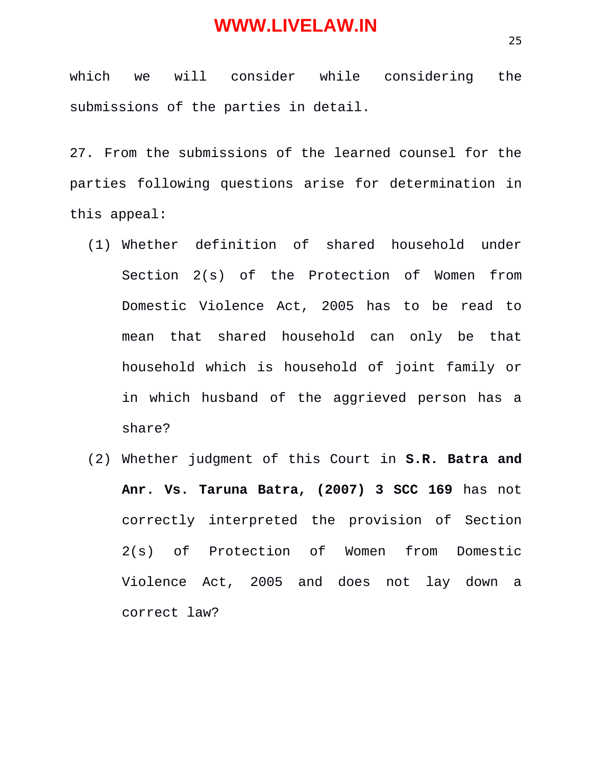which we will consider while considering the submissions of the parties in detail.

27. From the submissions of the learned counsel for the parties following questions arise for determination in this appeal:

- (1) Whether definition of shared household under Section 2(s) of the Protection of Women from Domestic Violence Act, 2005 has to be read to mean that shared household can only be that household which is household of joint family or in which husband of the aggrieved person has a share?
- (2) Whether judgment of this Court in **S.R. Batra and Anr. Vs. Taruna Batra, (2007) 3 SCC 169** has not correctly interpreted the provision of Section 2(s) of Protection of Women from Domestic Violence Act, 2005 and does not lay down a correct law?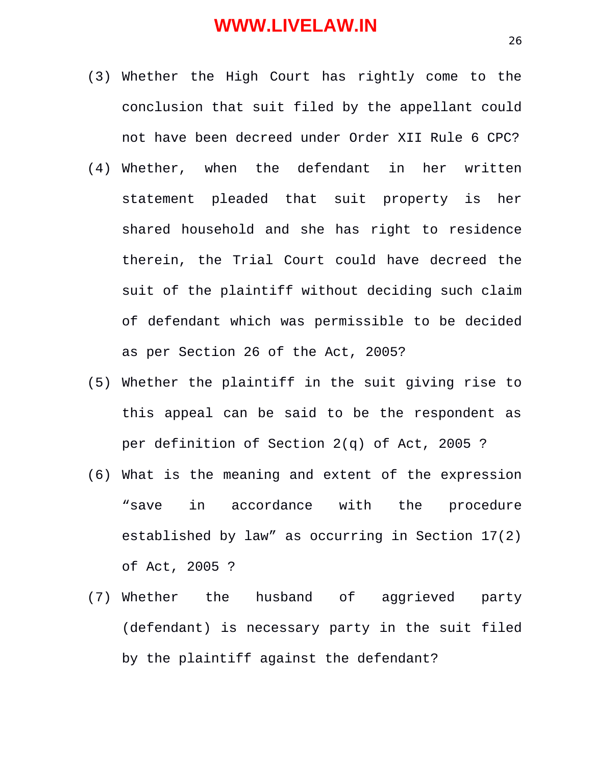- (3) Whether the High Court has rightly come to the conclusion that suit filed by the appellant could not have been decreed under Order XII Rule 6 CPC?
- (4) Whether, when the defendant in her written statement pleaded that suit property is her shared household and she has right to residence therein, the Trial Court could have decreed the suit of the plaintiff without deciding such claim of defendant which was permissible to be decided as per Section 26 of the Act, 2005?
- (5) Whether the plaintiff in the suit giving rise to this appeal can be said to be the respondent as per definition of Section 2(q) of Act, 2005 ?
- (6) What is the meaning and extent of the expression "save in accordance with the procedure established by law" as occurring in Section 17(2) of Act, 2005 ?
- (7) Whether the husband of aggrieved party (defendant) is necessary party in the suit filed by the plaintiff against the defendant?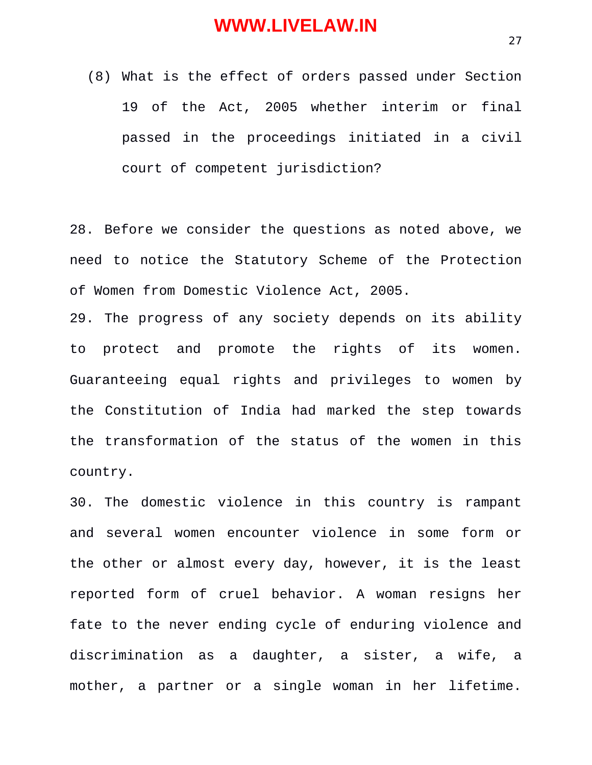(8) What is the effect of orders passed under Section 19 of the Act, 2005 whether interim or final passed in the proceedings initiated in a civil court of competent jurisdiction?

28. Before we consider the questions as noted above, we need to notice the Statutory Scheme of the Protection of Women from Domestic Violence Act, 2005.

29. The progress of any society depends on its ability to protect and promote the rights of its women. Guaranteeing equal rights and privileges to women by the Constitution of India had marked the step towards the transformation of the status of the women in this country.

30. The domestic violence in this country is rampant and several women encounter violence in some form or the other or almost every day, however, it is the least reported form of cruel behavior. A woman resigns her fate to the never ending cycle of enduring violence and discrimination as a daughter, a sister, a wife, a mother, a partner or a single woman in her lifetime.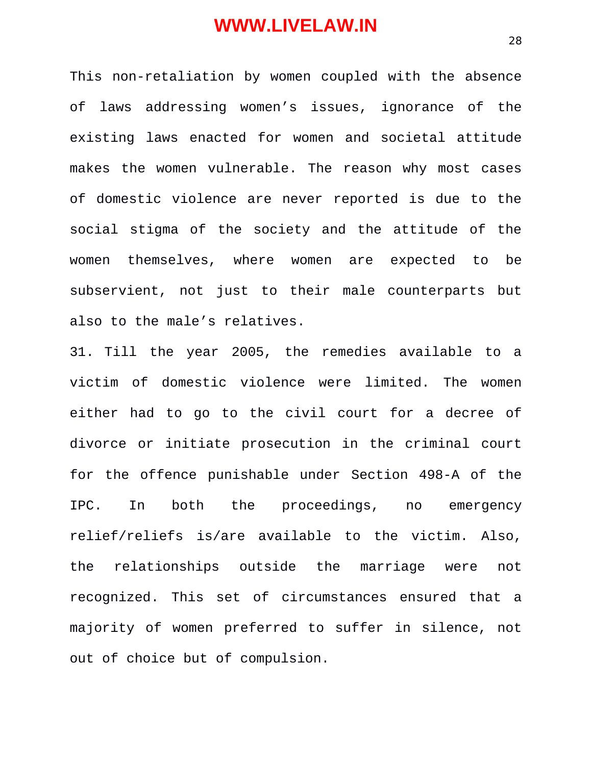This non-retaliation by women coupled with the absence of laws addressing women's issues, ignorance of the existing laws enacted for women and societal attitude makes the women vulnerable. The reason why most cases of domestic violence are never reported is due to the social stigma of the society and the attitude of the women themselves, where women are expected to be subservient, not just to their male counterparts but also to the male's relatives.

31. Till the year 2005, the remedies available to a victim of domestic violence were limited. The women either had to go to the civil court for a decree of divorce or initiate prosecution in the criminal court for the offence punishable under Section 498-A of the IPC. In both the proceedings, no emergency relief/reliefs is/are available to the victim. Also, the relationships outside the marriage were not recognized. This set of circumstances ensured that a majority of women preferred to suffer in silence, not out of choice but of compulsion.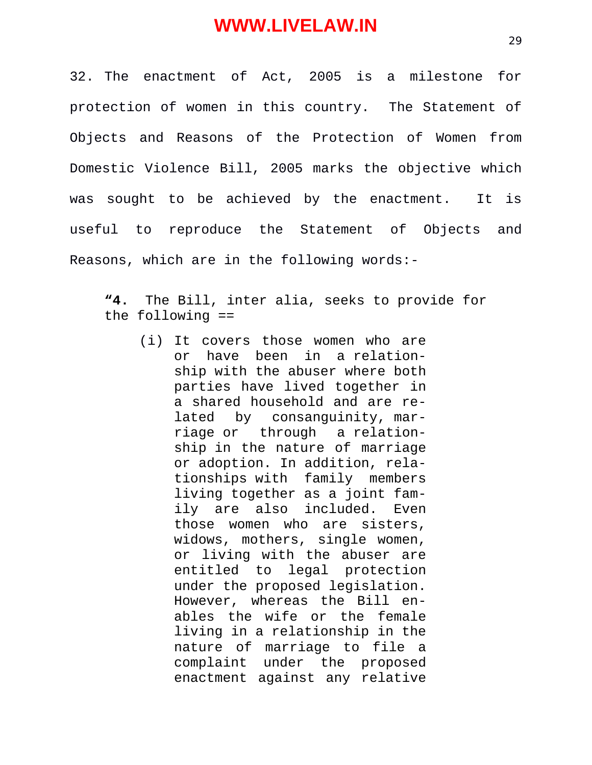32. The enactment of Act, 2005 is a milestone for protection of women in this country. The Statement of Objects and Reasons of the Protection of Women from Domestic Violence Bill, 2005 marks the objective which was sought to be achieved by the enactment. It is useful to reproduce the Statement of Objects and Reasons, which are in the following words:-

**"4.** The Bill, inter alia, seeks to provide for the following ==

(i) It covers those women who are or have been in a relationship with the abuser where both parties have lived together in a shared household and are related by consanguinity, marriage or through a relationship in the nature of marriage or adoption. In addition, relationships with family members living together as a joint family are also included. Even those women who are sisters, widows, mothers, single women, or living with the abuser are entitled to legal protection under the proposed legislation. However, whereas the Bill enables the wife or the female living in a relationship in the nature of marriage to file a complaint under the proposed enactment against any relative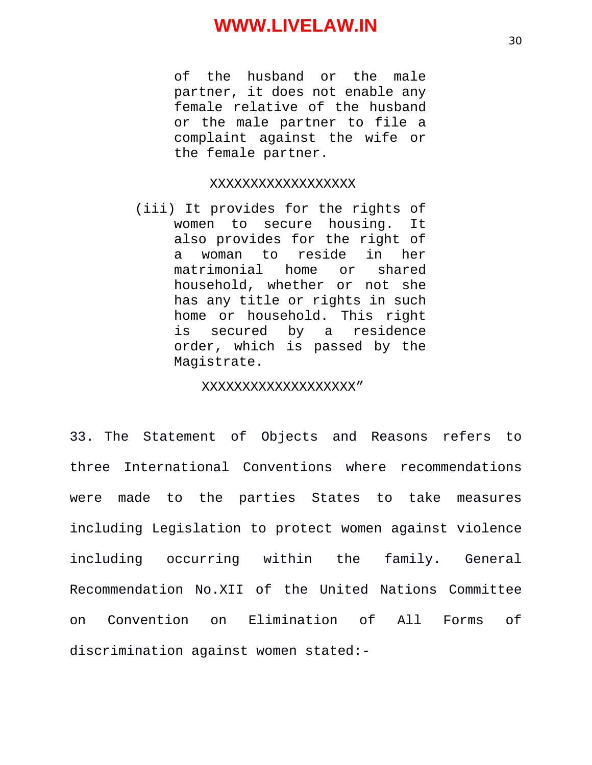of the husband or the male partner, it does not enable any female relative of the husband or the male partner to file a complaint against the wife or the female partner.

#### XXXXXXXXXXXXXXXXXX

(iii) It provides for the rights of women to secure housing. It also provides for the right of a woman to reside in her matrimonial home or shared household, whether or not she has any title or rights in such home or household. This right is secured by a residence order, which is passed by the Magistrate.

#### XXXXXXXXXXXXXXXXXXX"

33. The Statement of Objects and Reasons refers to three International Conventions where recommendations were made to the parties States to take measures including Legislation to protect women against violence including occurring within the family. General Recommendation No.XII of the United Nations Committee on Convention on Elimination of All Forms of discrimination against women stated:-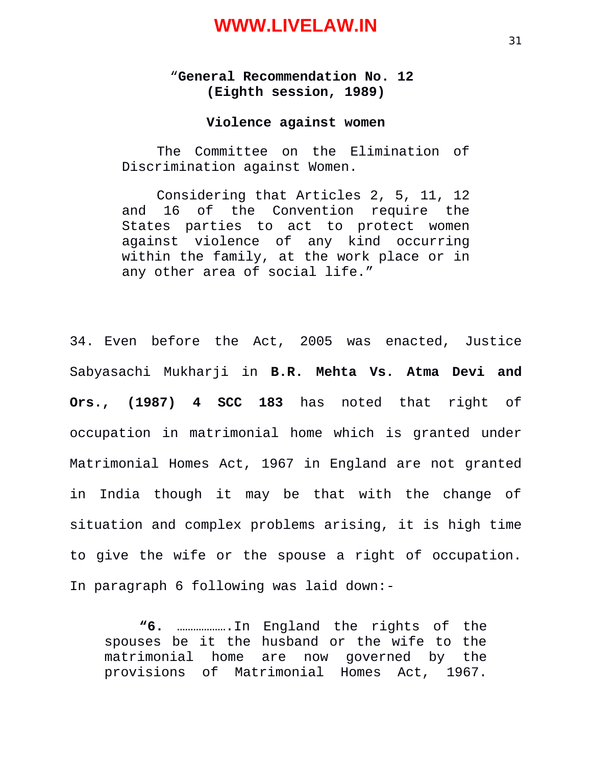#### "**General Recommendation No. 12 (Eighth session, 1989)**

#### **Violence against women**

The Committee on the Elimination of Discrimination against Women.

Considering that Articles 2, 5, 11, 12 and 16 of the Convention require the States parties to act to protect women against violence of any kind occurring within the family, at the work place or in any other area of social life."

34. Even before the Act, 2005 was enacted, Justice Sabyasachi Mukharji in **B.R. Mehta Vs. Atma Devi and Ors., (1987) 4 SCC 183** has noted that right of occupation in matrimonial home which is granted under Matrimonial Homes Act, 1967 in England are not granted in India though it may be that with the change of situation and complex problems arising, it is high time to give the wife or the spouse a right of occupation. In paragraph 6 following was laid down:-

**"6.** ……………….In England the rights of the spouses be it the husband or the wife to the matrimonial home are now governed by the provisions of Matrimonial Homes Act, 1967.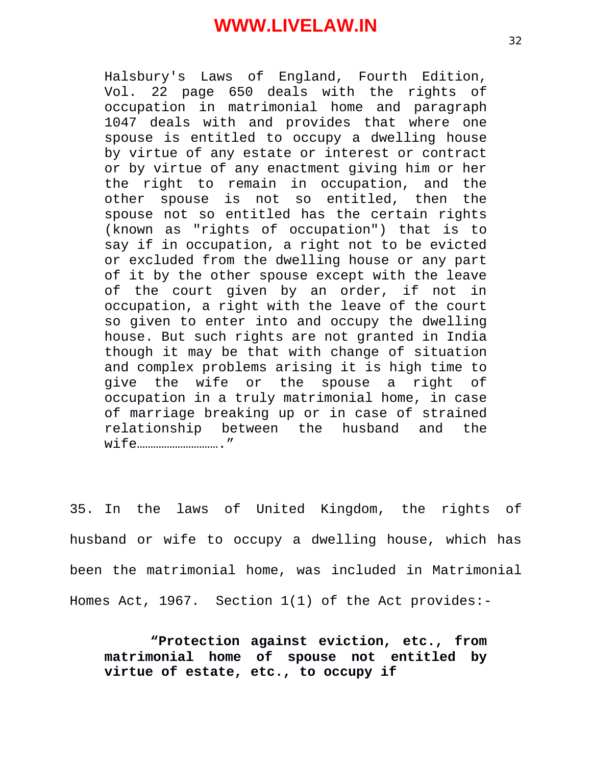Halsbury's Laws of England, Fourth Edition, Vol. 22 page 650 deals with the rights of occupation in matrimonial home and paragraph 1047 deals with and provides that where one spouse is entitled to occupy a dwelling house by virtue of any estate or interest or contract or by virtue of any enactment giving him or her the right to remain in occupation, and the other spouse is not so entitled, then the spouse not so entitled has the certain rights (known as "rights of occupation") that is to say if in occupation, a right not to be evicted or excluded from the dwelling house or any part of it by the other spouse except with the leave of the court given by an order, if not in occupation, a right with the leave of the court so given to enter into and occupy the dwelling house. But such rights are not granted in India though it may be that with change of situation and complex problems arising it is high time to give the wife or the spouse a right of occupation in a truly matrimonial home, in case of marriage breaking up or in case of strained relationship between the husband and the wife…………………………."

35. In the laws of United Kingdom, the rights of husband or wife to occupy a dwelling house, which has been the matrimonial home, was included in Matrimonial Homes Act, 1967. Section 1(1) of the Act provides:-

 **"Protection against eviction, etc., from matrimonial home of spouse not entitled by virtue of estate, etc., to occupy if**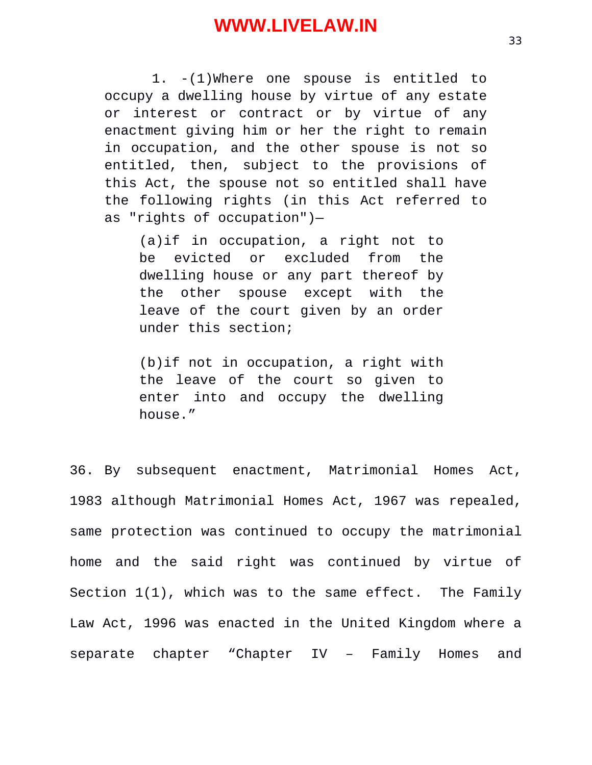1. -(1)Where one spouse is entitled to occupy a dwelling house by virtue of any estate or interest or contract or by virtue of any enactment giving him or her the right to remain in occupation, and the other spouse is not so entitled, then, subject to the provisions of this Act, the spouse not so entitled shall have the following rights (in this Act referred to as "rights of occupation")—

(a)if in occupation, a right not to be evicted or excluded from the dwelling house or any part thereof by the other spouse except with the leave of the court given by an order under this section;

(b)if not in occupation, a right with the leave of the court so given to enter into and occupy the dwelling house."

36. By subsequent enactment, Matrimonial Homes Act, 1983 although Matrimonial Homes Act, 1967 was repealed, same protection was continued to occupy the matrimonial home and the said right was continued by virtue of Section 1(1), which was to the same effect. The Family Law Act, 1996 was enacted in the United Kingdom where a separate chapter "Chapter IV – Family Homes and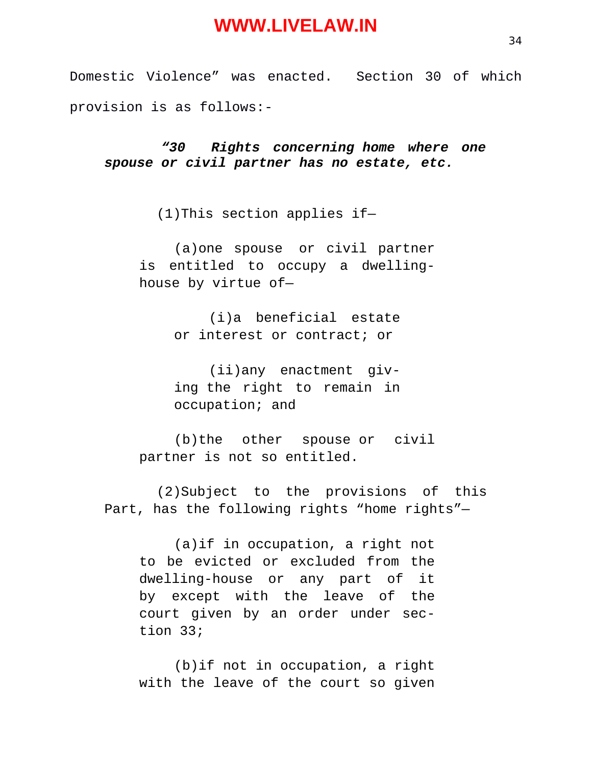Domestic Violence" was enacted. Section 30 of which provision is as follows:-

*"30 Rights concerning home where one spouse or civil partner has no estate, etc.*

(1)This section applies if—

(a)one spouse or civil partner is entitled to occupy a dwellinghouse by virtue of—

> (i)a beneficial estate or interest or contract; or

> (ii)any enactment giving the right to remain in occupation; and

(b)the other spouse or civil partner is not so entitled.

(2)Subject to the provisions of this Part, has the following rights "home rights"—

(a)if in occupation, a right not to be evicted or excluded from the dwelling-house or any part of it by except with the leave of the court given by an order under section 33;

(b)if not in occupation, a right with the leave of the court so given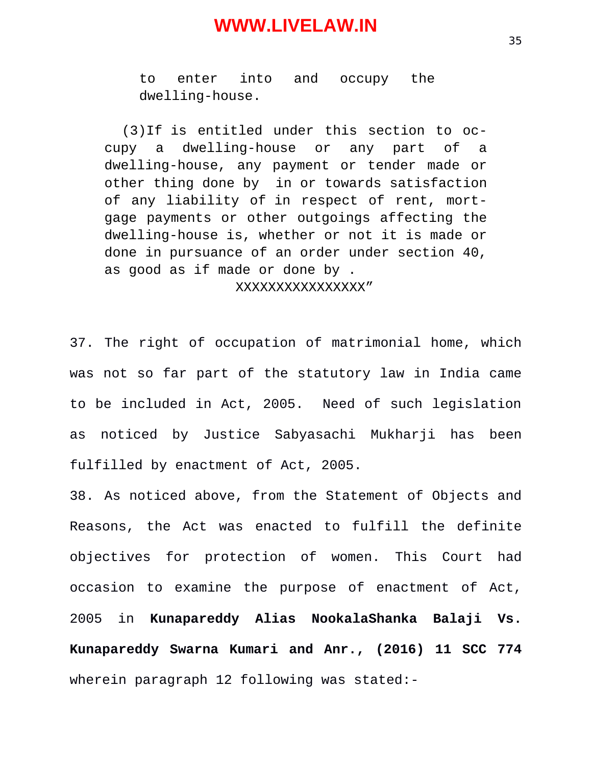to enter into and occupy the dwelling-house.

(3)If is entitled under this section to occupy a dwelling-house or any part of a dwelling-house, any payment or tender made or other thing done by in or towards satisfaction of any liability of in respect of rent, mortgage payments or other outgoings affecting the dwelling-house is, whether or not it is made or done in pursuance of an order under section 40, as good as if made or done by . XXXXXXXXXXXXXXXX"

37. The right of occupation of matrimonial home, which was not so far part of the statutory law in India came to be included in Act, 2005. Need of such legislation as noticed by Justice Sabyasachi Mukharji has been fulfilled by enactment of Act, 2005.

38. As noticed above, from the Statement of Objects and Reasons, the Act was enacted to fulfill the definite objectives for protection of women. This Court had occasion to examine the purpose of enactment of Act, 2005 in **Kunapareddy Alias NookalaShanka Balaji Vs. Kunapareddy Swarna Kumari and Anr., (2016) 11 SCC 774** wherein paragraph 12 following was stated:-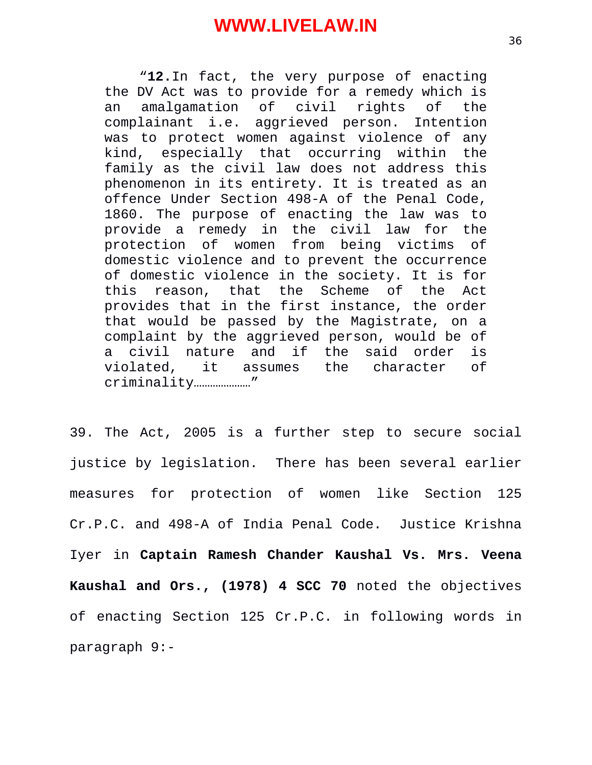"**12.**In fact, the very purpose of enacting the DV Act was to provide for a remedy which is an amalgamation of civil rights of the complainant i.e. aggrieved person. Intention was to protect women against violence of any kind, especially that occurring within the family as the civil law does not address this phenomenon in its entirety. It is treated as an offence Under Section 498-A of the Penal Code, 1860. The purpose of enacting the law was to provide a remedy in the civil law for the protection of women from being victims of domestic violence and to prevent the occurrence of domestic violence in the society. It is for this reason, that the Scheme of the Act provides that in the first instance, the order that would be passed by the Magistrate, on a complaint by the aggrieved person, would be of a civil nature and if the said order is violated, it assumes the character of criminality…………………"

39. The Act, 2005 is a further step to secure social justice by legislation. There has been several earlier measures for protection of women like Section 125 Cr.P.C. and 498-A of India Penal Code. Justice Krishna Iyer in **Captain Ramesh Chander Kaushal Vs. Mrs. Veena Kaushal and Ors., (1978) 4 SCC 70** noted the objectives of enacting Section 125 Cr.P.C. in following words in paragraph 9:-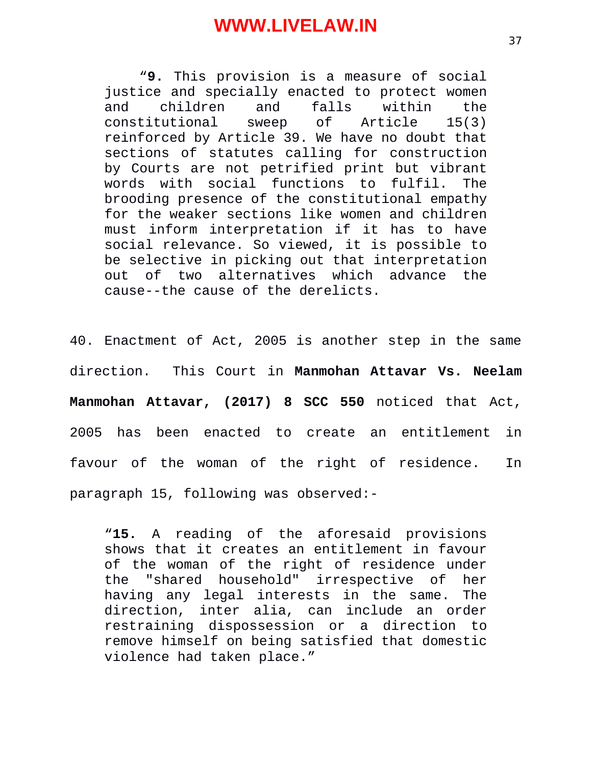"**9.** This provision is a measure of social justice and specially enacted to protect women and children and falls within the constitutional sweep of Article 15(3) reinforced by Article 39. We have no doubt that sections of statutes calling for construction by Courts are not petrified print but vibrant words with social functions to fulfil. The brooding presence of the constitutional empathy for the weaker sections like women and children must inform interpretation if it has to have social relevance. So viewed, it is possible to be selective in picking out that interpretation out of two alternatives which advance the cause--the cause of the derelicts.

40. Enactment of Act, 2005 is another step in the same direction. This Court in **Manmohan Attavar Vs. Neelam Manmohan Attavar, (2017) 8 SCC 550** noticed that Act, 2005 has been enacted to create an entitlement in favour of the woman of the right of residence. In paragraph 15, following was observed:-

"**15.** A reading of the aforesaid provisions shows that it creates an entitlement in favour of the woman of the right of residence under the "shared household" irrespective of her having any legal interests in the same. The direction, inter alia, can include an order restraining dispossession or a direction to remove himself on being satisfied that domestic violence had taken place."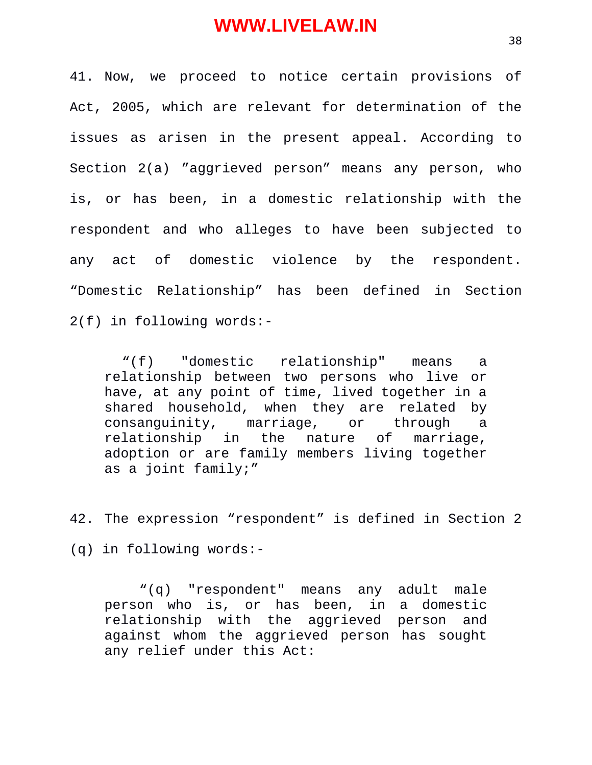41. Now, we proceed to notice certain provisions of Act, 2005, which are relevant for determination of the issues as arisen in the present appeal. According to Section 2(a) "aggrieved person" means any person, who is, or has been, in a domestic relationship with the respondent and who alleges to have been subjected to any act of domestic violence by the respondent. "Domestic Relationship" has been defined in Section 2(f) in following words:-

"(f) "domestic relationship" means a relationship between two persons who live or have, at any point of time, lived together in a shared household, when they are related by consanguinity, marriage, or through a relationship in the nature of marriage, adoption or are family members living together as a joint family;"

42. The expression "respondent" is defined in Section 2

(q) in following words:-

"(q) "respondent" means any adult male person who is, or has been, in a domestic relationship with the aggrieved person and against whom the aggrieved person has sought any relief under this Act: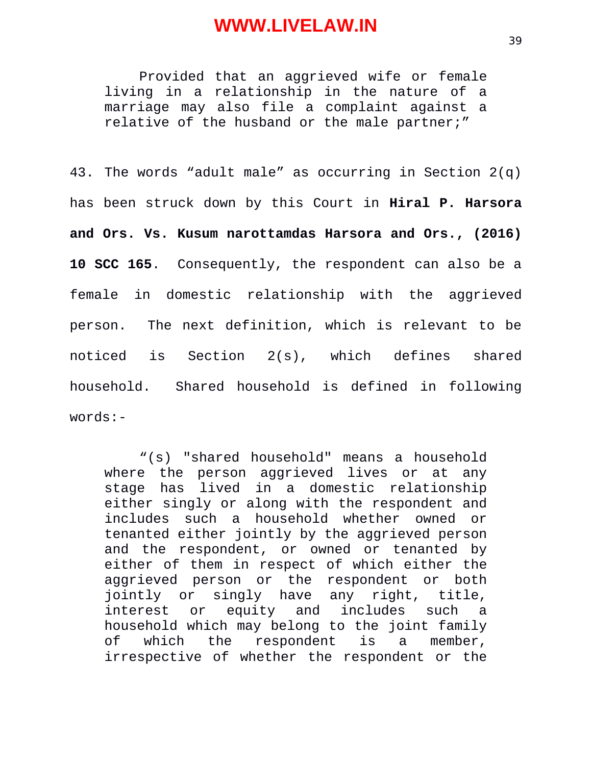Provided that an aggrieved wife or female living in a relationship in the nature of a marriage may also file a complaint against a relative of the husband or the male partner;"

43. The words "adult male" as occurring in Section 2(q) has been struck down by this Court in **Hiral P. Harsora and Ors. Vs. Kusum narottamdas Harsora and Ors., (2016) 10 SCC 165**. Consequently, the respondent can also be a female in domestic relationship with the aggrieved person. The next definition, which is relevant to be noticed is Section 2(s), which defines shared household. Shared household is defined in following words:-

"(s) "shared household" means a household where the person aggrieved lives or at any stage has lived in a domestic relationship either singly or along with the respondent and includes such a household whether owned or tenanted either jointly by the aggrieved person and the respondent, or owned or tenanted by either of them in respect of which either the aggrieved person or the respondent or both jointly or singly have any right, title, interest or equity and includes such a household which may belong to the joint family of which the respondent is a member, irrespective of whether the respondent or the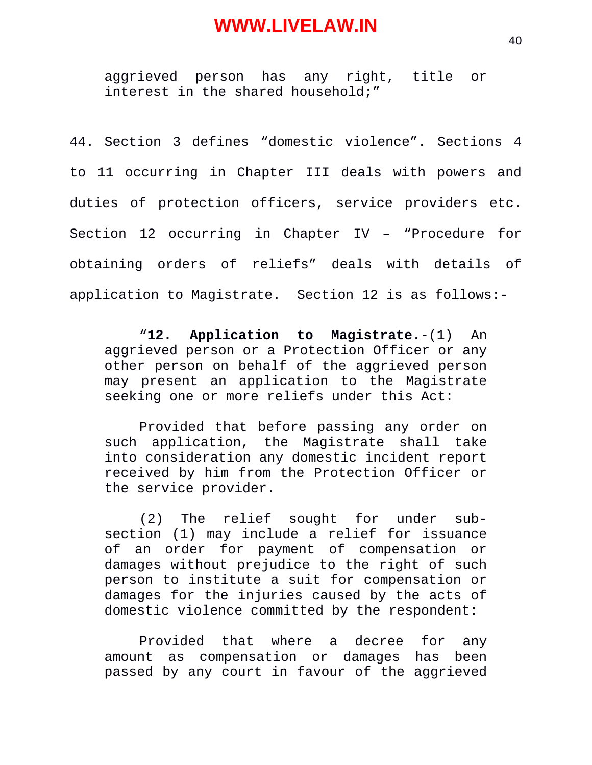aggrieved person has any right, title or interest in the shared household;"

44. Section 3 defines "domestic violence". Sections 4 to 11 occurring in Chapter III deals with powers and duties of protection officers, service providers etc. Section 12 occurring in Chapter IV – "Procedure for obtaining orders of reliefs" deals with details of application to Magistrate. Section 12 is as follows:-

"**12. Application to Magistrate.**-(1) An aggrieved person or a Protection Officer or any other person on behalf of the aggrieved person may present an application to the Magistrate seeking one or more reliefs under this Act:

Provided that before passing any order on such application, the Magistrate shall take into consideration any domestic incident report received by him from the Protection Officer or the service provider.

(2) The relief sought for under subsection (1) may include a relief for issuance of an order for payment of compensation or damages without prejudice to the right of such person to institute a suit for compensation or damages for the injuries caused by the acts of domestic violence committed by the respondent:

Provided that where a decree for any amount as compensation or damages has been passed by any court in favour of the aggrieved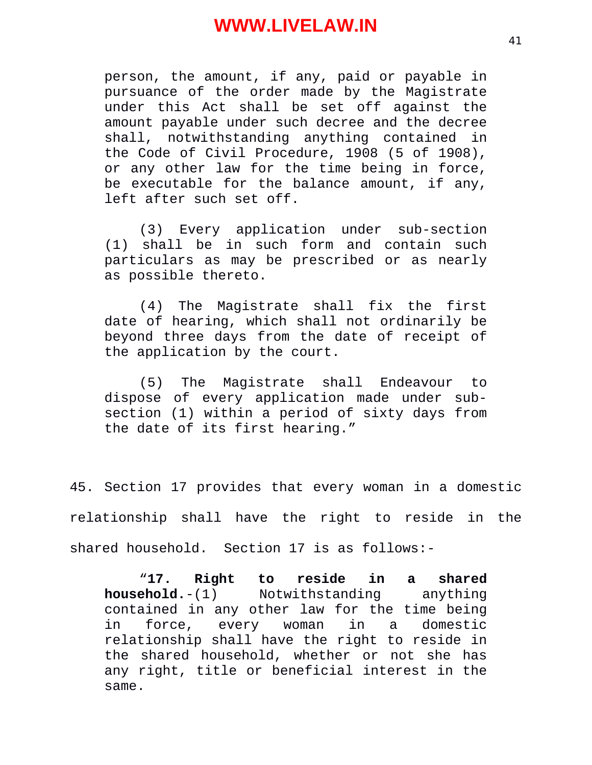person, the amount, if any, paid or payable in pursuance of the order made by the Magistrate under this Act shall be set off against the amount payable under such decree and the decree shall, notwithstanding anything contained in the Code of Civil Procedure, 1908 (5 of 1908), or any other law for the time being in force, be executable for the balance amount, if any, left after such set off.

(3) Every application under sub-section (1) shall be in such form and contain such particulars as may be prescribed or as nearly as possible thereto.

(4) The Magistrate shall fix the first date of hearing, which shall not ordinarily be beyond three days from the date of receipt of the application by the court.

(5) The Magistrate shall Endeavour to dispose of every application made under subsection (1) within a period of sixty days from the date of its first hearing."

45. Section 17 provides that every woman in a domestic relationship shall have the right to reside in the shared household. Section 17 is as follows:-

"**17. Right to reside in a shared household.**-(1) Notwithstanding anything contained in any other law for the time being<br>in force, every woman in a domestic force, every woman in a domestic relationship shall have the right to reside in the shared household, whether or not she has any right, title or beneficial interest in the same.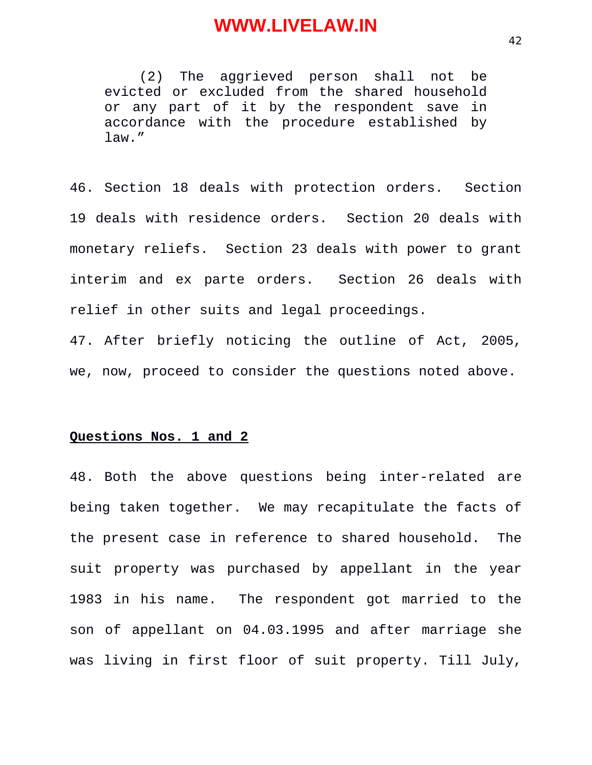(2) The aggrieved person shall not be evicted or excluded from the shared household or any part of it by the respondent save in accordance with the procedure established by law."

46. Section 18 deals with protection orders. Section 19 deals with residence orders. Section 20 deals with monetary reliefs. Section 23 deals with power to grant interim and ex parte orders. Section 26 deals with relief in other suits and legal proceedings.

47. After briefly noticing the outline of Act, 2005, we, now, proceed to consider the questions noted above.

#### **Questions Nos. 1 and 2**

48. Both the above questions being inter-related are being taken together. We may recapitulate the facts of the present case in reference to shared household. The suit property was purchased by appellant in the year 1983 in his name. The respondent got married to the son of appellant on 04.03.1995 and after marriage she was living in first floor of suit property. Till July,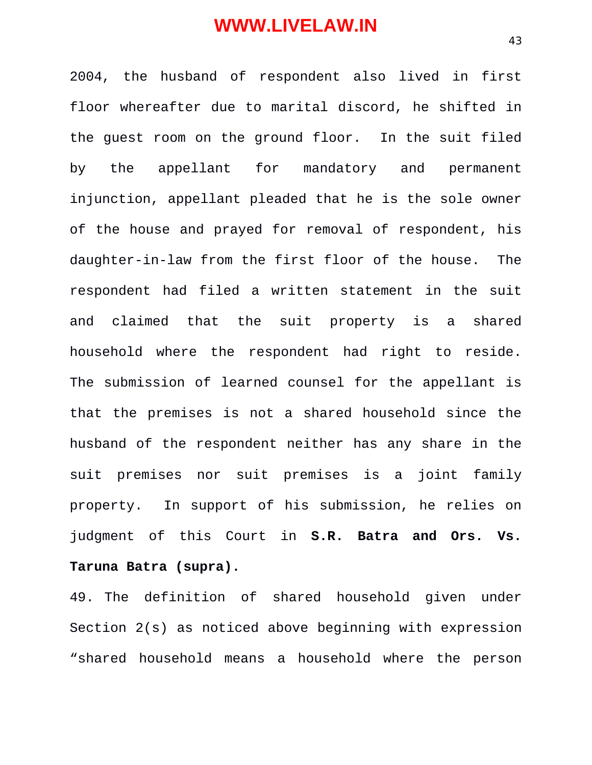2004, the husband of respondent also lived in first floor whereafter due to marital discord, he shifted in the guest room on the ground floor. In the suit filed by the appellant for mandatory and permanent injunction, appellant pleaded that he is the sole owner of the house and prayed for removal of respondent, his daughter-in-law from the first floor of the house. The respondent had filed a written statement in the suit and claimed that the suit property is a shared household where the respondent had right to reside. The submission of learned counsel for the appellant is that the premises is not a shared household since the husband of the respondent neither has any share in the suit premises nor suit premises is a joint family property. In support of his submission, he relies on judgment of this Court in **S.R. Batra and Ors. Vs. Taruna Batra (supra).** 

49. The definition of shared household given under Section 2(s) as noticed above beginning with expression "shared household means a household where the person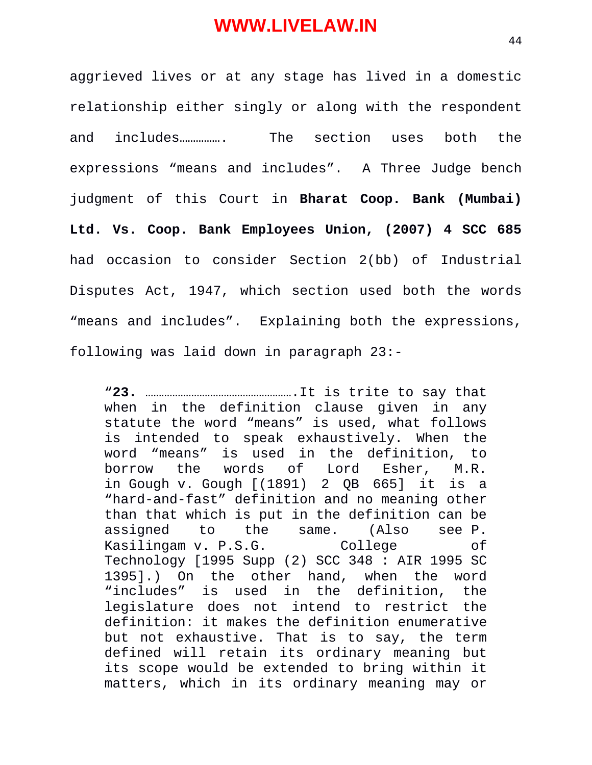aggrieved lives or at any stage has lived in a domestic relationship either singly or along with the respondent and includes……………. The section uses both the expressions "means and includes". A Three Judge bench judgment of this Court in **Bharat Coop. Bank (Mumbai) Ltd. Vs. Coop. Bank Employees Union, (2007) 4 SCC 685** had occasion to consider Section 2(bb) of Industrial Disputes Act, 1947, which section used both the words "means and includes". Explaining both the expressions, following was laid down in paragraph 23:-

"**23.** ……………………………………………….It is trite to say that when in the definition clause given in any statute the word "means" is used, what follows is intended to speak exhaustively. When the word "means" is used in the definition, to borrow the words of Lord Esher, M.R. in Gough v. Gough [(1891) 2 QB 665] it is a "hard-and-fast" definition and no meaning other than that which is put in the definition can be assigned to the same. (Also see P. Kasilingam v. P.S.G. College of Technology [1995 Supp (2) SCC 348 : AIR 1995 SC 1395].) On the other hand, when the word "includes" is used in the definition, the legislature does not intend to restrict the definition: it makes the definition enumerative but not exhaustive. That is to say, the term defined will retain its ordinary meaning but its scope would be extended to bring within it matters, which in its ordinary meaning may or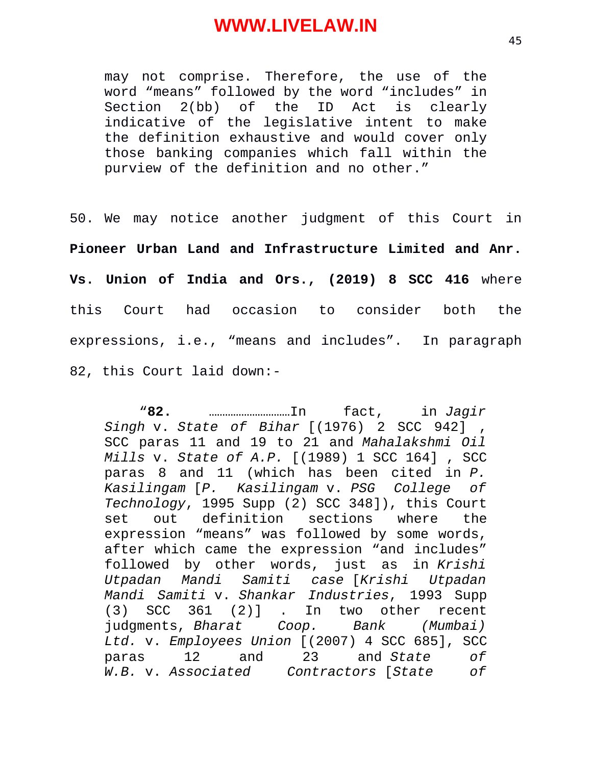may not comprise. Therefore, the use of the word "means" followed by the word "includes" in Section 2(bb) of the ID Act is clearly indicative of the legislative intent to make the definition exhaustive and would cover only those banking companies which fall within the purview of the definition and no other."

50. We may notice another judgment of this Court in **Pioneer Urban Land and Infrastructure Limited and Anr. Vs. Union of India and Ors., (2019) 8 SCC 416** where this Court had occasion to consider both the expressions, i.e., "means and includes". In paragraph 82, this Court laid down:-

"**82.** …………………………In fact, in *Jagir Singh* v. *State of Bihar* [(1976) 2 SCC 942] , SCC paras 11 and 19 to 21 and *Mahalakshmi Oil Mills* v. *State of A.P.* [(1989) 1 SCC 164] , SCC paras 8 and 11 (which has been cited in *P. Kasilingam* [*P. Kasilingam* v. *PSG College of Technology*, 1995 Supp (2) SCC 348]), this Court set out definition sections where the expression "means" was followed by some words, after which came the expression "and includes" followed by other words, just as in *Krishi Utpadan Mandi Samiti case* [*Krishi Utpadan Mandi Samiti* v. *Shankar Industries*, 1993 Supp (3) SCC 361 (2)] . In two other recent judgments, *Bharat Coop. Bank (Mumbai) Ltd.* v. *Employees Union* [(2007) 4 SCC 685], SCC paras 12 and 23 and *State of W.B.* v. *Associated Contractors* [*State of*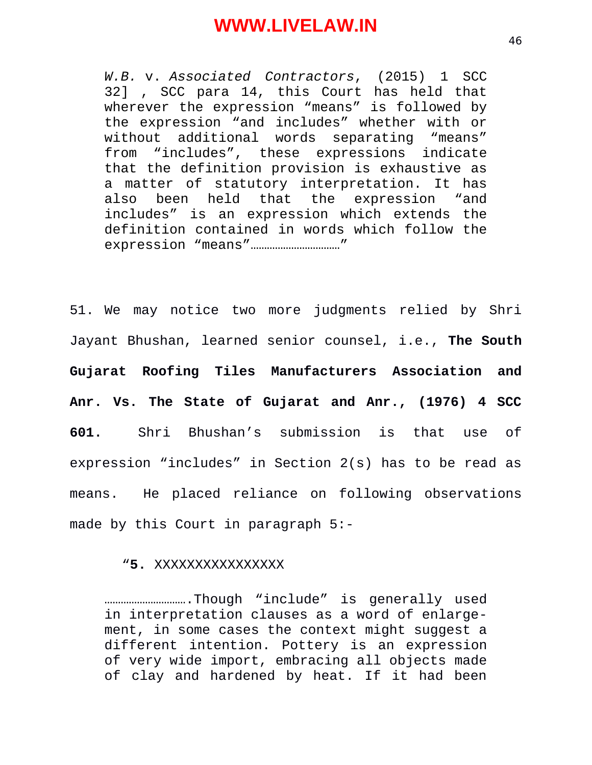*W.B.* v. *Associated Contractors*, (2015) 1 SCC 32] , SCC para 14, this Court has held that wherever the expression "means" is followed by the expression "and includes" whether with or without additional words separating "means" from "includes", these expressions indicate that the definition provision is exhaustive as a matter of statutory interpretation. It has also been held that the expression "and includes" is an expression which extends the definition contained in words which follow the expression "means"……………………………"

51. We may notice two more judgments relied by Shri Jayant Bhushan, learned senior counsel, i.e., **The South Gujarat Roofing Tiles Manufacturers Association and Anr. Vs. The State of Gujarat and Anr., (1976) 4 SCC 601.** Shri Bhushan's submission is that use of expression "includes" in Section 2(s) has to be read as means. He placed reliance on following observations made by this Court in paragraph 5:-

#### "**5.** XXXXXXXXXXXXXXXX

………………………….Though "include" is generally used in interpretation clauses as a word of enlargement, in some cases the context might suggest a different intention. Pottery is an expression of very wide import, embracing all objects made of clay and hardened by heat. If it had been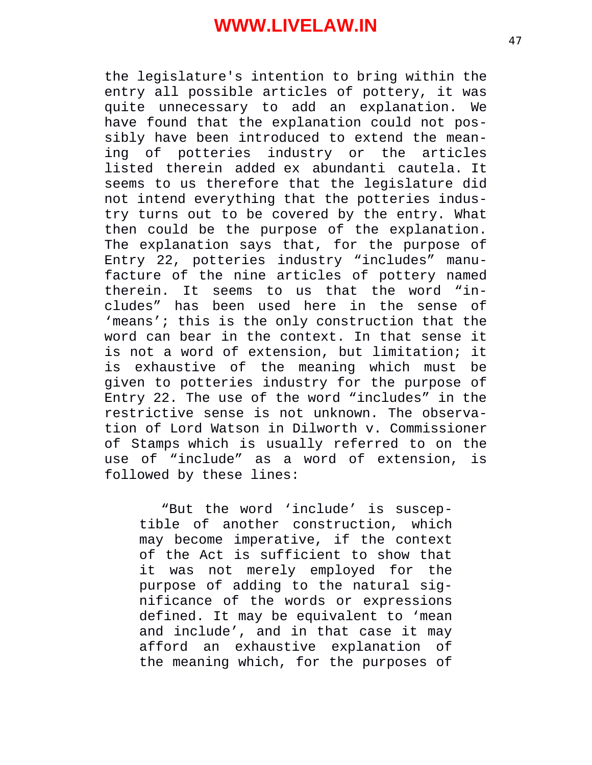the legislature's intention to bring within the entry all possible articles of pottery, it was quite unnecessary to add an explanation. We have found that the explanation could not possibly have been introduced to extend the meaning of potteries industry or the articles listed therein added ex abundanti cautela. It seems to us therefore that the legislature did not intend everything that the potteries industry turns out to be covered by the entry. What then could be the purpose of the explanation. The explanation says that, for the purpose of Entry 22, potteries industry "includes" manufacture of the nine articles of pottery named therein. It seems to us that the word "includes" has been used here in the sense of 'means'; this is the only construction that the word can bear in the context. In that sense it is not a word of extension, but limitation; it is exhaustive of the meaning which must be given to potteries industry for the purpose of Entry 22. The use of the word "includes" in the restrictive sense is not unknown. The observation of Lord Watson in Dilworth v. Commissioner of Stamps which is usually referred to on the use of "include" as a word of extension, is followed by these lines:

"But the word 'include' is susceptible of another construction, which may become imperative, if the context of the Act is sufficient to show that it was not merely employed for the purpose of adding to the natural significance of the words or expressions defined. It may be equivalent to 'mean and include', and in that case it may afford an exhaustive explanation of the meaning which, for the purposes of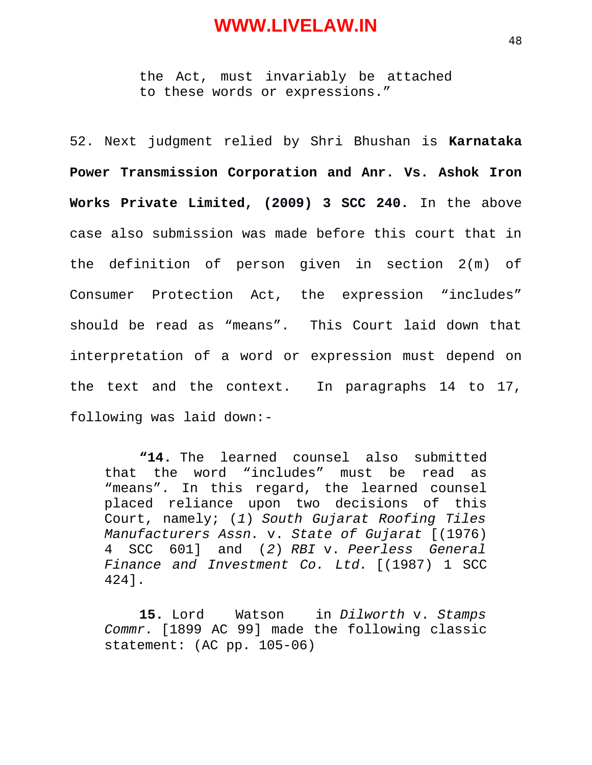the Act, must invariably be attached to these words or expressions."

52. Next judgment relied by Shri Bhushan is **Karnataka Power Transmission Corporation and Anr. Vs. Ashok Iron Works Private Limited, (2009) 3 SCC 240.** In the above case also submission was made before this court that in the definition of person given in section 2(m) of Consumer Protection Act, the expression "includes" should be read as "means". This Court laid down that interpretation of a word or expression must depend on the text and the context. In paragraphs 14 to 17, following was laid down:-

**"14.** The learned counsel also submitted that the word "includes" must be read as "means". In this regard, the learned counsel placed reliance upon two decisions of this Court, namely; (*1*) *South Gujarat Roofing Tiles Manufacturers Assn.* v. *State of Gujarat* [(1976) 4 SCC 601] and (*2*) *RBI* v. *Peerless General Finance and Investment Co. Ltd.* [(1987) 1 SCC 424].

**15.** Lord Watson in *Dilworth* v. *Stamps Commr.* [1899 AC 99] made the following classic statement: (AC pp. 105-06)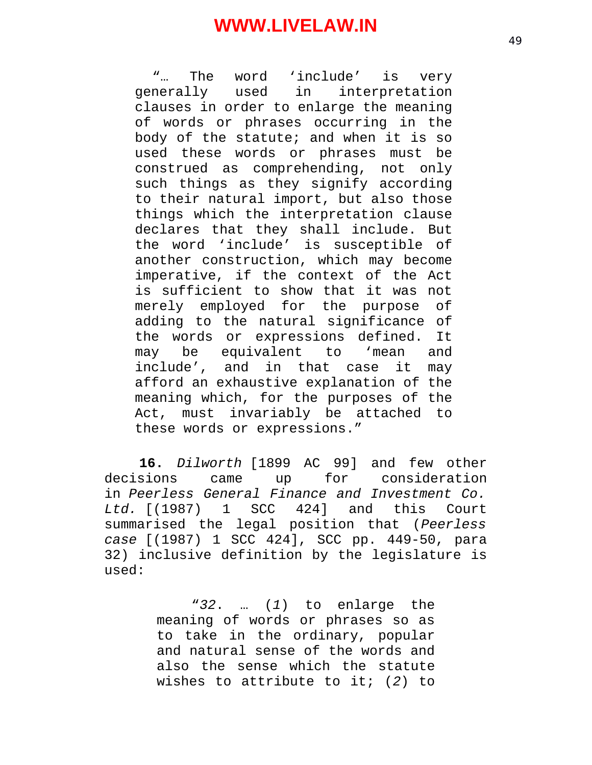"… The word 'include' is very generally used in interpretation clauses in order to enlarge the meaning of words or phrases occurring in the body of the statute; and when it is so used these words or phrases must be construed as comprehending, not only such things as they signify according to their natural import, but also those things which the interpretation clause declares that they shall include. But the word 'include' is susceptible of another construction, which may become imperative, if the context of the Act is sufficient to show that it was not merely employed for the purpose of adding to the natural significance of the words or expressions defined. It may be equivalent to 'mean and include', and in that case it may afford an exhaustive explanation of the meaning which, for the purposes of the Act, must invariably be attached to these words or expressions."

**16.** *Dilworth* [1899 AC 99] and few other decisions came up for consideration in *Peerless General Finance and Investment Co. Ltd.* [(1987) 1 SCC 424] and this Court summarised the legal position that (*Peerless case* [(1987) 1 SCC 424], SCC pp. 449-50, para 32) inclusive definition by the legislature is used:

> "*32*. … (*1*) to enlarge the meaning of words or phrases so as to take in the ordinary, popular and natural sense of the words and also the sense which the statute wishes to attribute to it; (*2*) to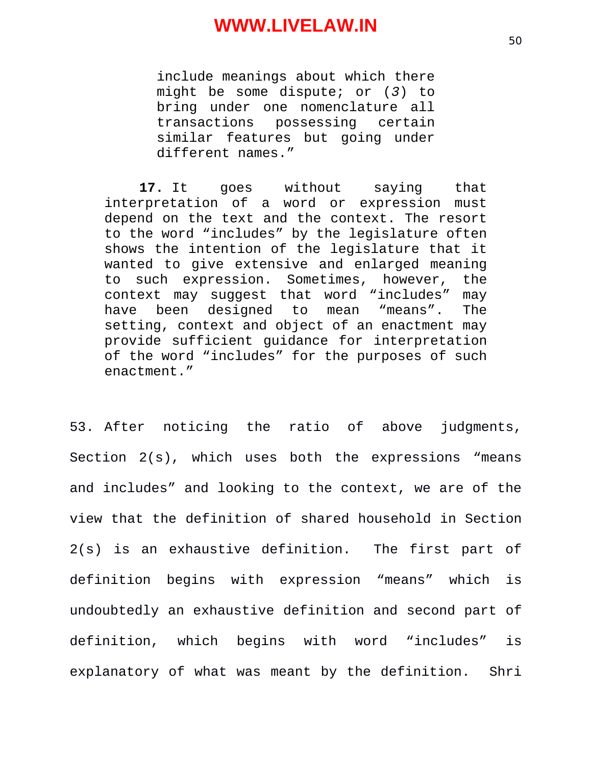include meanings about which there might be some dispute; or (*3*) to bring under one nomenclature all transactions possessing certain similar features but going under different names."

**17.** It goes without saying that interpretation of a word or expression must depend on the text and the context. The resort to the word "includes" by the legislature often shows the intention of the legislature that it wanted to give extensive and enlarged meaning to such expression. Sometimes, however, the context may suggest that word "includes" may have been designed to mean "means". The setting, context and object of an enactment may provide sufficient guidance for interpretation of the word "includes" for the purposes of such enactment."

53. After noticing the ratio of above judgments, Section 2(s), which uses both the expressions "means and includes" and looking to the context, we are of the view that the definition of shared household in Section 2(s) is an exhaustive definition. The first part of definition begins with expression "means" which is undoubtedly an exhaustive definition and second part of definition, which begins with word "includes" is explanatory of what was meant by the definition. Shri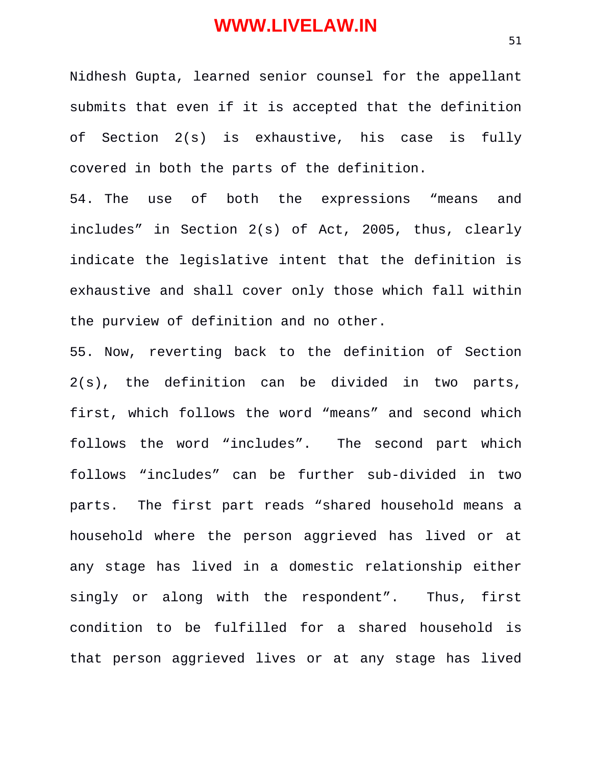Nidhesh Gupta, learned senior counsel for the appellant submits that even if it is accepted that the definition of Section 2(s) is exhaustive, his case is fully covered in both the parts of the definition.

54. The use of both the expressions "means and includes" in Section 2(s) of Act, 2005, thus, clearly indicate the legislative intent that the definition is exhaustive and shall cover only those which fall within the purview of definition and no other.

55. Now, reverting back to the definition of Section 2(s), the definition can be divided in two parts, first, which follows the word "means" and second which follows the word "includes". The second part which follows "includes" can be further sub-divided in two parts. The first part reads "shared household means a household where the person aggrieved has lived or at any stage has lived in a domestic relationship either singly or along with the respondent". Thus, first condition to be fulfilled for a shared household is that person aggrieved lives or at any stage has lived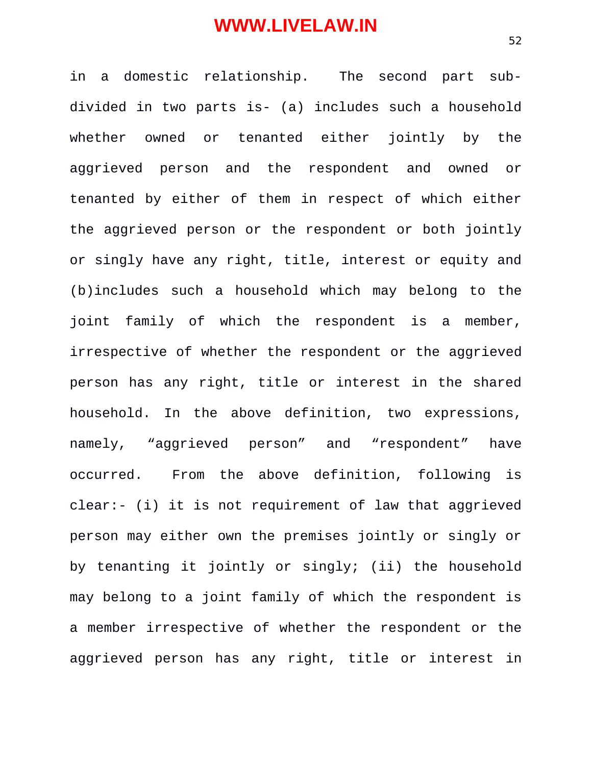in a domestic relationship. The second part subdivided in two parts is- (a) includes such a household whether owned or tenanted either jointly by the aggrieved person and the respondent and owned or tenanted by either of them in respect of which either the aggrieved person or the respondent or both jointly or singly have any right, title, interest or equity and (b)includes such a household which may belong to the joint family of which the respondent is a member, irrespective of whether the respondent or the aggrieved person has any right, title or interest in the shared household. In the above definition, two expressions, namely, "aggrieved person" and "respondent" have occurred. From the above definition, following is clear:- (i) it is not requirement of law that aggrieved person may either own the premises jointly or singly or by tenanting it jointly or singly; (ii) the household may belong to a joint family of which the respondent is a member irrespective of whether the respondent or the aggrieved person has any right, title or interest in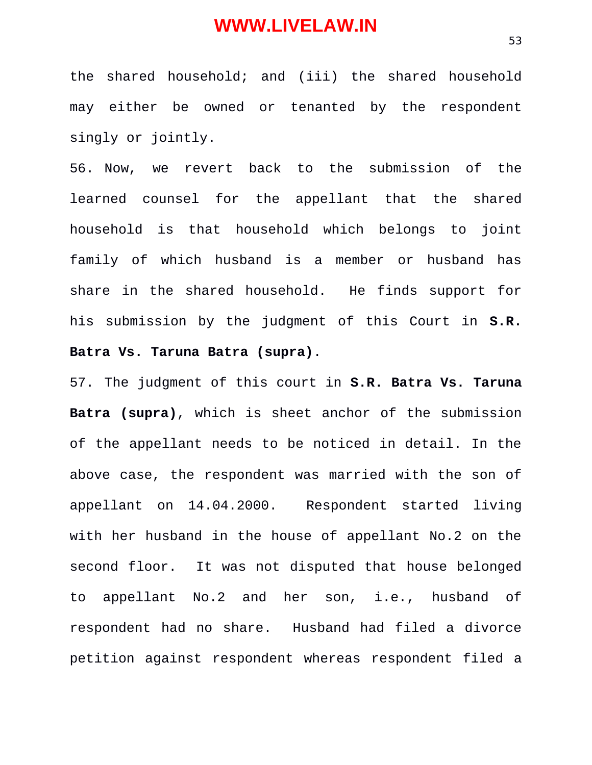the shared household; and (iii) the shared household may either be owned or tenanted by the respondent singly or jointly.

56. Now, we revert back to the submission of the learned counsel for the appellant that the shared household is that household which belongs to joint family of which husband is a member or husband has share in the shared household. He finds support for his submission by the judgment of this Court in **S.R. Batra Vs. Taruna Batra (supra)**.

57. The judgment of this court in **S.R. Batra Vs. Taruna Batra (supra)**, which is sheet anchor of the submission of the appellant needs to be noticed in detail. In the above case, the respondent was married with the son of appellant on 14.04.2000. Respondent started living with her husband in the house of appellant No.2 on the second floor. It was not disputed that house belonged to appellant No.2 and her son, i.e., husband of respondent had no share. Husband had filed a divorce petition against respondent whereas respondent filed a

53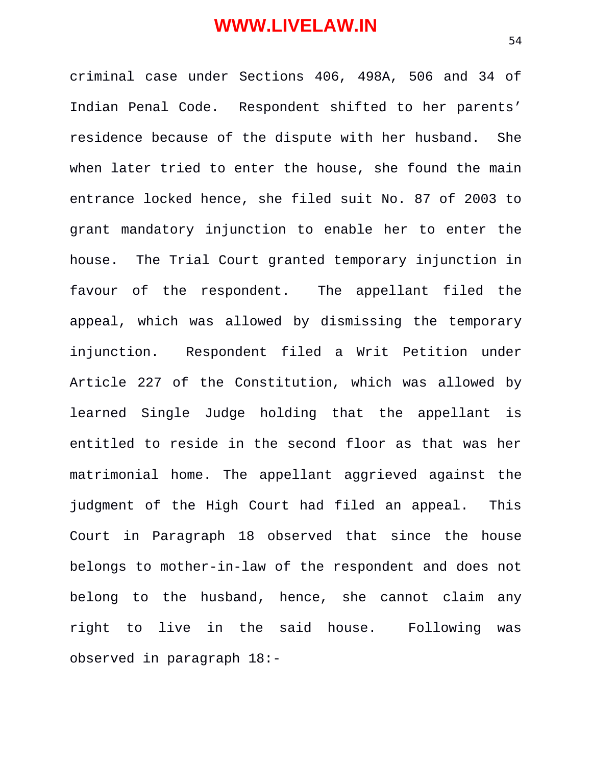criminal case under Sections 406, 498A, 506 and 34 of Indian Penal Code. Respondent shifted to her parents' residence because of the dispute with her husband. She when later tried to enter the house, she found the main entrance locked hence, she filed suit No. 87 of 2003 to grant mandatory injunction to enable her to enter the house. The Trial Court granted temporary injunction in favour of the respondent. The appellant filed the appeal, which was allowed by dismissing the temporary injunction. Respondent filed a Writ Petition under Article 227 of the Constitution, which was allowed by learned Single Judge holding that the appellant is entitled to reside in the second floor as that was her matrimonial home. The appellant aggrieved against the judgment of the High Court had filed an appeal. This Court in Paragraph 18 observed that since the house belongs to mother-in-law of the respondent and does not belong to the husband, hence, she cannot claim any right to live in the said house. Following was observed in paragraph 18:-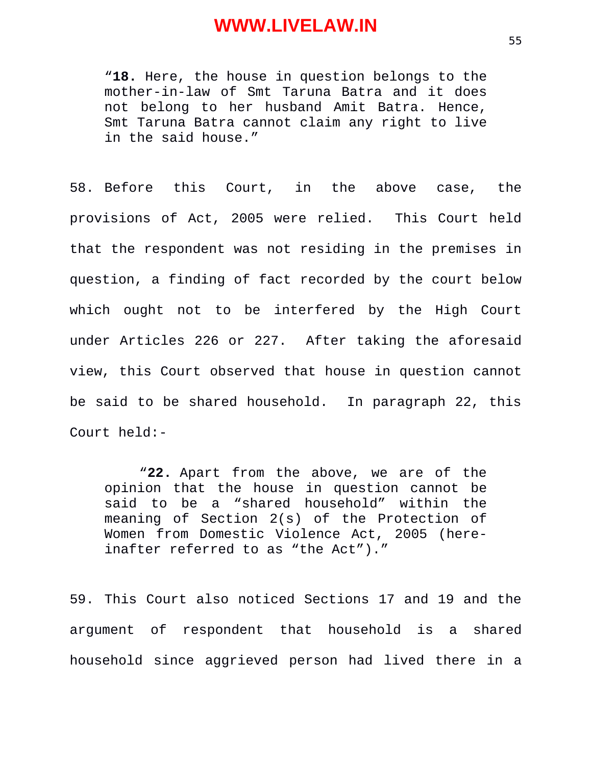"**18.** Here, the house in question belongs to the mother-in-law of Smt Taruna Batra and it does not belong to her husband Amit Batra. Hence, Smt Taruna Batra cannot claim any right to live in the said house."

58. Before this Court, in the above case, the provisions of Act, 2005 were relied. This Court held that the respondent was not residing in the premises in question, a finding of fact recorded by the court below which ought not to be interfered by the High Court under Articles 226 or 227. After taking the aforesaid view, this Court observed that house in question cannot be said to be shared household. In paragraph 22, this Court held:-

"**22.** Apart from the above, we are of the opinion that the house in question cannot be said to be a "shared household" within the meaning of Section 2(s) of the Protection of Women from Domestic Violence Act, 2005 (hereinafter referred to as "the Act")."

59. This Court also noticed Sections 17 and 19 and the argument of respondent that household is a shared household since aggrieved person had lived there in a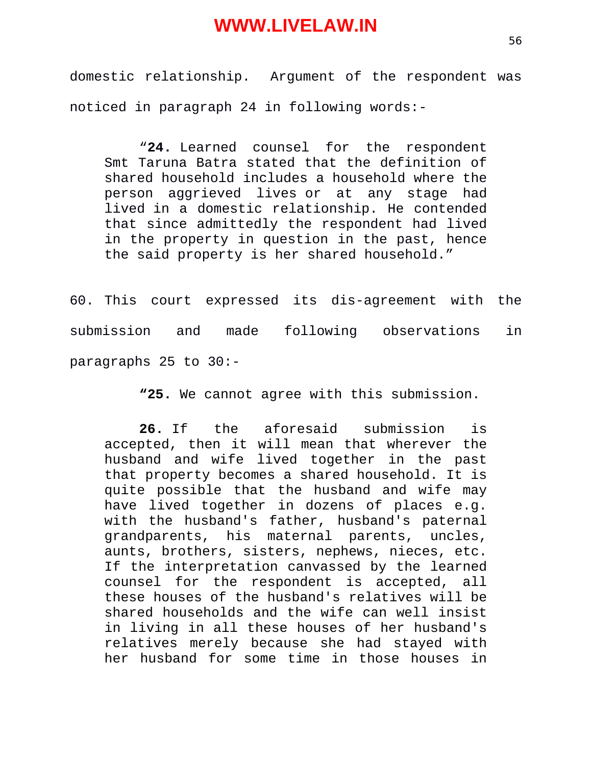domestic relationship. Argument of the respondent was noticed in paragraph 24 in following words:-

"**24.** Learned counsel for the respondent Smt Taruna Batra stated that the definition of shared household includes a household where the person aggrieved lives or at any stage had lived in a domestic relationship. He contended that since admittedly the respondent had lived in the property in question in the past, hence the said property is her shared household."

60. This court expressed its dis-agreement with the submission and made following observations in paragraphs 25 to 30:-

**"25.** We cannot agree with this submission.

**26.** If the aforesaid submission is accepted, then it will mean that wherever the husband and wife lived together in the past that property becomes a shared household. It is quite possible that the husband and wife may have lived together in dozens of places e.g. with the husband's father, husband's paternal grandparents, his maternal parents, uncles, aunts, brothers, sisters, nephews, nieces, etc. If the interpretation canvassed by the learned counsel for the respondent is accepted, all these houses of the husband's relatives will be shared households and the wife can well insist in living in all these houses of her husband's relatives merely because she had stayed with her husband for some time in those houses in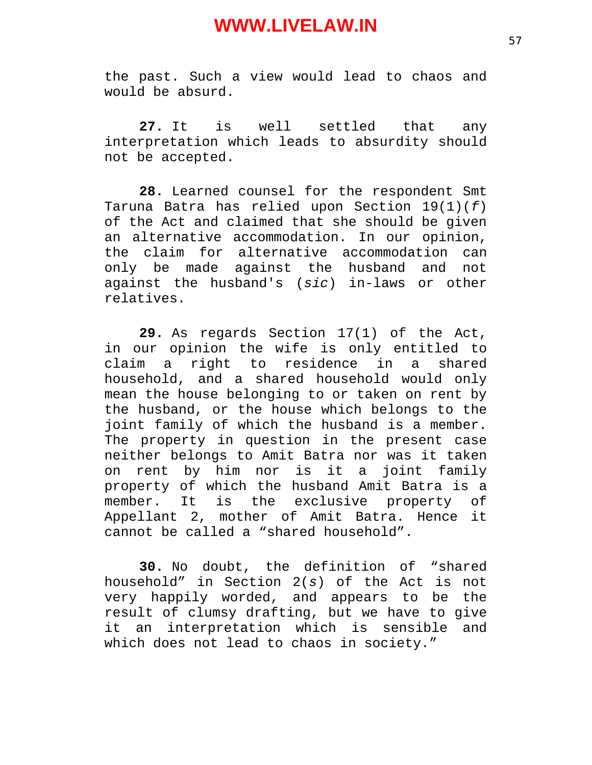the past. Such a view would lead to chaos and would be absurd.

**27.** It is well settled that any interpretation which leads to absurdity should not be accepted.

**28.** Learned counsel for the respondent Smt Taruna Batra has relied upon Section 19(1)(*f*) of the Act and claimed that she should be given an alternative accommodation. In our opinion, the claim for alternative accommodation can only be made against the husband and not against the husband's (*sic*) in-laws or other relatives.

**29.** As regards Section 17(1) of the Act, in our opinion the wife is only entitled to claim a right to residence in a shared household, and a shared household would only mean the house belonging to or taken on rent by the husband, or the house which belongs to the joint family of which the husband is a member. The property in question in the present case neither belongs to Amit Batra nor was it taken on rent by him nor is it a joint family property of which the husband Amit Batra is a member. It is the exclusive property of Appellant 2, mother of Amit Batra. Hence it cannot be called a "shared household".

**30.** No doubt, the definition of "shared household" in Section 2(*s*) of the Act is not very happily worded, and appears to be the result of clumsy drafting, but we have to give it an interpretation which is sensible and which does not lead to chaos in society."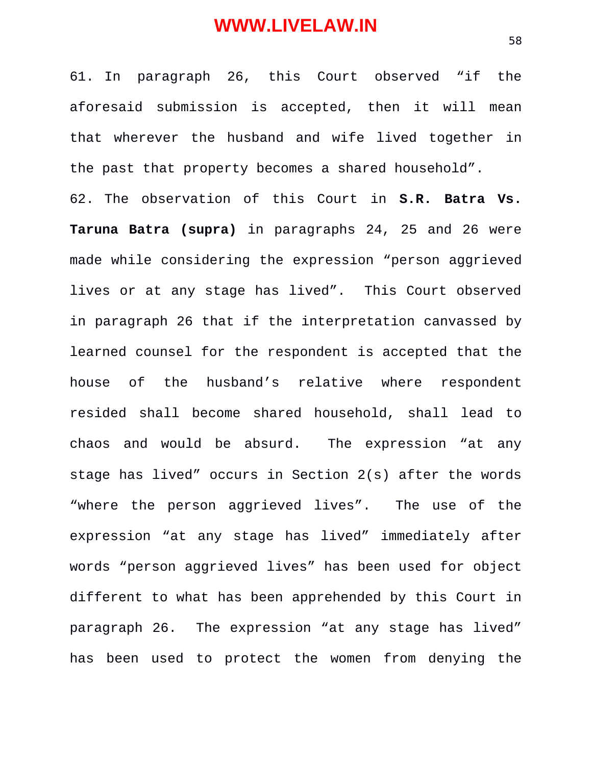61. In paragraph 26, this Court observed "if the aforesaid submission is accepted, then it will mean that wherever the husband and wife lived together in the past that property becomes a shared household".

62. The observation of this Court in **S.R. Batra Vs. Taruna Batra (supra)** in paragraphs 24, 25 and 26 were made while considering the expression "person aggrieved lives or at any stage has lived". This Court observed in paragraph 26 that if the interpretation canvassed by learned counsel for the respondent is accepted that the house of the husband's relative where respondent resided shall become shared household, shall lead to chaos and would be absurd. The expression "at any stage has lived" occurs in Section 2(s) after the words "where the person aggrieved lives". The use of the expression "at any stage has lived" immediately after words "person aggrieved lives" has been used for object different to what has been apprehended by this Court in paragraph 26. The expression "at any stage has lived" has been used to protect the women from denying the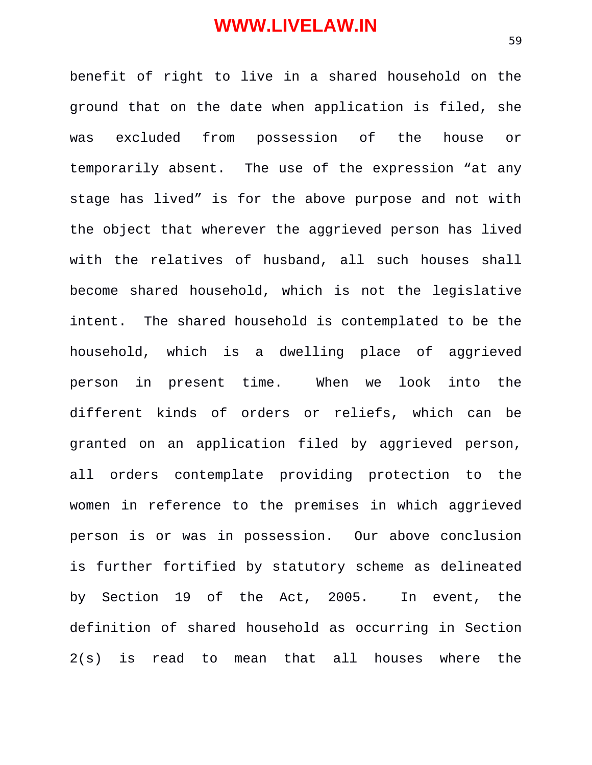benefit of right to live in a shared household on the ground that on the date when application is filed, she was excluded from possession of the house or temporarily absent. The use of the expression "at any stage has lived" is for the above purpose and not with the object that wherever the aggrieved person has lived with the relatives of husband, all such houses shall become shared household, which is not the legislative intent. The shared household is contemplated to be the household, which is a dwelling place of aggrieved person in present time. When we look into the different kinds of orders or reliefs, which can be granted on an application filed by aggrieved person, all orders contemplate providing protection to the women in reference to the premises in which aggrieved person is or was in possession. Our above conclusion is further fortified by statutory scheme as delineated by Section 19 of the Act, 2005. In event, the definition of shared household as occurring in Section 2(s) is read to mean that all houses where the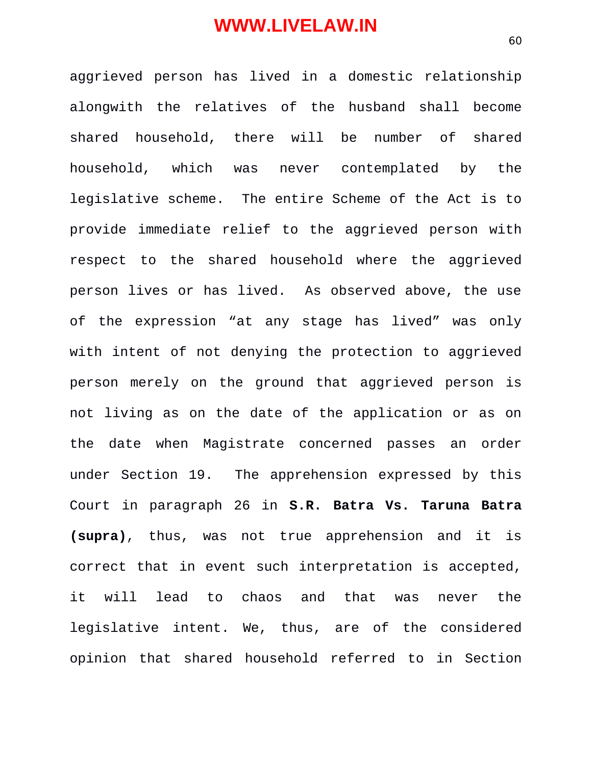aggrieved person has lived in a domestic relationship alongwith the relatives of the husband shall become shared household, there will be number of shared household, which was never contemplated by the legislative scheme. The entire Scheme of the Act is to provide immediate relief to the aggrieved person with respect to the shared household where the aggrieved person lives or has lived. As observed above, the use of the expression "at any stage has lived" was only with intent of not denying the protection to aggrieved person merely on the ground that aggrieved person is not living as on the date of the application or as on the date when Magistrate concerned passes an order under Section 19. The apprehension expressed by this Court in paragraph 26 in **S.R. Batra Vs. Taruna Batra (supra)**, thus, was not true apprehension and it is correct that in event such interpretation is accepted, it will lead to chaos and that was never the legislative intent. We, thus, are of the considered opinion that shared household referred to in Section

60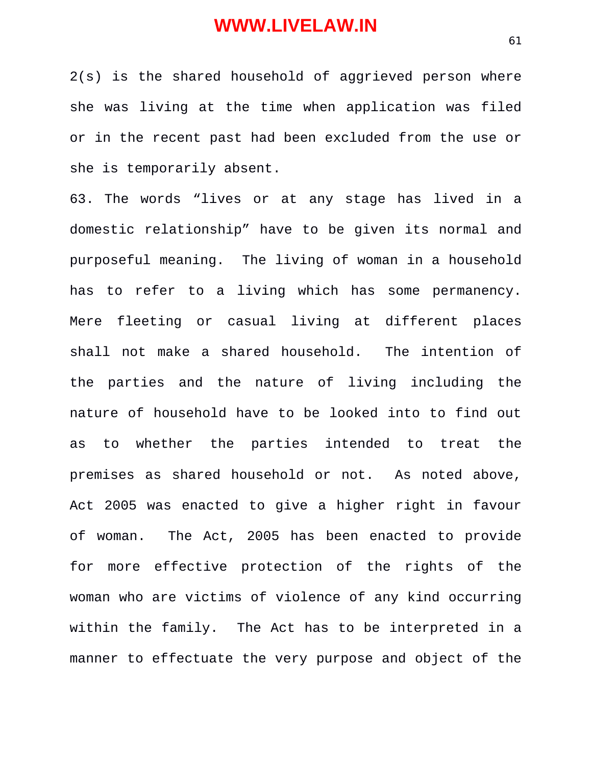2(s) is the shared household of aggrieved person where she was living at the time when application was filed or in the recent past had been excluded from the use or she is temporarily absent.

63. The words "lives or at any stage has lived in a domestic relationship" have to be given its normal and purposeful meaning. The living of woman in a household has to refer to a living which has some permanency. Mere fleeting or casual living at different places shall not make a shared household. The intention of the parties and the nature of living including the nature of household have to be looked into to find out as to whether the parties intended to treat the premises as shared household or not. As noted above, Act 2005 was enacted to give a higher right in favour of woman. The Act, 2005 has been enacted to provide for more effective protection of the rights of the woman who are victims of violence of any kind occurring within the family. The Act has to be interpreted in a manner to effectuate the very purpose and object of the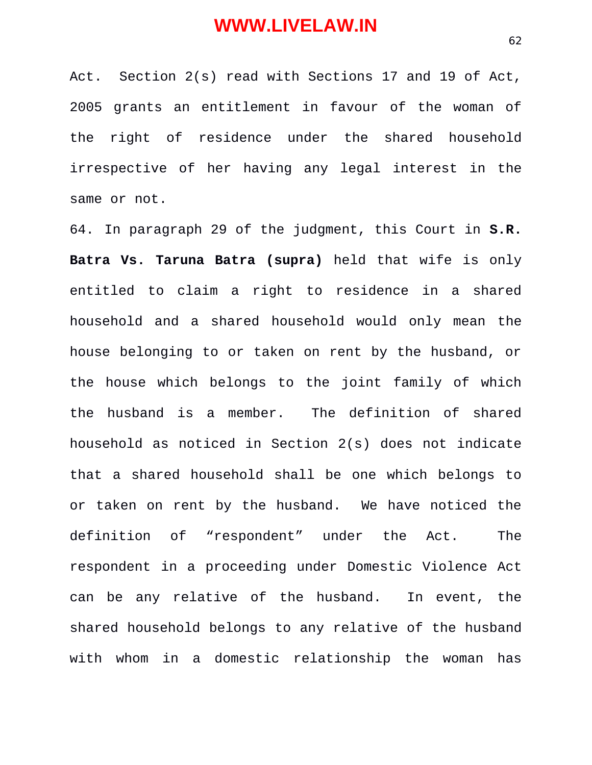Act. Section 2(s) read with Sections 17 and 19 of Act, 2005 grants an entitlement in favour of the woman of the right of residence under the shared household irrespective of her having any legal interest in the same or not.

64. In paragraph 29 of the judgment, this Court in **S.R. Batra Vs. Taruna Batra (supra)** held that wife is only entitled to claim a right to residence in a shared household and a shared household would only mean the house belonging to or taken on rent by the husband, or the house which belongs to the joint family of which the husband is a member. The definition of shared household as noticed in Section 2(s) does not indicate that a shared household shall be one which belongs to or taken on rent by the husband. We have noticed the definition of "respondent" under the Act. The respondent in a proceeding under Domestic Violence Act can be any relative of the husband. In event, the shared household belongs to any relative of the husband with whom in a domestic relationship the woman has

62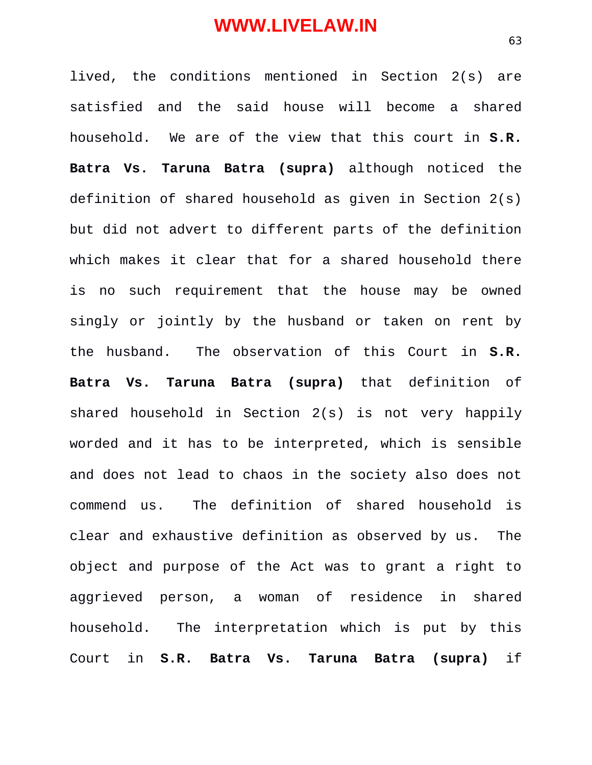lived, the conditions mentioned in Section 2(s) are satisfied and the said house will become a shared household. We are of the view that this court in **S.R. Batra Vs. Taruna Batra (supra)** although noticed the definition of shared household as given in Section 2(s) but did not advert to different parts of the definition which makes it clear that for a shared household there is no such requirement that the house may be owned singly or jointly by the husband or taken on rent by the husband. The observation of this Court in **S.R. Batra Vs. Taruna Batra (supra)** that definition of shared household in Section 2(s) is not very happily worded and it has to be interpreted, which is sensible and does not lead to chaos in the society also does not commend us. The definition of shared household is clear and exhaustive definition as observed by us. The object and purpose of the Act was to grant a right to aggrieved person, a woman of residence in shared household. The interpretation which is put by this Court in **S.R. Batra Vs. Taruna Batra (supra)** if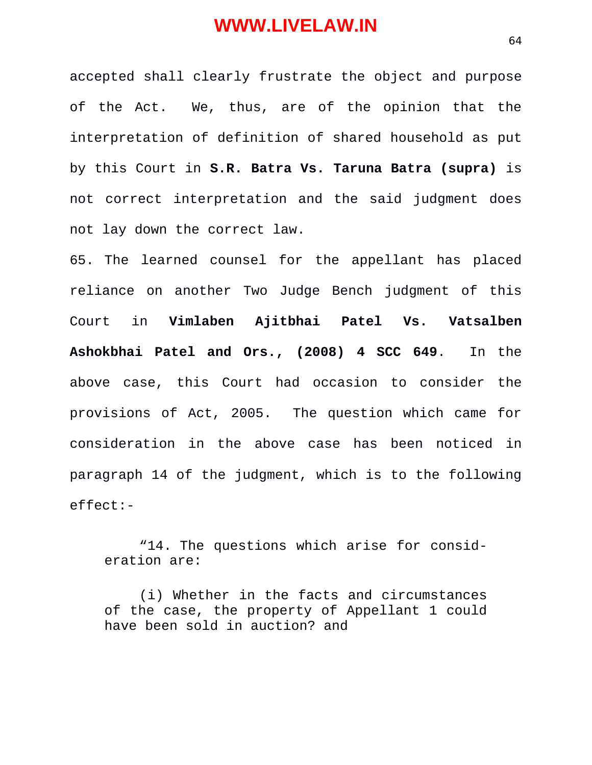accepted shall clearly frustrate the object and purpose of the Act. We, thus, are of the opinion that the interpretation of definition of shared household as put by this Court in **S.R. Batra Vs. Taruna Batra (supra)** is not correct interpretation and the said judgment does not lay down the correct law.

65. The learned counsel for the appellant has placed reliance on another Two Judge Bench judgment of this Court in **Vimlaben Ajitbhai Patel Vs. Vatsalben Ashokbhai Patel and Ors., (2008) 4 SCC 649**. In the above case, this Court had occasion to consider the provisions of Act, 2005. The question which came for consideration in the above case has been noticed in paragraph 14 of the judgment, which is to the following effect:-

"14. The questions which arise for consideration are:

(i) Whether in the facts and circumstances of the case, the property of Appellant 1 could have been sold in auction? and

64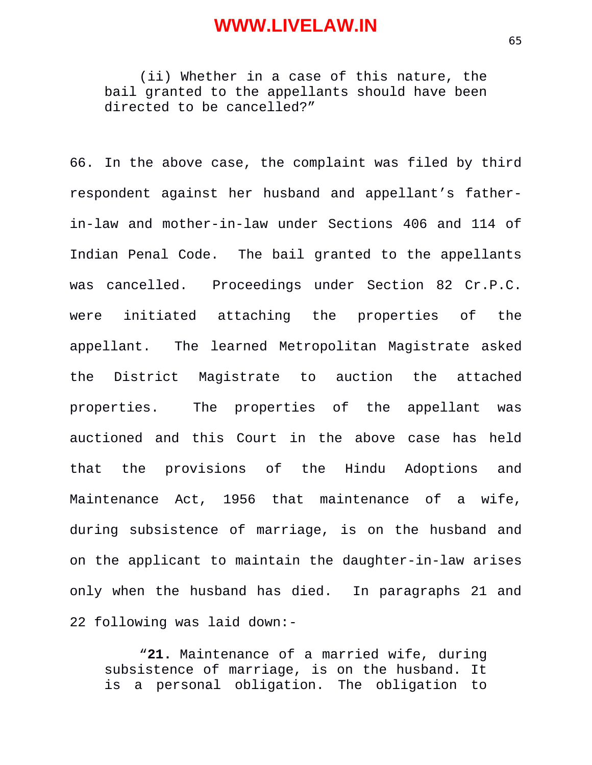(ii) Whether in a case of this nature, the bail granted to the appellants should have been directed to be cancelled?"

66. In the above case, the complaint was filed by third respondent against her husband and appellant's fatherin-law and mother-in-law under Sections 406 and 114 of Indian Penal Code. The bail granted to the appellants was cancelled. Proceedings under Section 82 Cr.P.C. were initiated attaching the properties of the appellant. The learned Metropolitan Magistrate asked the District Magistrate to auction the attached properties. The properties of the appellant was auctioned and this Court in the above case has held that the provisions of the Hindu Adoptions and Maintenance Act, 1956 that maintenance of a wife, during subsistence of marriage, is on the husband and on the applicant to maintain the daughter-in-law arises only when the husband has died. In paragraphs 21 and 22 following was laid down:-

"**21.** Maintenance of a married wife, during subsistence of marriage, is on the husband. It is a personal obligation. The obligation to

65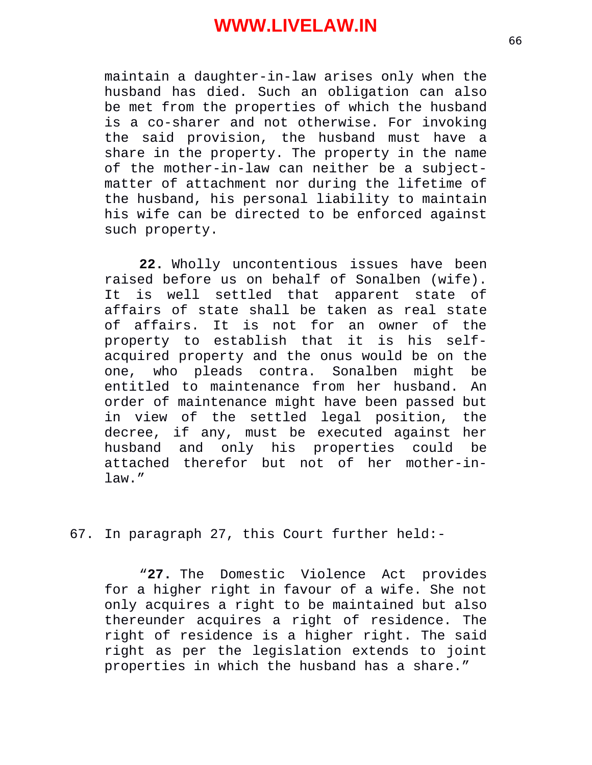maintain a daughter-in-law arises only when the husband has died. Such an obligation can also be met from the properties of which the husband is a co-sharer and not otherwise. For invoking the said provision, the husband must have a share in the property. The property in the name of the mother-in-law can neither be a subjectmatter of attachment nor during the lifetime of the husband, his personal liability to maintain his wife can be directed to be enforced against such property.

**22.** Wholly uncontentious issues have been raised before us on behalf of Sonalben (wife). It is well settled that apparent state of affairs of state shall be taken as real state of affairs. It is not for an owner of the property to establish that it is his selfacquired property and the onus would be on the one, who pleads contra. Sonalben might be entitled to maintenance from her husband. An order of maintenance might have been passed but in view of the settled legal position, the decree, if any, must be executed against her husband and only his properties could be attached therefor but not of her mother-inlaw."

67. In paragraph 27, this Court further held:-

"**27.** The Domestic Violence Act provides for a higher right in favour of a wife. She not only acquires a right to be maintained but also thereunder acquires a right of residence. The right of residence is a higher right. The said right as per the legislation extends to joint properties in which the husband has a share."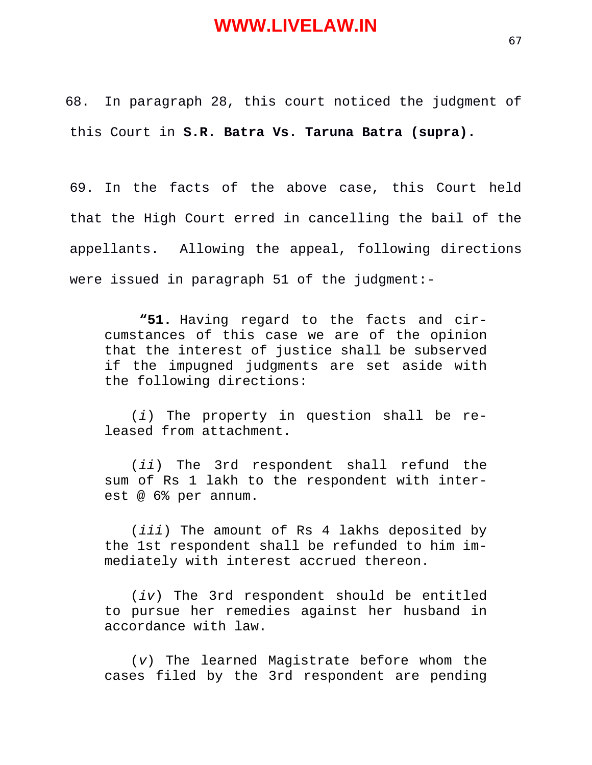68. In paragraph 28, this court noticed the judgment of this Court in **S.R. Batra Vs. Taruna Batra (supra).**

69. In the facts of the above case, this Court held that the High Court erred in cancelling the bail of the appellants. Allowing the appeal, following directions were issued in paragraph 51 of the judgment:-

**"51.** Having regard to the facts and circumstances of this case we are of the opinion that the interest of justice shall be subserved if the impugned judgments are set aside with the following directions:

(*i*) The property in question shall be released from attachment.

(*ii*) The 3rd respondent shall refund the sum of Rs 1 lakh to the respondent with interest @ 6% per annum.

(*iii*) The amount of Rs 4 lakhs deposited by the 1st respondent shall be refunded to him immediately with interest accrued thereon.

(*iv*) The 3rd respondent should be entitled to pursue her remedies against her husband in accordance with law.

(*v*) The learned Magistrate before whom the cases filed by the 3rd respondent are pending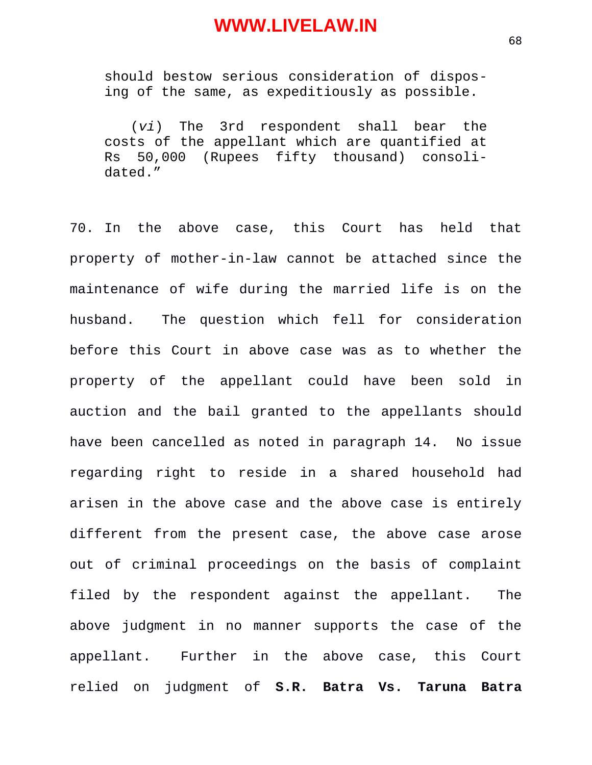should bestow serious consideration of disposing of the same, as expeditiously as possible.

(*vi*) The 3rd respondent shall bear the costs of the appellant which are quantified at Rs 50,000 (Rupees fifty thousand) consolidated."

70. In the above case, this Court has held that property of mother-in-law cannot be attached since the maintenance of wife during the married life is on the husband. The question which fell for consideration before this Court in above case was as to whether the property of the appellant could have been sold in auction and the bail granted to the appellants should have been cancelled as noted in paragraph 14. No issue regarding right to reside in a shared household had arisen in the above case and the above case is entirely different from the present case, the above case arose out of criminal proceedings on the basis of complaint filed by the respondent against the appellant. The above judgment in no manner supports the case of the appellant. Further in the above case, this Court relied on judgment of **S.R. Batra Vs. Taruna Batra**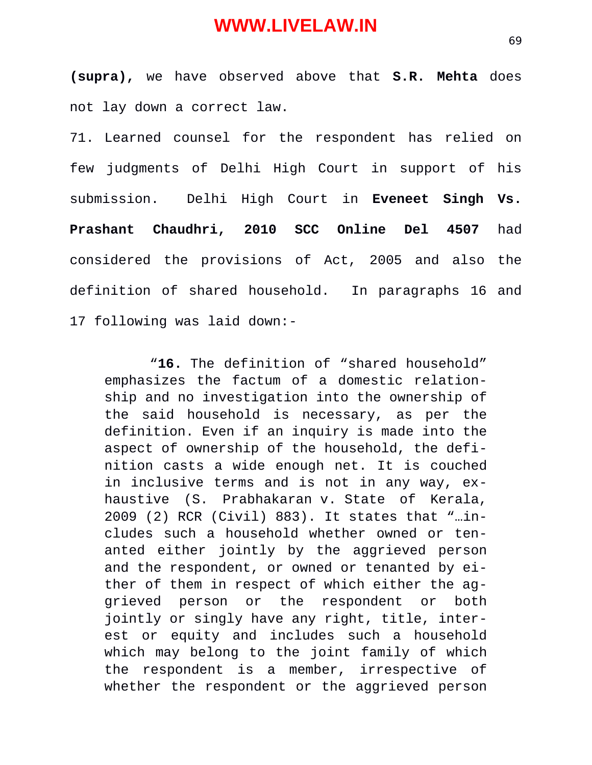**(supra),** we have observed above that **S.R. Mehta** does not lay down a correct law.

71. Learned counsel for the respondent has relied on few judgments of Delhi High Court in support of his submission. Delhi High Court in **Eveneet Singh Vs. Prashant Chaudhri, 2010 SCC Online Del 4507** had considered the provisions of Act, 2005 and also the definition of shared household. In paragraphs 16 and 17 following was laid down:-

 "**16.** The definition of "shared household" emphasizes the factum of a domestic relationship and no investigation into the ownership of the said household is necessary, as per the definition. Even if an inquiry is made into the aspect of ownership of the household, the definition casts a wide enough net. It is couched in inclusive terms and is not in any way, exhaustive (S. Prabhakaran v. State of Kerala, 2009 (2) RCR (Civil) 883). It states that "…includes such a household whether owned or tenanted either jointly by the aggrieved person and the respondent, or owned or tenanted by either of them in respect of which either the aggrieved person or the respondent or both jointly or singly have any right, title, interest or equity and includes such a household which may belong to the joint family of which the respondent is a member, irrespective of whether the respondent or the aggrieved person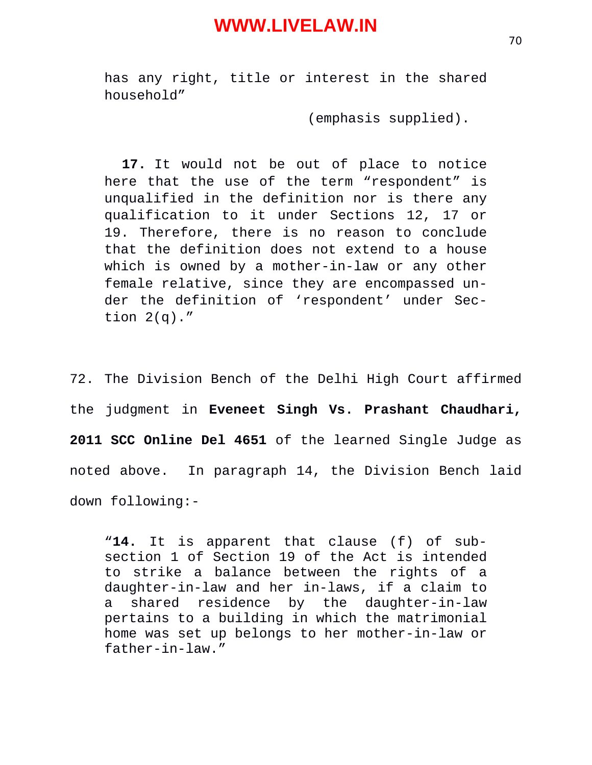has any right, title or interest in the shared household"

(emphasis supplied).

**17.** It would not be out of place to notice here that the use of the term "respondent" is unqualified in the definition nor is there any qualification to it under Sections 12, 17 or 19. Therefore, there is no reason to conclude that the definition does not extend to a house which is owned by a mother-in-law or any other female relative, since they are encompassed under the definition of 'respondent' under Section  $2(q)$ ."

72. The Division Bench of the Delhi High Court affirmed the judgment in **Eveneet Singh Vs. Prashant Chaudhari, 2011 SCC Online Del 4651** of the learned Single Judge as noted above. In paragraph 14, the Division Bench laid down following:-

"**14.** It is apparent that clause (f) of subsection 1 of Section 19 of the Act is intended to strike a balance between the rights of a daughter-in-law and her in-laws, if a claim to a shared residence by the daughter-in-law pertains to a building in which the matrimonial home was set up belongs to her mother-in-law or father-in-law."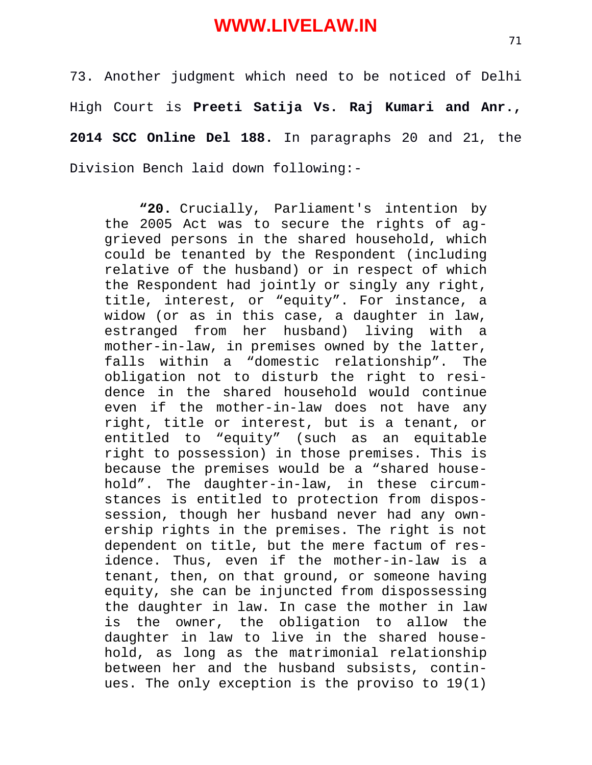73. Another judgment which need to be noticed of Delhi High Court is **Preeti Satija Vs. Raj Kumari and Anr., 2014 SCC Online Del 188.** In paragraphs 20 and 21, the Division Bench laid down following:-

**"20.** Crucially, Parliament's intention by the 2005 Act was to secure the rights of aggrieved persons in the shared household, which could be tenanted by the Respondent (including relative of the husband) or in respect of which the Respondent had jointly or singly any right, title, interest, or "equity". For instance, a widow (or as in this case, a daughter in law, estranged from her husband) living with a mother-in-law, in premises owned by the latter, falls within a "domestic relationship". The obligation not to disturb the right to residence in the shared household would continue even if the mother-in-law does not have any right, title or interest, but is a tenant, or entitled to "equity" (such as an equitable right to possession) in those premises. This is because the premises would be a "shared household". The daughter-in-law, in these circumstances is entitled to protection from dispossession, though her husband never had any ownership rights in the premises. The right is not dependent on title, but the mere factum of residence. Thus, even if the mother-in-law is a tenant, then, on that ground, or someone having equity, she can be injuncted from dispossessing the daughter in law. In case the mother in law is the owner, the obligation to allow the daughter in law to live in the shared household, as long as the matrimonial relationship between her and the husband subsists, continues. The only exception is the proviso to 19(1)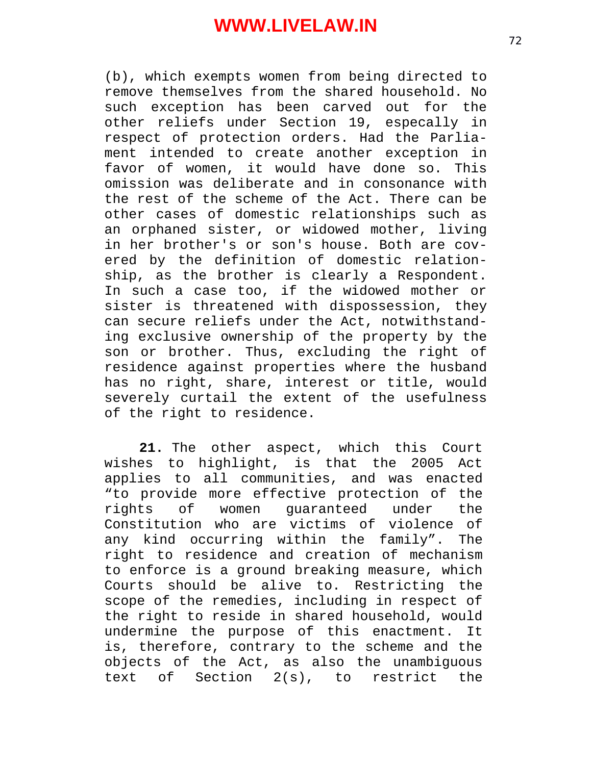(b), which exempts women from being directed to remove themselves from the shared household. No such exception has been carved out for the other reliefs under Section 19, especally in respect of protection orders. Had the Parliament intended to create another exception in favor of women, it would have done so. This omission was deliberate and in consonance with the rest of the scheme of the Act. There can be other cases of domestic relationships such as an orphaned sister, or widowed mother, living in her brother's or son's house. Both are covered by the definition of domestic relationship, as the brother is clearly a Respondent. In such a case too, if the widowed mother or sister is threatened with dispossession, they can secure reliefs under the Act, notwithstanding exclusive ownership of the property by the son or brother. Thus, excluding the right of residence against properties where the husband has no right, share, interest or title, would severely curtail the extent of the usefulness of the right to residence.

**21.** The other aspect, which this Court wishes to highlight, is that the 2005 Act applies to all communities, and was enacted "to provide more effective protection of the rights of women guaranteed under the Constitution who are victims of violence of any kind occurring within the family". The right to residence and creation of mechanism to enforce is a ground breaking measure, which Courts should be alive to. Restricting the scope of the remedies, including in respect of the right to reside in shared household, would undermine the purpose of this enactment. It is, therefore, contrary to the scheme and the objects of the Act, as also the unambiguous text of Section 2(s), to restrict the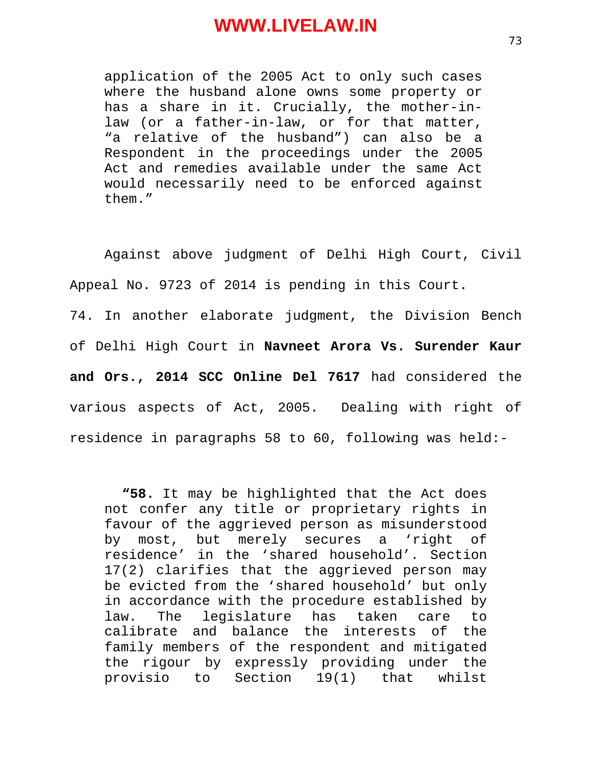application of the 2005 Act to only such cases where the husband alone owns some property or has a share in it. Crucially, the mother-inlaw (or a father-in-law, or for that matter, "a relative of the husband") can also be a Respondent in the proceedings under the 2005 Act and remedies available under the same Act would necessarily need to be enforced against them."

Against above judgment of Delhi High Court, Civil Appeal No. 9723 of 2014 is pending in this Court. 74. In another elaborate judgment, the Division Bench of Delhi High Court in **Navneet Arora Vs. Surender Kaur**

**and Ors., 2014 SCC Online Del 7617** had considered the various aspects of Act, 2005. Dealing with right of residence in paragraphs 58 to 60, following was held:-

**"58.** It may be highlighted that the Act does not confer any title or proprietary rights in favour of the aggrieved person as misunderstood by most, but merely secures a 'right of residence' in the 'shared household'. Section 17(2) clarifies that the aggrieved person may be evicted from the 'shared household' but only in accordance with the procedure established by law. The legislature has taken care to calibrate and balance the interests of the family members of the respondent and mitigated the rigour by expressly providing under the provisio to Section 19(1) that whilst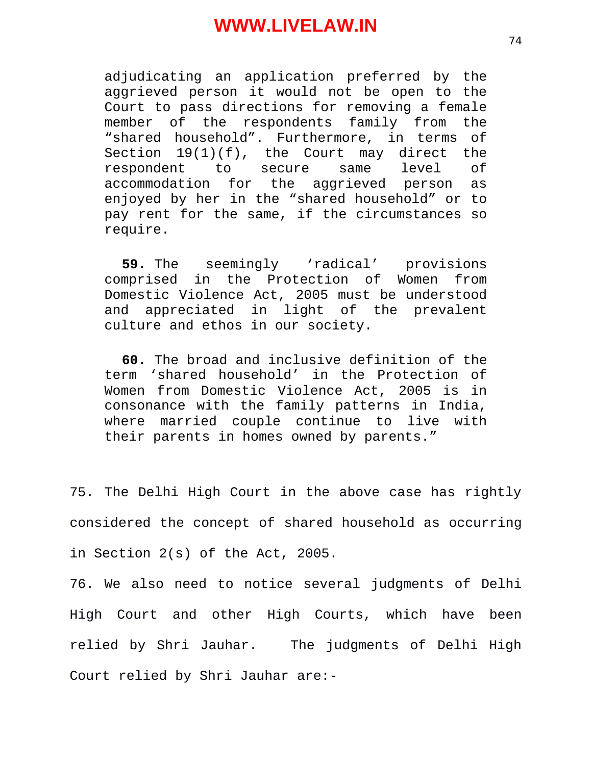adjudicating an application preferred by the aggrieved person it would not be open to the Court to pass directions for removing a female member of the respondents family from the "shared household". Furthermore, in terms of Section  $19(1)(f)$ , the Court may direct the respondent to secure same level of accommodation for the aggrieved person as enjoyed by her in the "shared household" or to pay rent for the same, if the circumstances so require.

**59.** The seemingly 'radical' provisions comprised in the Protection of Women from Domestic Violence Act, 2005 must be understood and appreciated in light of the prevalent culture and ethos in our society.

**60.** The broad and inclusive definition of the term 'shared household' in the Protection of Women from Domestic Violence Act, 2005 is in consonance with the family patterns in India, where married couple continue to live with their parents in homes owned by parents."

75. The Delhi High Court in the above case has rightly considered the concept of shared household as occurring in Section 2(s) of the Act, 2005.

76. We also need to notice several judgments of Delhi High Court and other High Courts, which have been relied by Shri Jauhar. The judgments of Delhi High Court relied by Shri Jauhar are:-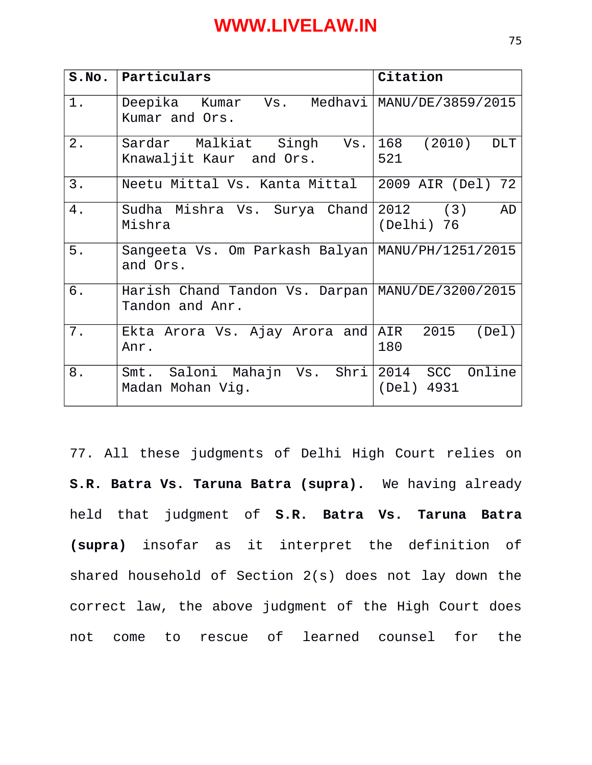| S.NO. | Particulars                                                           | Citation                           |
|-------|-----------------------------------------------------------------------|------------------------------------|
| 1.    | Deepika Kumar Vs. Medhavi MANU/DE/3859/2015<br>Kumar and Ors.         |                                    |
| 2.    | Sardar Malkiat Singh Vs.<br>Knawaljit Kaur and Ors.                   | <b>DLT</b><br>(2010)<br>168<br>521 |
| 3.    | Neetu Mittal Vs. Kanta Mittal                                         | 2009 AIR (Del) 72                  |
| 4.    | Sudha Mishra Vs. Surya Chand 2012 (3)<br>Mishra                       | <b>AD</b><br>(Delhi) 76            |
| 5.    | Sangeeta Vs. Om Parkash Balyan<br>and Ors.                            | MANU/PH/1251/2015                  |
| 6.    | Harish Chand Tandon Vs. Darpan   MANU/DE/3200/2015<br>Tandon and Anr. |                                    |
| 7.    | Ekta Arora Vs. Ajay Arora and<br>Anr.                                 | AIR 2015<br>(Del)<br>180           |
| 8.    | Smt. Saloni Mahajn Vs. Shri 2014 SCC<br>Madan Mohan Vig.              | Online<br>$(\text{Del})$<br>4931   |

77. All these judgments of Delhi High Court relies on **S.R. Batra Vs. Taruna Batra (supra).** We having already held that judgment of **S.R. Batra Vs. Taruna Batra (supra)** insofar as it interpret the definition of shared household of Section 2(s) does not lay down the correct law, the above judgment of the High Court does not come to rescue of learned counsel for the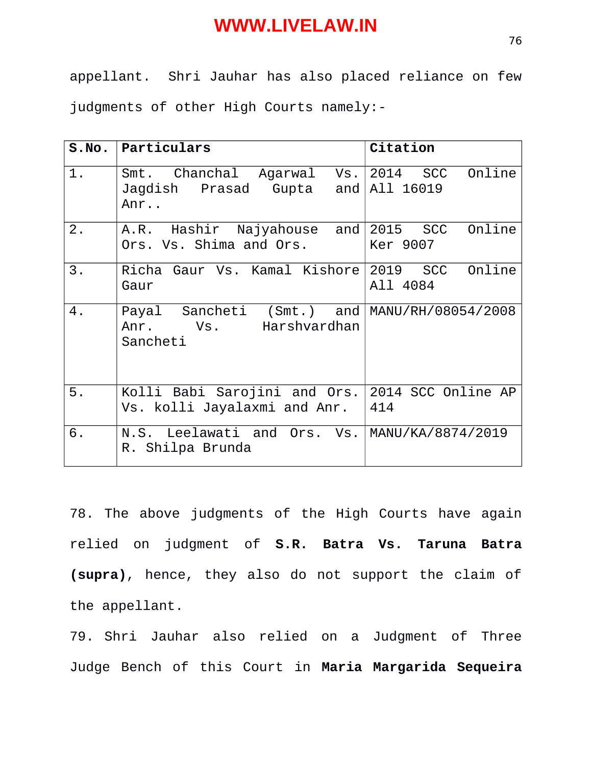appellant. Shri Jauhar has also placed reliance on few judgments of other High Courts namely:-

|    | S.No.   Particulars                       | Citation           |
|----|-------------------------------------------|--------------------|
| 1. | Smt. Chanchal Agarwal Vs. 2014 SCC Online |                    |
|    | Jagdish Prasad Gupta<br>and $ $<br>Anr    | All 16019          |
| 2. | A.R. Hashir Najyahouse and                | Online<br>2015 SCC |
|    | Ors. Vs. Shima and Ors.                   | Ker 9007           |
| 3. | Richa Gaur Vs. Kamal Kishore              | Online<br>2019 SCC |
|    | Gaur                                      | All 4084           |
| 4. | Payal Sancheti (Smt.) and                 | MANU/RH/08054/2008 |
|    | Anr. Vs. Harshvardhan<br>Sancheti         |                    |
|    |                                           |                    |
| 5. | Kolli Babi Sarojini and Ors.              | 2014 SCC Online AP |
|    | Vs. kolli Jayalaxmi and Anr.              | 414                |
| 6. | N.S. Leelawati and Ors. Vs.               | MANU/KA/8874/2019  |
|    | R. Shilpa Brunda                          |                    |

78. The above judgments of the High Courts have again relied on judgment of **S.R. Batra Vs. Taruna Batra (supra)**, hence, they also do not support the claim of the appellant.

79. Shri Jauhar also relied on a Judgment of Three Judge Bench of this Court in **Maria Margarida Sequeira**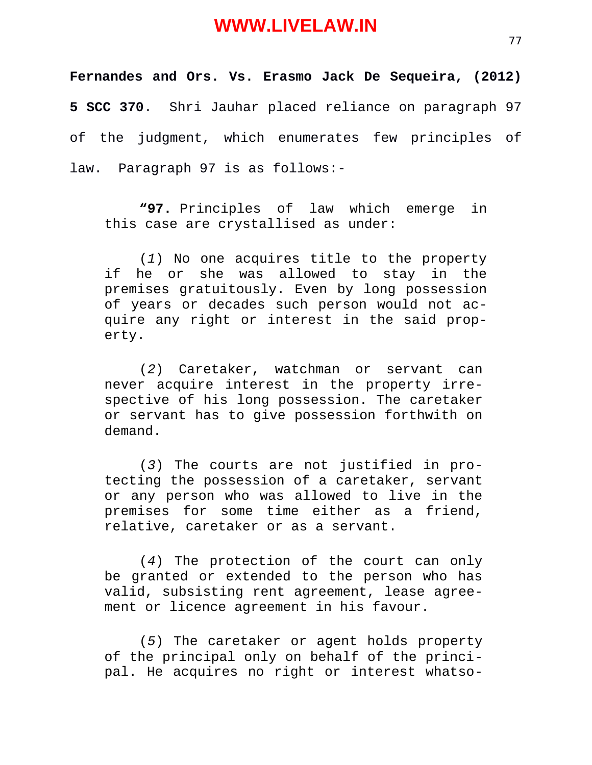**Fernandes and Ors. Vs. Erasmo Jack De Sequeira, (2012) 5 SCC 370**. Shri Jauhar placed reliance on paragraph 97 of the judgment, which enumerates few principles of law. Paragraph 97 is as follows:-

**"97.** Principles of law which emerge in this case are crystallised as under:

(*1*) No one acquires title to the property if he or she was allowed to stay in the premises gratuitously. Even by long possession of years or decades such person would not acquire any right or interest in the said property.

(*2*) Caretaker, watchman or servant can never acquire interest in the property irrespective of his long possession. The caretaker or servant has to give possession forthwith on demand.

(*3*) The courts are not justified in protecting the possession of a caretaker, servant or any person who was allowed to live in the premises for some time either as a friend, relative, caretaker or as a servant.

(*4*) The protection of the court can only be granted or extended to the person who has valid, subsisting rent agreement, lease agreement or licence agreement in his favour.

(*5*) The caretaker or agent holds property of the principal only on behalf of the principal. He acquires no right or interest whatso-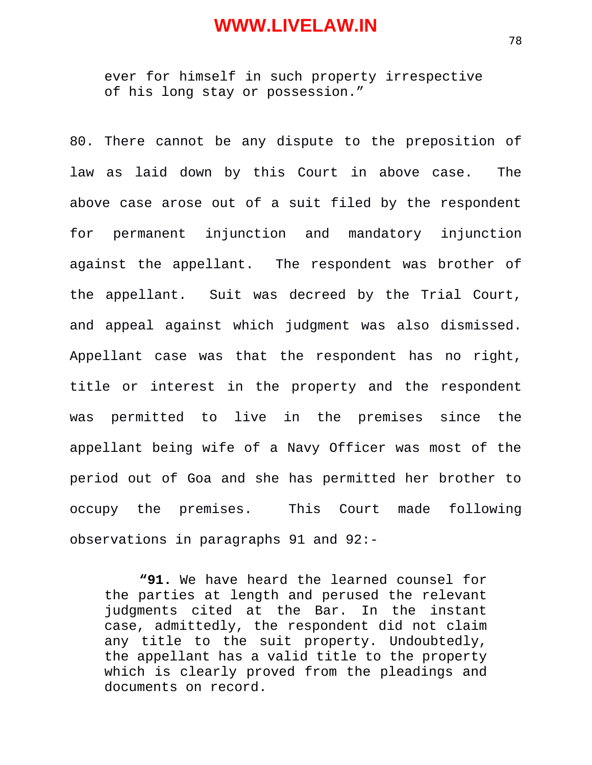ever for himself in such property irrespective of his long stay or possession."

80. There cannot be any dispute to the preposition of law as laid down by this Court in above case. The above case arose out of a suit filed by the respondent for permanent injunction and mandatory injunction against the appellant. The respondent was brother of the appellant. Suit was decreed by the Trial Court, and appeal against which judgment was also dismissed. Appellant case was that the respondent has no right, title or interest in the property and the respondent was permitted to live in the premises since the appellant being wife of a Navy Officer was most of the period out of Goa and she has permitted her brother to occupy the premises. This Court made following observations in paragraphs 91 and 92:-

**"91.** We have heard the learned counsel for the parties at length and perused the relevant judgments cited at the Bar. In the instant case, admittedly, the respondent did not claim any title to the suit property. Undoubtedly, the appellant has a valid title to the property which is clearly proved from the pleadings and documents on record.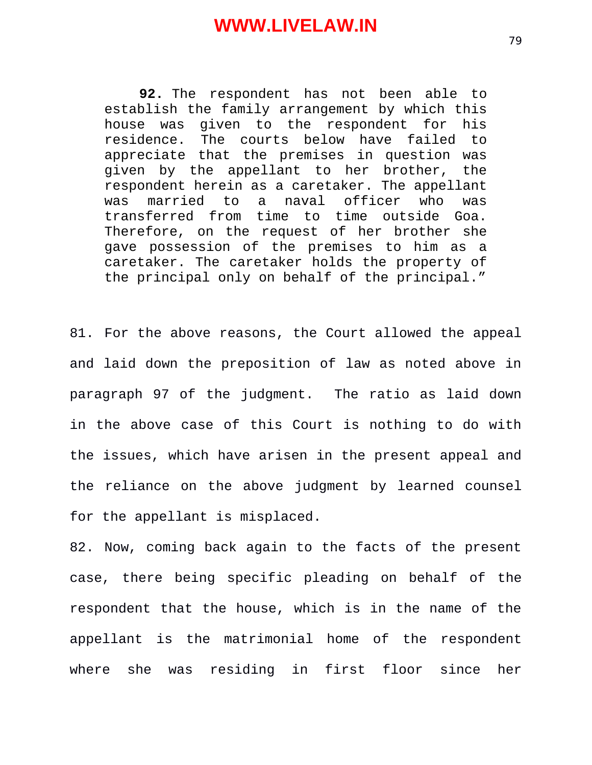**92.** The respondent has not been able to establish the family arrangement by which this house was given to the respondent for his residence. The courts below have failed to appreciate that the premises in question was given by the appellant to her brother, the respondent herein as a caretaker. The appellant was married to a naval officer who was transferred from time to time outside Goa. Therefore, on the request of her brother she gave possession of the premises to him as a caretaker. The caretaker holds the property of the principal only on behalf of the principal."

81. For the above reasons, the Court allowed the appeal and laid down the preposition of law as noted above in paragraph 97 of the judgment. The ratio as laid down in the above case of this Court is nothing to do with the issues, which have arisen in the present appeal and the reliance on the above judgment by learned counsel for the appellant is misplaced.

82. Now, coming back again to the facts of the present case, there being specific pleading on behalf of the respondent that the house, which is in the name of the appellant is the matrimonial home of the respondent where she was residing in first floor since her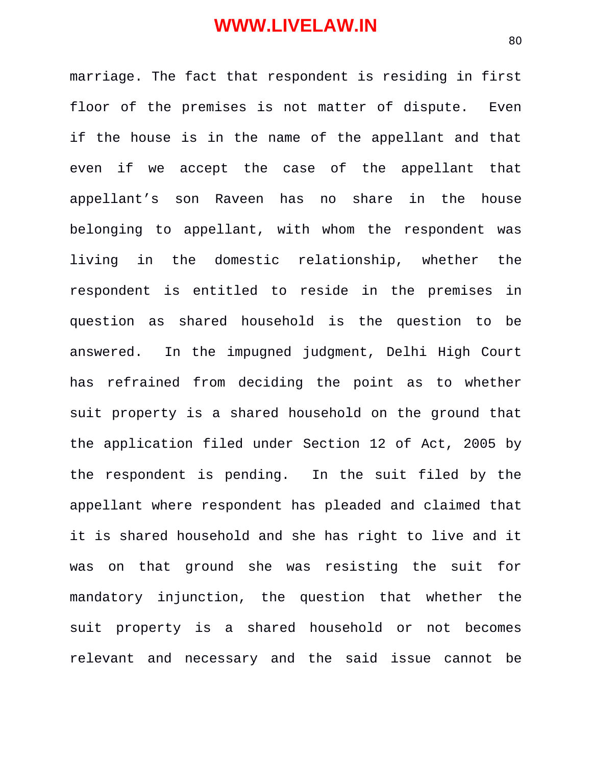marriage. The fact that respondent is residing in first floor of the premises is not matter of dispute. Even if the house is in the name of the appellant and that even if we accept the case of the appellant that appellant's son Raveen has no share in the house belonging to appellant, with whom the respondent was living in the domestic relationship, whether the respondent is entitled to reside in the premises in question as shared household is the question to be answered. In the impugned judgment, Delhi High Court has refrained from deciding the point as to whether suit property is a shared household on the ground that the application filed under Section 12 of Act, 2005 by the respondent is pending. In the suit filed by the appellant where respondent has pleaded and claimed that it is shared household and she has right to live and it was on that ground she was resisting the suit for mandatory injunction, the question that whether the suit property is a shared household or not becomes relevant and necessary and the said issue cannot be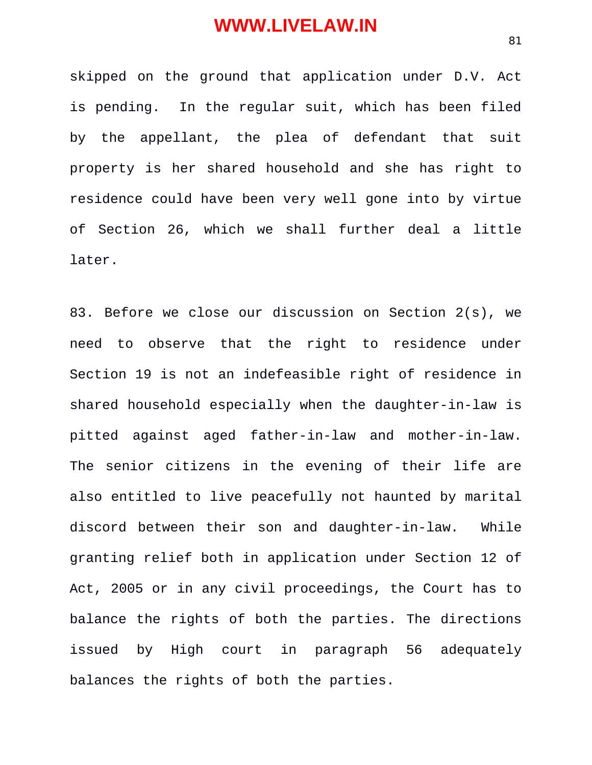skipped on the ground that application under D.V. Act is pending. In the regular suit, which has been filed by the appellant, the plea of defendant that suit property is her shared household and she has right to residence could have been very well gone into by virtue of Section 26, which we shall further deal a little later.

83. Before we close our discussion on Section 2(s), we need to observe that the right to residence under Section 19 is not an indefeasible right of residence in shared household especially when the daughter-in-law is pitted against aged father-in-law and mother-in-law. The senior citizens in the evening of their life are also entitled to live peacefully not haunted by marital discord between their son and daughter-in-law. While granting relief both in application under Section 12 of Act, 2005 or in any civil proceedings, the Court has to balance the rights of both the parties. The directions issued by High court in paragraph 56 adequately balances the rights of both the parties.

81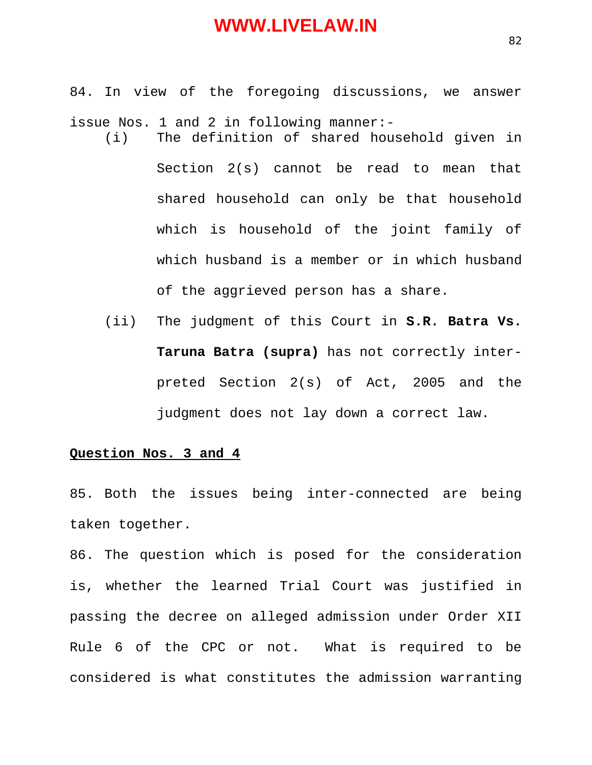- 84. In view of the foregoing discussions, we answer issue Nos. 1 and 2 in following manner:-
	- (i) The definition of shared household given in Section 2(s) cannot be read to mean that shared household can only be that household which is household of the joint family of which husband is a member or in which husband of the aggrieved person has a share.
		- (ii) The judgment of this Court in **S.R. Batra Vs. Taruna Batra (supra)** has not correctly interpreted Section 2(s) of Act, 2005 and the judgment does not lay down a correct law.

#### **Question Nos. 3 and 4**

85. Both the issues being inter-connected are being taken together.

86. The question which is posed for the consideration is, whether the learned Trial Court was justified in passing the decree on alleged admission under Order XII Rule 6 of the CPC or not. What is required to be considered is what constitutes the admission warranting

82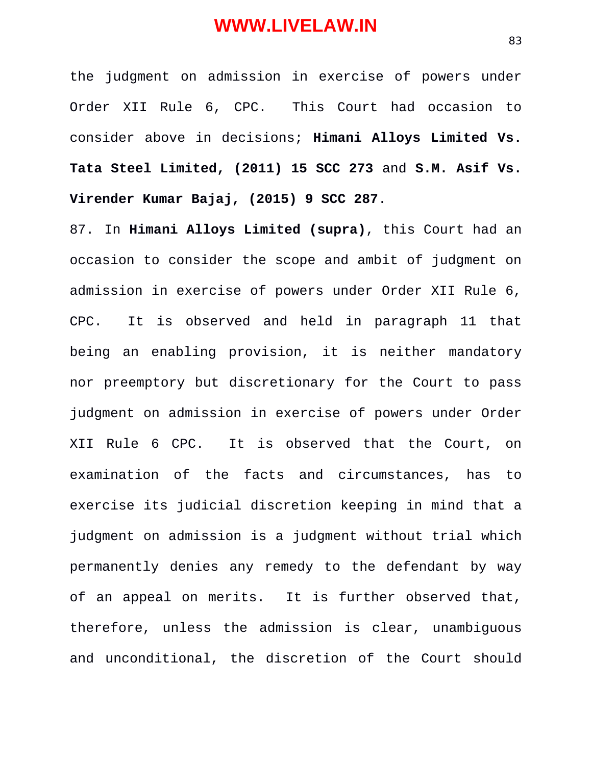the judgment on admission in exercise of powers under Order XII Rule 6, CPC. This Court had occasion to consider above in decisions; **Himani Alloys Limited Vs. Tata Steel Limited, (2011) 15 SCC 273** and **S.M. Asif Vs. Virender Kumar Bajaj, (2015) 9 SCC 287**.

87. In **Himani Alloys Limited (supra)**, this Court had an occasion to consider the scope and ambit of judgment on admission in exercise of powers under Order XII Rule 6, CPC. It is observed and held in paragraph 11 that being an enabling provision, it is neither mandatory nor preemptory but discretionary for the Court to pass judgment on admission in exercise of powers under Order XII Rule 6 CPC. It is observed that the Court, on examination of the facts and circumstances, has to exercise its judicial discretion keeping in mind that a judgment on admission is a judgment without trial which permanently denies any remedy to the defendant by way of an appeal on merits. It is further observed that, therefore, unless the admission is clear, unambiguous and unconditional, the discretion of the Court should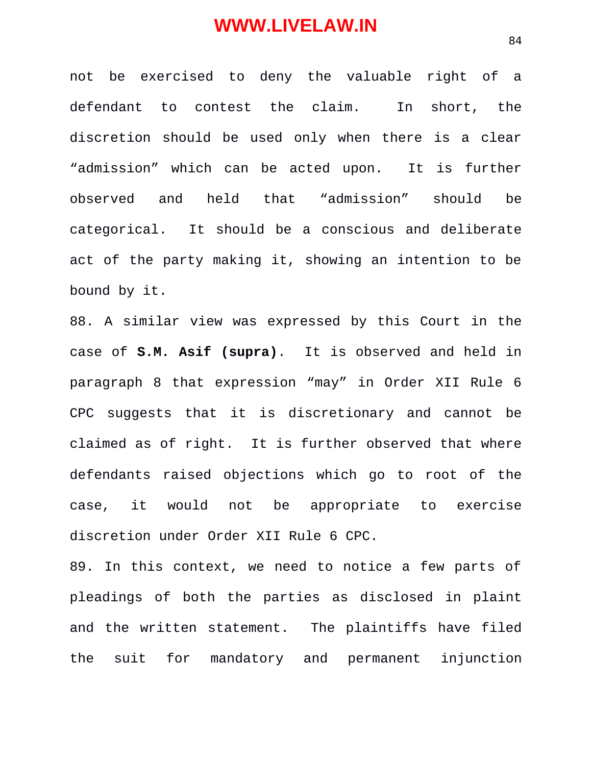not be exercised to deny the valuable right of a defendant to contest the claim. In short, the discretion should be used only when there is a clear "admission" which can be acted upon. It is further observed and held that "admission" should be categorical. It should be a conscious and deliberate act of the party making it, showing an intention to be bound by it.

88. A similar view was expressed by this Court in the case of **S.M. Asif (supra)**. It is observed and held in paragraph 8 that expression "may" in Order XII Rule 6 CPC suggests that it is discretionary and cannot be claimed as of right. It is further observed that where defendants raised objections which go to root of the case, it would not be appropriate to exercise discretion under Order XII Rule 6 CPC.

89. In this context, we need to notice a few parts of pleadings of both the parties as disclosed in plaint and the written statement. The plaintiffs have filed the suit for mandatory and permanent injunction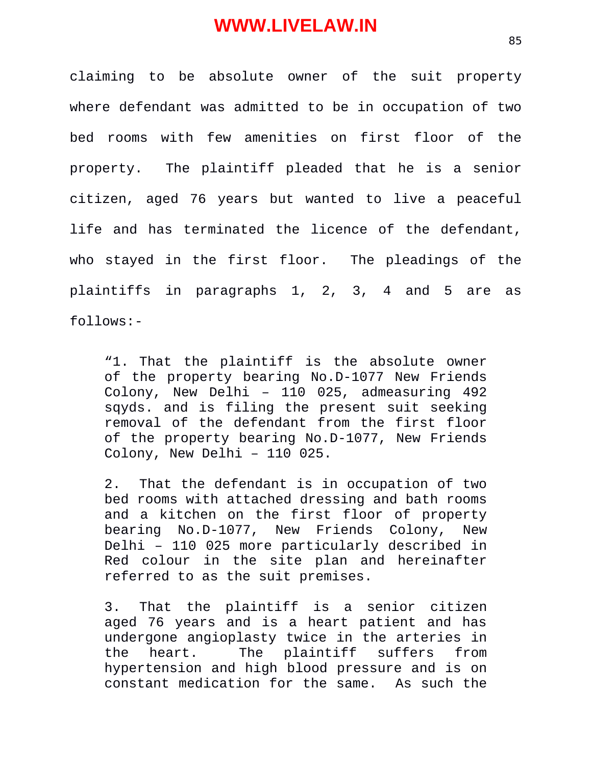claiming to be absolute owner of the suit property where defendant was admitted to be in occupation of two bed rooms with few amenities on first floor of the property. The plaintiff pleaded that he is a senior citizen, aged 76 years but wanted to live a peaceful life and has terminated the licence of the defendant, who stayed in the first floor. The pleadings of the plaintiffs in paragraphs 1, 2, 3, 4 and 5 are as follows:-

"1. That the plaintiff is the absolute owner of the property bearing No.D-1077 New Friends Colony, New Delhi – 110 025, admeasuring 492 sqyds. and is filing the present suit seeking removal of the defendant from the first floor of the property bearing No.D-1077, New Friends Colony, New Delhi – 110 025.

2. That the defendant is in occupation of two bed rooms with attached dressing and bath rooms and a kitchen on the first floor of property bearing No.D-1077, New Friends Colony, New Delhi – 110 025 more particularly described in Red colour in the site plan and hereinafter referred to as the suit premises.

3. That the plaintiff is a senior citizen aged 76 years and is a heart patient and has undergone angioplasty twice in the arteries in the heart. The plaintiff suffers from hypertension and high blood pressure and is on constant medication for the same. As such the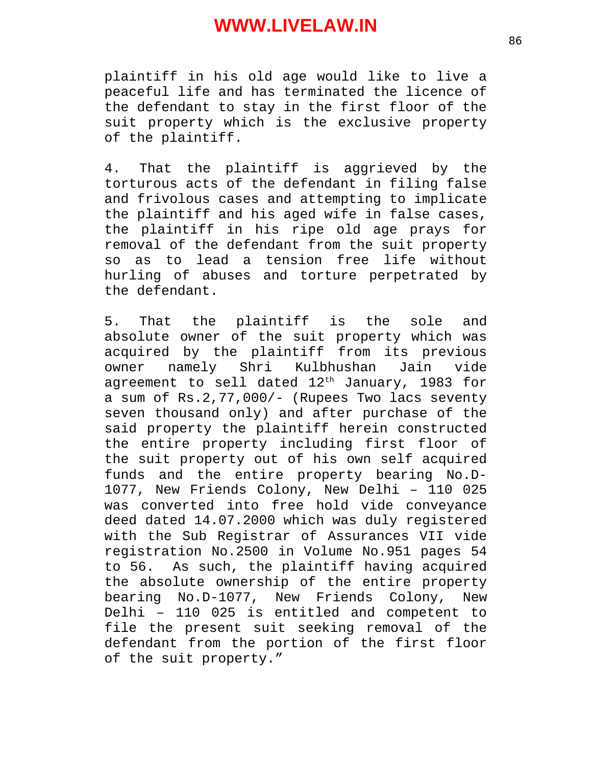plaintiff in his old age would like to live a peaceful life and has terminated the licence of the defendant to stay in the first floor of the suit property which is the exclusive property of the plaintiff.

4. That the plaintiff is aggrieved by the torturous acts of the defendant in filing false and frivolous cases and attempting to implicate the plaintiff and his aged wife in false cases, the plaintiff in his ripe old age prays for removal of the defendant from the suit property so as to lead a tension free life without hurling of abuses and torture perpetrated by the defendant.

5. That the plaintiff is the sole and absolute owner of the suit property which was acquired by the plaintiff from its previous owner namely Shri Kulbhushan Jain vide agreement to sell dated  $12<sup>th</sup>$  January, 1983 for a sum of Rs.2,77,000/- (Rupees Two lacs seventy seven thousand only) and after purchase of the said property the plaintiff herein constructed the entire property including first floor of the suit property out of his own self acquired funds and the entire property bearing No.D-1077, New Friends Colony, New Delhi – 110 025 was converted into free hold vide conveyance deed dated 14.07.2000 which was duly registered with the Sub Registrar of Assurances VII vide registration No.2500 in Volume No.951 pages 54 to 56. As such, the plaintiff having acquired the absolute ownership of the entire property bearing No.D-1077, New Friends Colony, New Delhi – 110 025 is entitled and competent to file the present suit seeking removal of the defendant from the portion of the first floor of the suit property."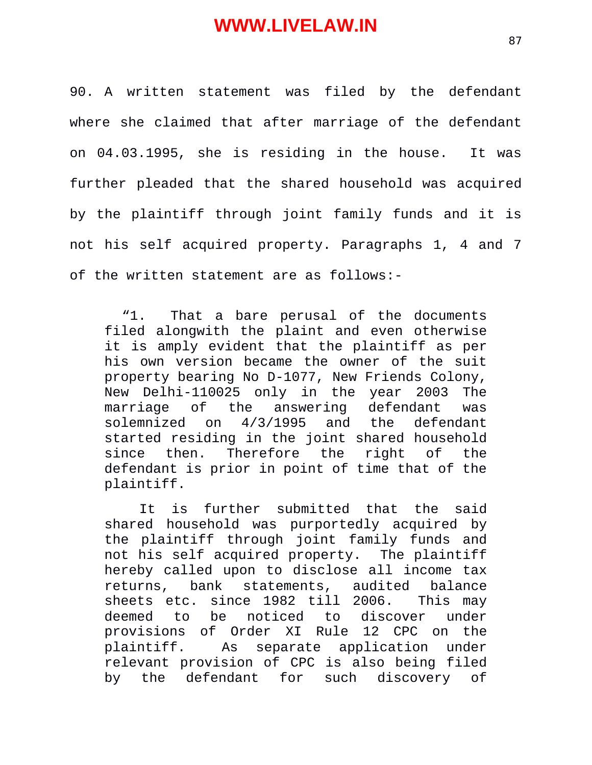90. A written statement was filed by the defendant where she claimed that after marriage of the defendant on 04.03.1995, she is residing in the house. It was further pleaded that the shared household was acquired by the plaintiff through joint family funds and it is not his self acquired property. Paragraphs 1, 4 and 7 of the written statement are as follows:-

"1. That a bare perusal of the documents filed alongwith the plaint and even otherwise it is amply evident that the plaintiff as per his own version became the owner of the suit property bearing No D-1077, New Friends Colony, New Delhi-110025 only in the year 2003 The marriage of the answering defendant was solemnized on 4/3/1995 and the defendant started residing in the joint shared household since then. Therefore the right of the defendant is prior in point of time that of the plaintiff.

It is further submitted that the said shared household was purportedly acquired by the plaintiff through joint family funds and not his self acquired property. The plaintiff hereby called upon to disclose all income tax returns, bank statements, audited balance sheets etc. since 1982 till 2006. This may deemed to be noticed to discover under provisions of Order XI Rule 12 CPC on the plaintiff. As separate application under relevant provision of CPC is also being filed by the defendant for such discovery of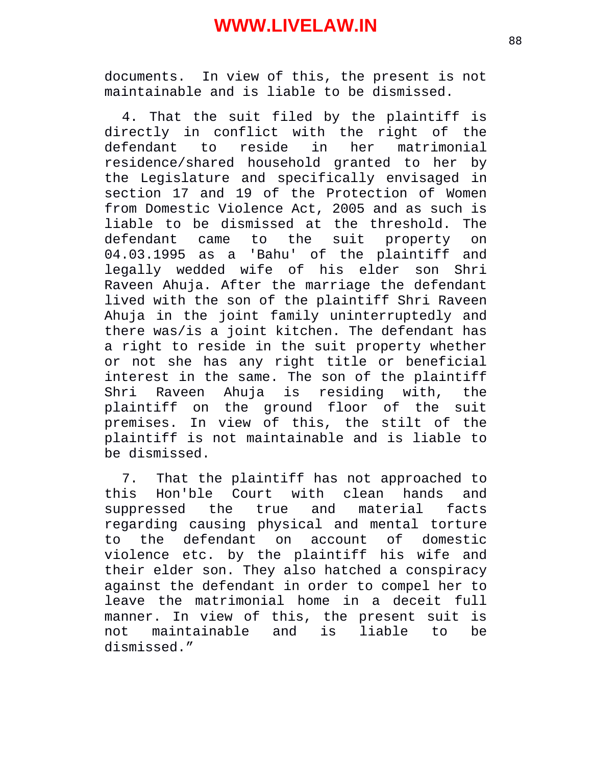documents. In view of this, the present is not maintainable and is liable to be dismissed.

4. That the suit filed by the plaintiff is directly in conflict with the right of the defendant to reside in her matrimonial residence/shared household granted to her by the Legislature and specifically envisaged in section 17 and 19 of the Protection of Women from Domestic Violence Act, 2005 and as such is liable to be dismissed at the threshold. The defendant came to the suit property on 04.03.1995 as a 'Bahu' of the plaintiff and legally wedded wife of his elder son Shri Raveen Ahuja. After the marriage the defendant lived with the son of the plaintiff Shri Raveen Ahuja in the joint family uninterruptedly and there was/is a joint kitchen. The defendant has a right to reside in the suit property whether or not she has any right title or beneficial interest in the same. The son of the plaintiff Shri Raveen Ahuja is residing with, the plaintiff on the ground floor of the suit premises. In view of this, the stilt of the plaintiff is not maintainable and is liable to be dismissed.

7. That the plaintiff has not approached to this Hon'ble Court with clean hands and suppressed the true and material facts regarding causing physical and mental torture to the defendant on account of domestic violence etc. by the plaintiff his wife and their elder son. They also hatched a conspiracy against the defendant in order to compel her to leave the matrimonial home in a deceit full manner. In view of this, the present suit is not maintainable and is liable to be dismissed."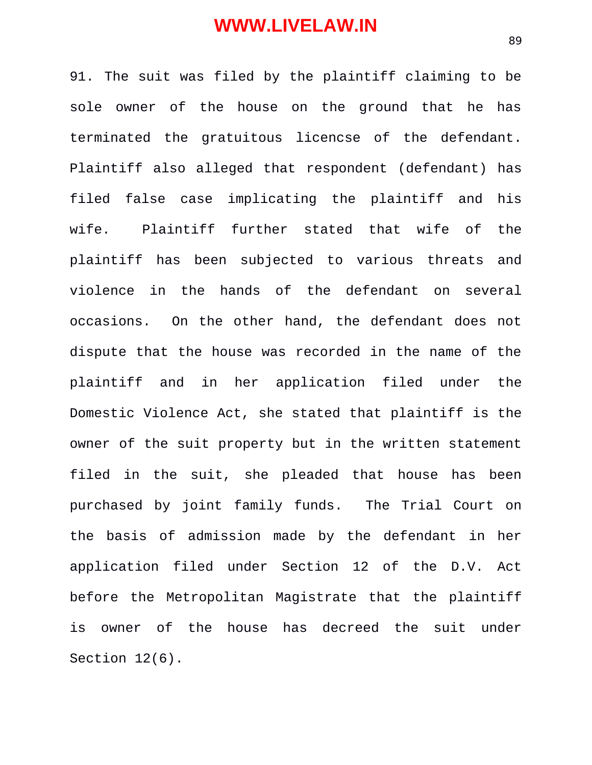91. The suit was filed by the plaintiff claiming to be sole owner of the house on the ground that he has terminated the gratuitous licencse of the defendant. Plaintiff also alleged that respondent (defendant) has filed false case implicating the plaintiff and his wife. Plaintiff further stated that wife of the plaintiff has been subjected to various threats and violence in the hands of the defendant on several occasions. On the other hand, the defendant does not dispute that the house was recorded in the name of the plaintiff and in her application filed under the Domestic Violence Act, she stated that plaintiff is the owner of the suit property but in the written statement filed in the suit, she pleaded that house has been purchased by joint family funds. The Trial Court on the basis of admission made by the defendant in her application filed under Section 12 of the D.V. Act before the Metropolitan Magistrate that the plaintiff is owner of the house has decreed the suit under Section 12(6).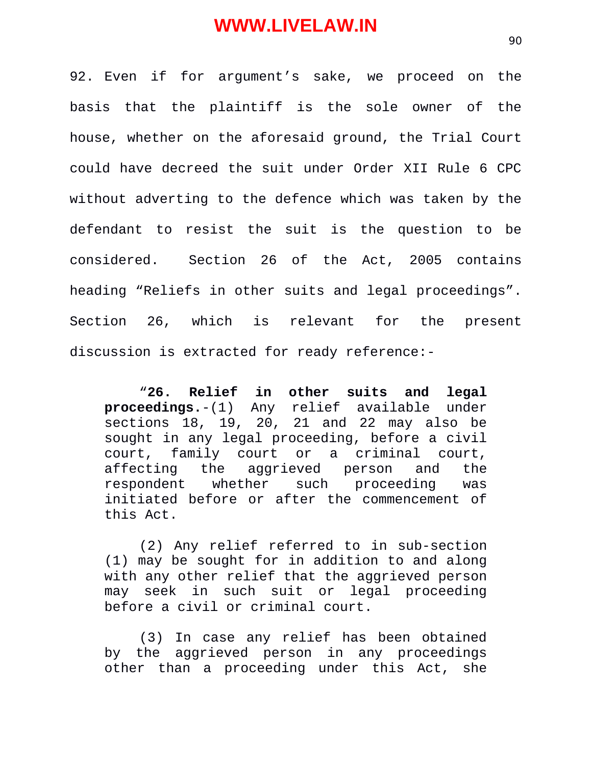92. Even if for argument's sake, we proceed on the basis that the plaintiff is the sole owner of the house, whether on the aforesaid ground, the Trial Court could have decreed the suit under Order XII Rule 6 CPC without adverting to the defence which was taken by the defendant to resist the suit is the question to be considered. Section 26 of the Act, 2005 contains heading "Reliefs in other suits and legal proceedings". Section 26, which is relevant for the present discussion is extracted for ready reference:-

"**26. Relief in other suits and legal proceedings.**-(1) Any relief available under sections 18, 19, 20, 21 and 22 may also be sought in any legal proceeding, before a civil court, family court or a criminal court, affecting the aggrieved person and the respondent whether such proceeding was initiated before or after the commencement of this Act.

(2) Any relief referred to in sub-section (1) may be sought for in addition to and along with any other relief that the aggrieved person may seek in such suit or legal proceeding before a civil or criminal court.

(3) In case any relief has been obtained by the aggrieved person in any proceedings other than a proceeding under this Act, she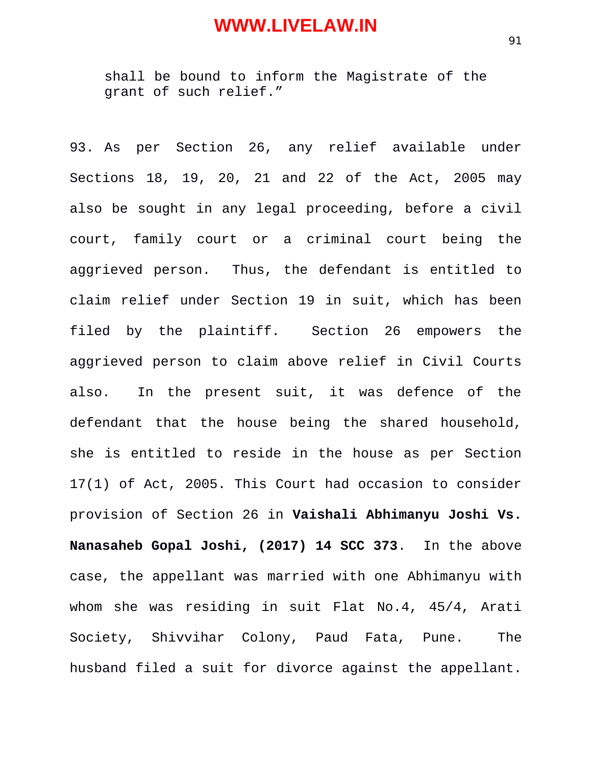shall be bound to inform the Magistrate of the grant of such relief."

93. As per Section 26, any relief available under Sections 18, 19, 20, 21 and 22 of the Act, 2005 may also be sought in any legal proceeding, before a civil court, family court or a criminal court being the aggrieved person. Thus, the defendant is entitled to claim relief under Section 19 in suit, which has been filed by the plaintiff. Section 26 empowers the aggrieved person to claim above relief in Civil Courts also. In the present suit, it was defence of the defendant that the house being the shared household, she is entitled to reside in the house as per Section 17(1) of Act, 2005. This Court had occasion to consider provision of Section 26 in **Vaishali Abhimanyu Joshi Vs. Nanasaheb Gopal Joshi, (2017) 14 SCC 373**. In the above case, the appellant was married with one Abhimanyu with whom she was residing in suit Flat No.4, 45/4, Arati Society, Shivvihar Colony, Paud Fata, Pune. The husband filed a suit for divorce against the appellant.

91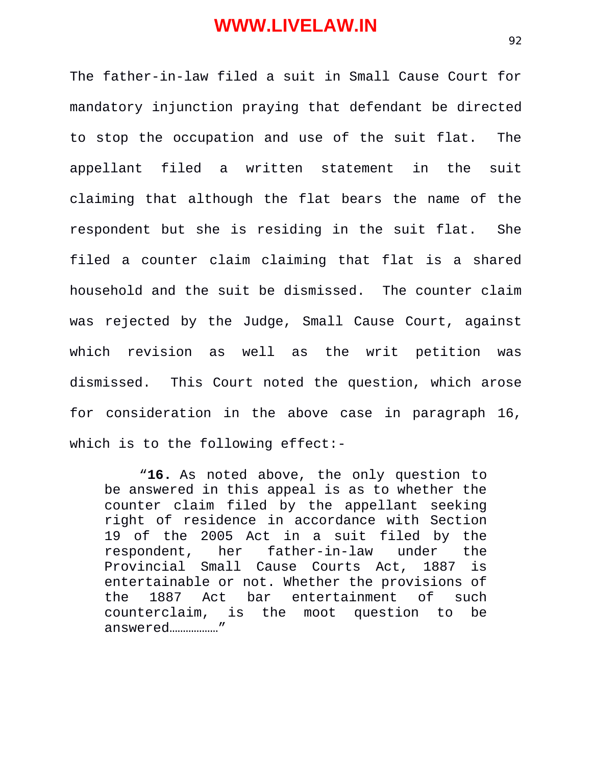The father-in-law filed a suit in Small Cause Court for mandatory injunction praying that defendant be directed to stop the occupation and use of the suit flat. The appellant filed a written statement in the suit claiming that although the flat bears the name of the respondent but she is residing in the suit flat. She filed a counter claim claiming that flat is a shared household and the suit be dismissed. The counter claim was rejected by the Judge, Small Cause Court, against which revision as well as the writ petition was dismissed. This Court noted the question, which arose for consideration in the above case in paragraph 16, which is to the following effect:-

"**16.** As noted above, the only question to be answered in this appeal is as to whether the counter claim filed by the appellant seeking right of residence in accordance with Section 19 of the 2005 Act in a suit filed by the respondent, her father-in-law under the Provincial Small Cause Courts Act, 1887 is entertainable or not. Whether the provisions of the 1887 Act bar entertainment of such counterclaim, is the moot question to be answered………………"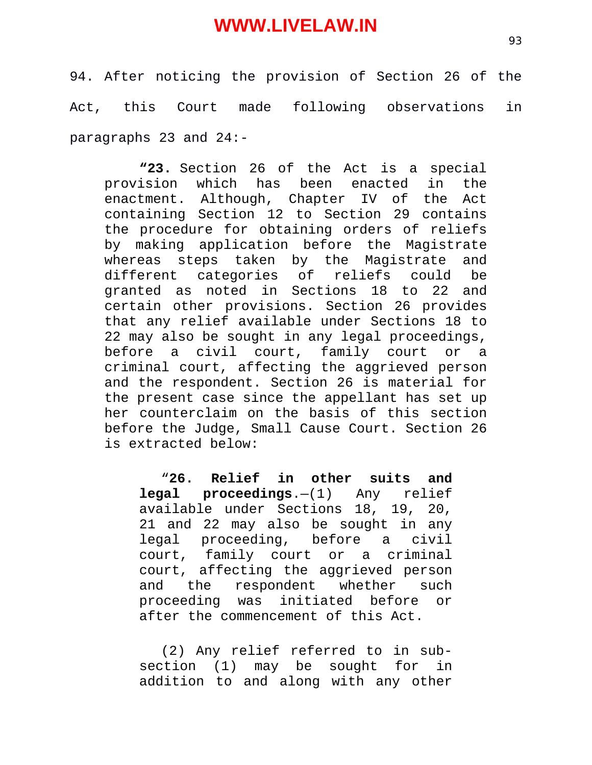94. After noticing the provision of Section 26 of the Act, this Court made following observations in paragraphs 23 and 24:-

**"23.** Section 26 of the Act is a special provision which has been enacted in the enactment. Although, Chapter IV of the Act containing Section 12 to Section 29 contains the procedure for obtaining orders of reliefs by making application before the Magistrate whereas steps taken by the Magistrate and different categories of reliefs could be granted as noted in Sections 18 to 22 and certain other provisions. Section 26 provides that any relief available under Sections 18 to 22 may also be sought in any legal proceedings, before a civil court, family court or a criminal court, affecting the aggrieved person and the respondent. Section 26 is material for the present case since the appellant has set up her counterclaim on the basis of this section before the Judge, Small Cause Court. Section 26 is extracted below:

"**26. Relief in other suits and legal proceedings**.—(1) Any relief available under Sections 18, 19, 20, 21 and 22 may also be sought in any legal proceeding, before a civil court, family court or a criminal court, affecting the aggrieved person and the respondent whether such proceeding was initiated before or after the commencement of this Act.

(2) Any relief referred to in subsection (1) may be sought for in addition to and along with any other

93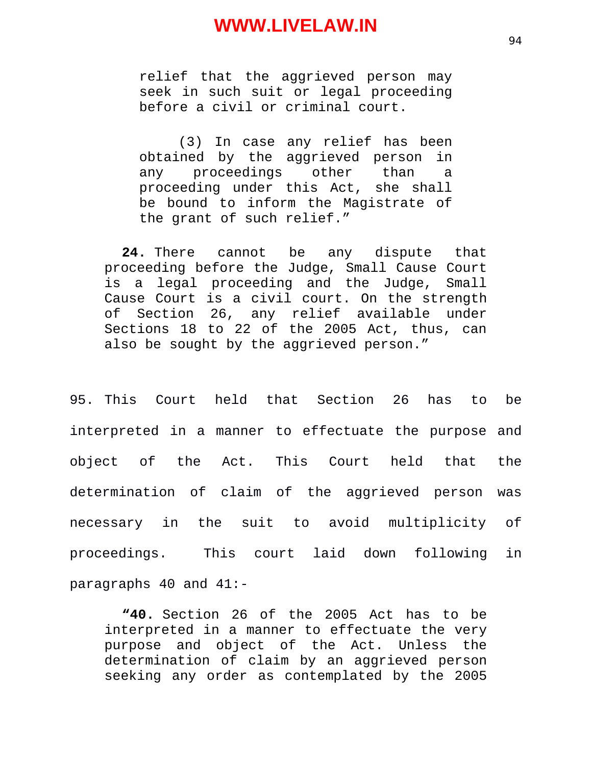relief that the aggrieved person may seek in such suit or legal proceeding before a civil or criminal court.

(3) In case any relief has been obtained by the aggrieved person in any proceedings other than a proceeding under this Act, she shall be bound to inform the Magistrate of the grant of such relief."

**24.** There cannot be any dispute that proceeding before the Judge, Small Cause Court is a legal proceeding and the Judge, Small Cause Court is a civil court. On the strength of Section 26, any relief available under Sections 18 to 22 of the 2005 Act, thus, can also be sought by the aggrieved person."

95. This Court held that Section 26 has to be interpreted in a manner to effectuate the purpose and object of the Act. This Court held that the determination of claim of the aggrieved person was necessary in the suit to avoid multiplicity of proceedings. This court laid down following in paragraphs 40 and 41:-

**"40.** Section 26 of the 2005 Act has to be interpreted in a manner to effectuate the very purpose and object of the Act. Unless the determination of claim by an aggrieved person seeking any order as contemplated by the 2005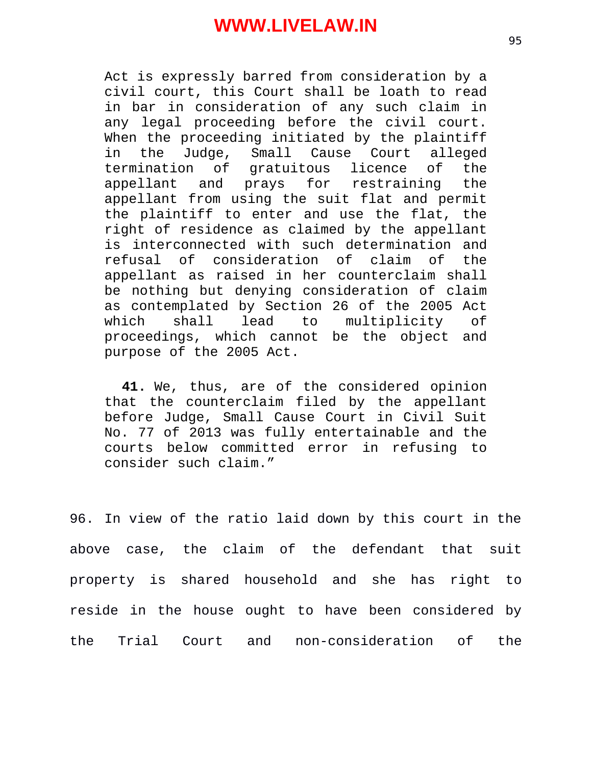Act is expressly barred from consideration by a civil court, this Court shall be loath to read in bar in consideration of any such claim in any legal proceeding before the civil court. When the proceeding initiated by the plaintiff in the Judge, Small Cause Court alleged termination of gratuitous licence of the appellant and prays for restraining the appellant from using the suit flat and permit the plaintiff to enter and use the flat, the right of residence as claimed by the appellant is interconnected with such determination and refusal of consideration of claim of the appellant as raised in her counterclaim shall be nothing but denying consideration of claim as contemplated by Section 26 of the 2005 Act which shall lead to multiplicity of<br>proceedings, which cannot be the object and proceedings, which cannot be the object and purpose of the 2005 Act.

**41.** We, thus, are of the considered opinion that the counterclaim filed by the appellant before Judge, Small Cause Court in Civil Suit No. 77 of 2013 was fully entertainable and the courts below committed error in refusing to consider such claim."

96. In view of the ratio laid down by this court in the above case, the claim of the defendant that suit property is shared household and she has right to reside in the house ought to have been considered by the Trial Court and non-consideration of the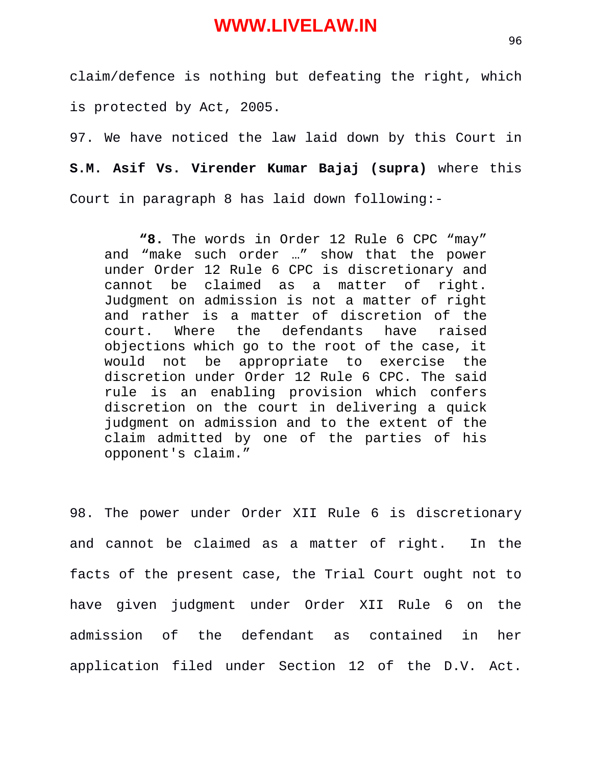claim/defence is nothing but defeating the right, which is protected by Act, 2005.

97. We have noticed the law laid down by this Court in **S.M. Asif Vs. Virender Kumar Bajaj (supra)** where this Court in paragraph 8 has laid down following:-

**"8.** The words in Order 12 Rule 6 CPC "may" and "make such order …" show that the power under Order 12 Rule 6 CPC is discretionary and cannot be claimed as a matter of right. Judgment on admission is not a matter of right and rather is a matter of discretion of the court. Where the defendants have raised objections which go to the root of the case, it would not be appropriate to exercise the discretion under Order 12 Rule 6 CPC. The said rule is an enabling provision which confers discretion on the court in delivering a quick judgment on admission and to the extent of the claim admitted by one of the parties of his opponent's claim."

98. The power under Order XII Rule 6 is discretionary and cannot be claimed as a matter of right. In the facts of the present case, the Trial Court ought not to have given judgment under Order XII Rule 6 on the admission of the defendant as contained in her application filed under Section 12 of the D.V. Act.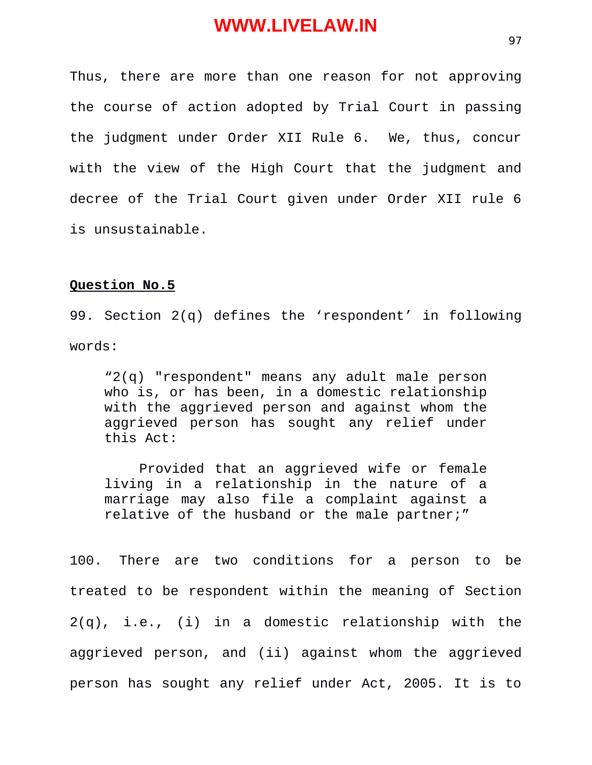Thus, there are more than one reason for not approving the course of action adopted by Trial Court in passing the judgment under Order XII Rule 6. We, thus, concur with the view of the High Court that the judgment and decree of the Trial Court given under Order XII rule 6 is unsustainable.

#### **Question No.5**

99. Section 2(q) defines the 'respondent' in following words:

"2(q) "respondent" means any adult male person who is, or has been, in a domestic relationship with the aggrieved person and against whom the aggrieved person has sought any relief under this Act:

Provided that an aggrieved wife or female living in a relationship in the nature of a marriage may also file a complaint against a relative of the husband or the male partner;"

100. There are two conditions for a person to be treated to be respondent within the meaning of Section 2(q), i.e., (i) in a domestic relationship with the aggrieved person, and (ii) against whom the aggrieved person has sought any relief under Act, 2005. It is to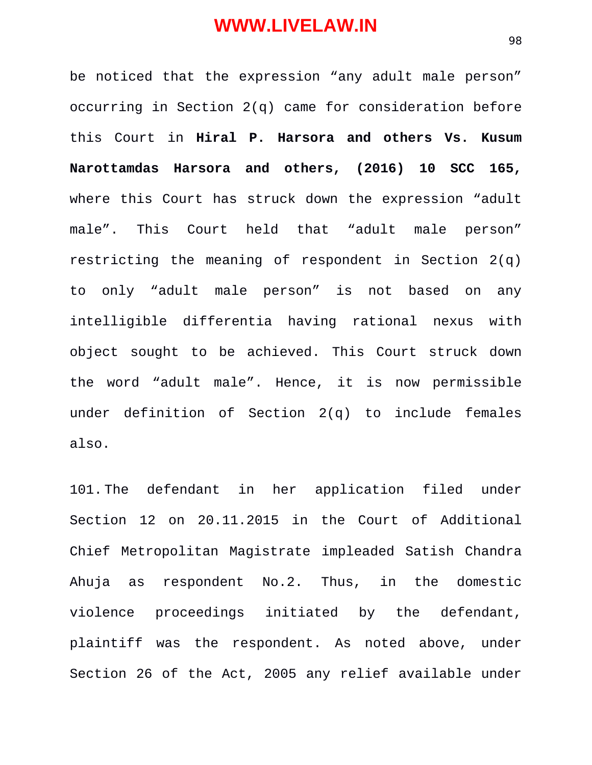be noticed that the expression "any adult male person" occurring in Section 2(q) came for consideration before this Court in **Hiral P. Harsora and others Vs. Kusum Narottamdas Harsora and others, (2016) 10 SCC 165,** where this Court has struck down the expression "adult male". This Court held that "adult male person" restricting the meaning of respondent in Section 2(q) to only "adult male person" is not based on any intelligible differentia having rational nexus with object sought to be achieved. This Court struck down the word "adult male". Hence, it is now permissible under definition of Section 2(q) to include females also.

101. The defendant in her application filed under Section 12 on 20.11.2015 in the Court of Additional Chief Metropolitan Magistrate impleaded Satish Chandra Ahuja as respondent No.2. Thus, in the domestic violence proceedings initiated by the defendant, plaintiff was the respondent. As noted above, under Section 26 of the Act, 2005 any relief available under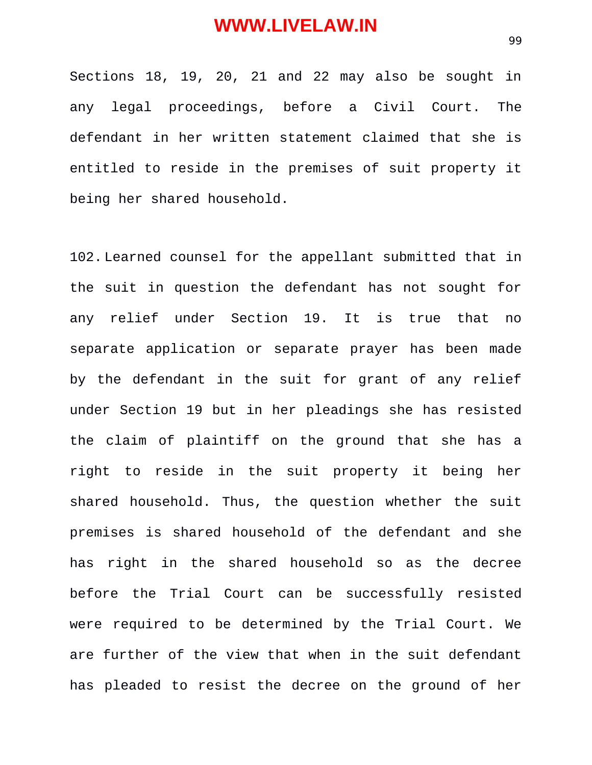Sections 18, 19, 20, 21 and 22 may also be sought in any legal proceedings, before a Civil Court. The defendant in her written statement claimed that she is entitled to reside in the premises of suit property it being her shared household.

102. Learned counsel for the appellant submitted that in the suit in question the defendant has not sought for any relief under Section 19. It is true that no separate application or separate prayer has been made by the defendant in the suit for grant of any relief under Section 19 but in her pleadings she has resisted the claim of plaintiff on the ground that she has a right to reside in the suit property it being her shared household. Thus, the question whether the suit premises is shared household of the defendant and she has right in the shared household so as the decree before the Trial Court can be successfully resisted were required to be determined by the Trial Court. We are further of the view that when in the suit defendant has pleaded to resist the decree on the ground of her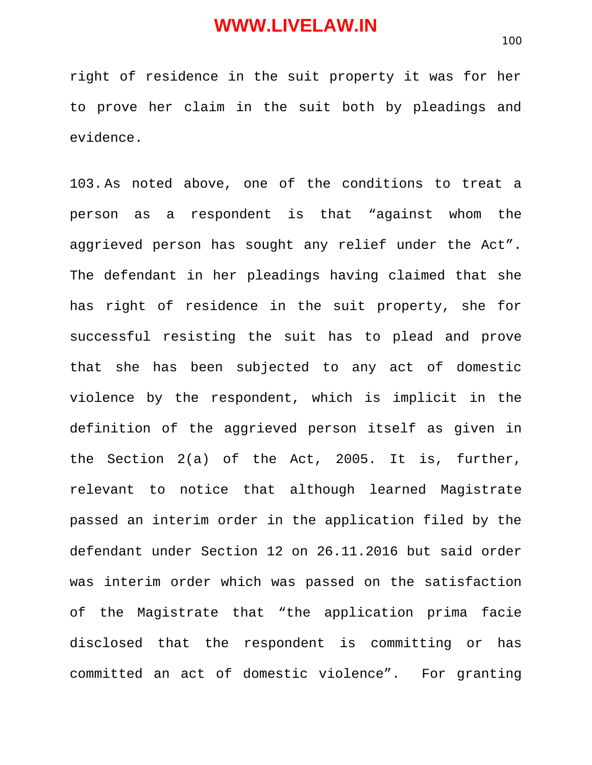right of residence in the suit property it was for her to prove her claim in the suit both by pleadings and evidence.

103. As noted above, one of the conditions to treat a person as a respondent is that "against whom the aggrieved person has sought any relief under the Act". The defendant in her pleadings having claimed that she has right of residence in the suit property, she for successful resisting the suit has to plead and prove that she has been subjected to any act of domestic violence by the respondent, which is implicit in the definition of the aggrieved person itself as given in the Section 2(a) of the Act, 2005. It is, further, relevant to notice that although learned Magistrate passed an interim order in the application filed by the defendant under Section 12 on 26.11.2016 but said order was interim order which was passed on the satisfaction of the Magistrate that "the application prima facie disclosed that the respondent is committing or has committed an act of domestic violence". For granting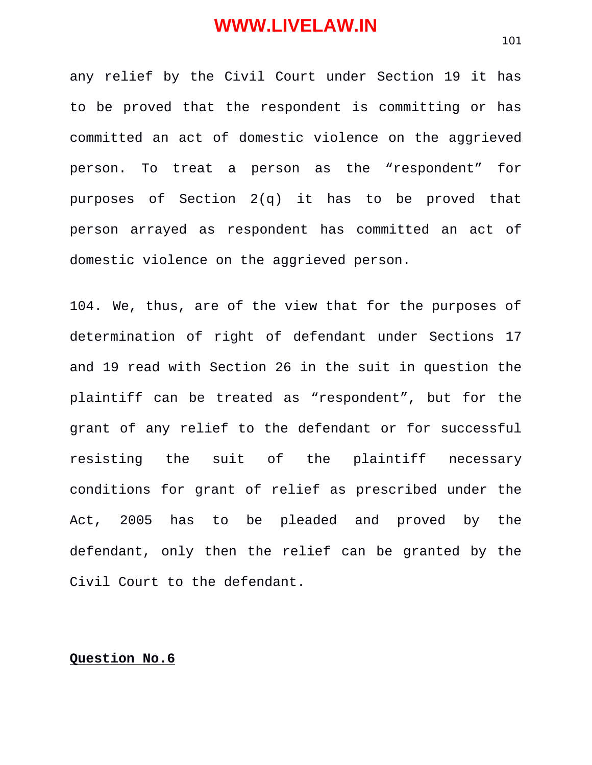any relief by the Civil Court under Section 19 it has to be proved that the respondent is committing or has committed an act of domestic violence on the aggrieved person. To treat a person as the "respondent" for purposes of Section 2(q) it has to be proved that person arrayed as respondent has committed an act of domestic violence on the aggrieved person.

104. We, thus, are of the view that for the purposes of determination of right of defendant under Sections 17 and 19 read with Section 26 in the suit in question the plaintiff can be treated as "respondent", but for the grant of any relief to the defendant or for successful resisting the suit of the plaintiff necessary conditions for grant of relief as prescribed under the Act, 2005 has to be pleaded and proved by the defendant, only then the relief can be granted by the Civil Court to the defendant.

#### **Question No.6**

101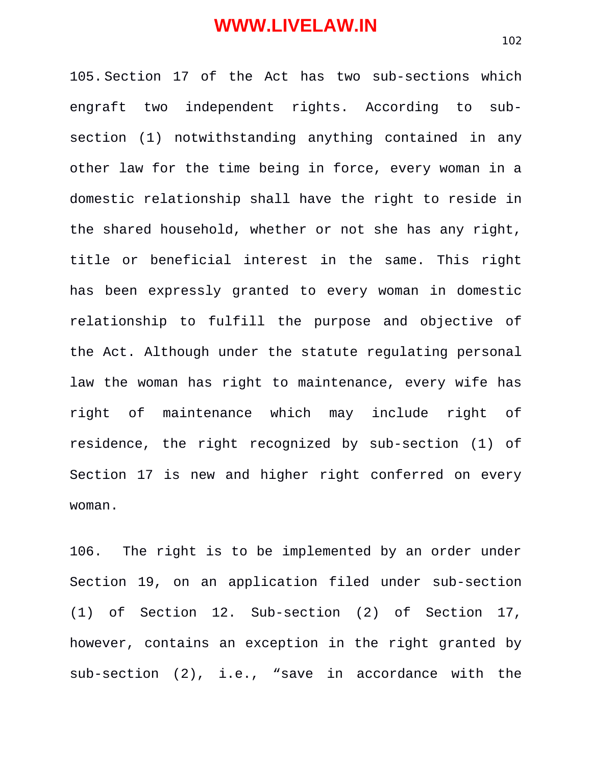105. Section 17 of the Act has two sub-sections which engraft two independent rights. According to subsection (1) notwithstanding anything contained in any other law for the time being in force, every woman in a domestic relationship shall have the right to reside in the shared household, whether or not she has any right, title or beneficial interest in the same. This right has been expressly granted to every woman in domestic relationship to fulfill the purpose and objective of the Act. Although under the statute regulating personal law the woman has right to maintenance, every wife has right of maintenance which may include right of residence, the right recognized by sub-section (1) of Section 17 is new and higher right conferred on every woman.

106. The right is to be implemented by an order under Section 19, on an application filed under sub-section (1) of Section 12. Sub-section (2) of Section 17, however, contains an exception in the right granted by sub-section (2), i.e., "save in accordance with the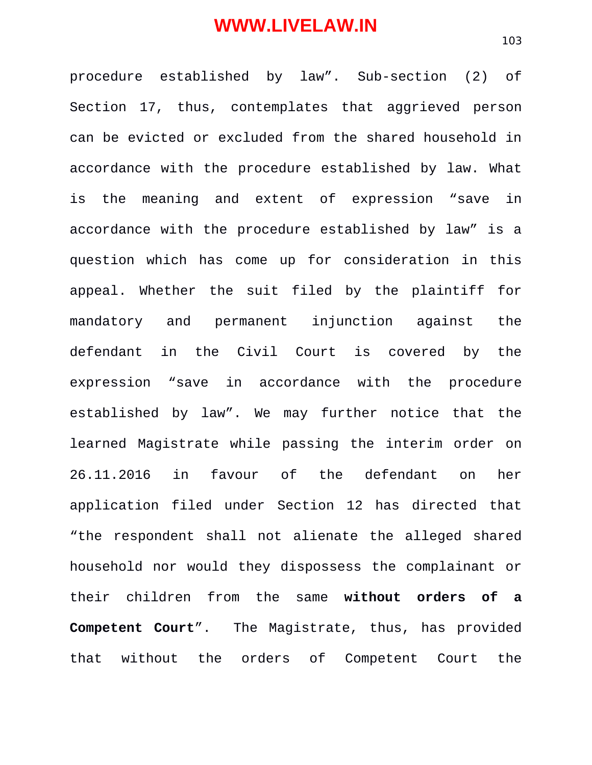procedure established by law". Sub-section (2) of Section 17, thus, contemplates that aggrieved person can be evicted or excluded from the shared household in accordance with the procedure established by law. What is the meaning and extent of expression "save in accordance with the procedure established by law" is a question which has come up for consideration in this appeal. Whether the suit filed by the plaintiff for mandatory and permanent injunction against the defendant in the Civil Court is covered by the expression "save in accordance with the procedure established by law". We may further notice that the learned Magistrate while passing the interim order on 26.11.2016 in favour of the defendant on her application filed under Section 12 has directed that "the respondent shall not alienate the alleged shared household nor would they dispossess the complainant or their children from the same **without orders of a Competent Court**". The Magistrate, thus, has provided that without the orders of Competent Court the

103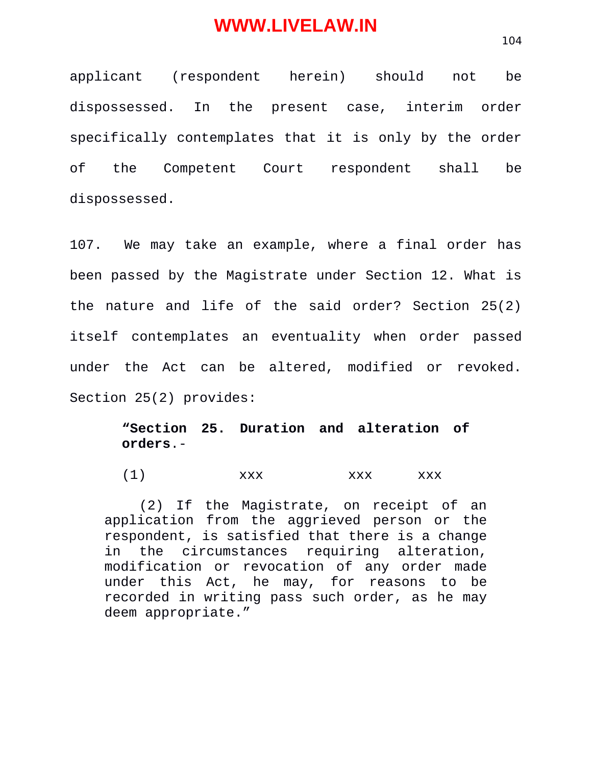applicant (respondent herein) should not be dispossessed. In the present case, interim order specifically contemplates that it is only by the order of the Competent Court respondent shall be dispossessed.

107. We may take an example, where a final order has been passed by the Magistrate under Section 12. What is the nature and life of the said order? Section 25(2) itself contemplates an eventuality when order passed under the Act can be altered, modified or revoked. Section 25(2) provides:

#### **"Section 25. Duration and alteration of orders**.-

 $(1)$  xxx xxx xxx

(2) If the Magistrate, on receipt of an application from the aggrieved person or the respondent, is satisfied that there is a change in the circumstances requiring alteration, modification or revocation of any order made under this Act, he may, for reasons to be recorded in writing pass such order, as he may deem appropriate."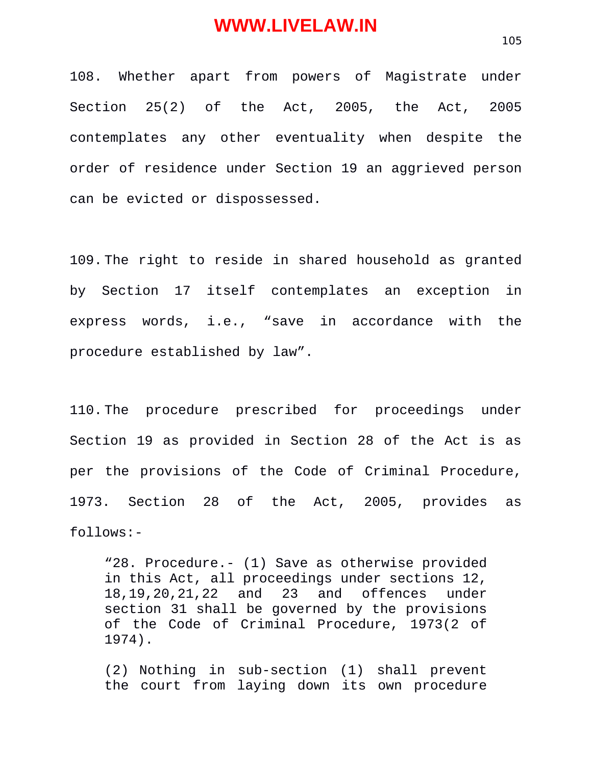108. Whether apart from powers of Magistrate under Section 25(2) of the Act, 2005, the Act, 2005 contemplates any other eventuality when despite the order of residence under Section 19 an aggrieved person can be evicted or dispossessed.

109. The right to reside in shared household as granted by Section 17 itself contemplates an exception in express words, i.e., "save in accordance with the procedure established by law".

110. The procedure prescribed for proceedings under Section 19 as provided in Section 28 of the Act is as per the provisions of the Code of Criminal Procedure, 1973. Section 28 of the Act, 2005, provides as follows:-

"28. Procedure.- (1) Save as otherwise provided in this Act, all proceedings under sections 12, 18,19,20,21,22 and 23 and offences under section 31 shall be governed by the provisions of the Code of Criminal Procedure, 1973(2 of 1974).

(2) Nothing in sub-section (1) shall prevent the court from laying down its own procedure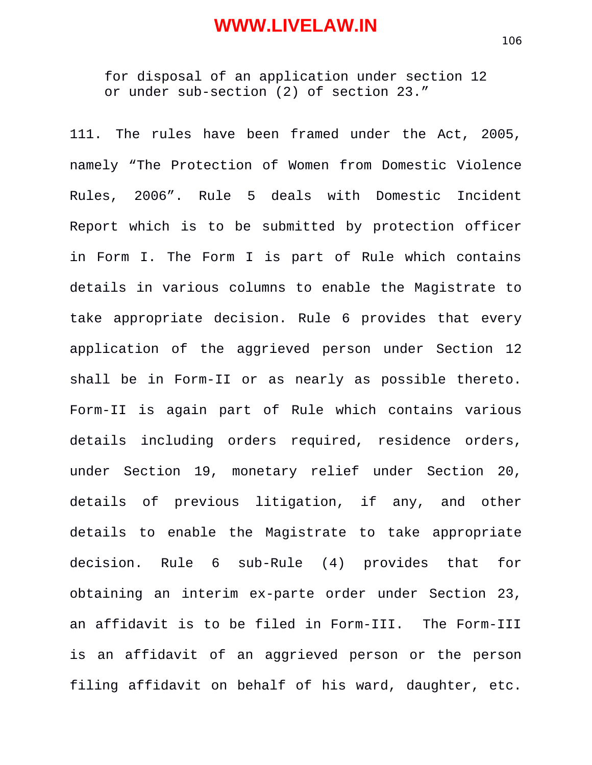for disposal of an application under section 12 or under sub-section (2) of section 23."

111. The rules have been framed under the Act, 2005, namely "The Protection of Women from Domestic Violence Rules, 2006". Rule 5 deals with Domestic Incident Report which is to be submitted by protection officer in Form I. The Form I is part of Rule which contains details in various columns to enable the Magistrate to take appropriate decision. Rule 6 provides that every application of the aggrieved person under Section 12 shall be in Form-II or as nearly as possible thereto. Form-II is again part of Rule which contains various details including orders required, residence orders, under Section 19, monetary relief under Section 20, details of previous litigation, if any, and other details to enable the Magistrate to take appropriate decision. Rule 6 sub-Rule (4) provides that for obtaining an interim ex-parte order under Section 23, an affidavit is to be filed in Form-III. The Form-III is an affidavit of an aggrieved person or the person filing affidavit on behalf of his ward, daughter, etc.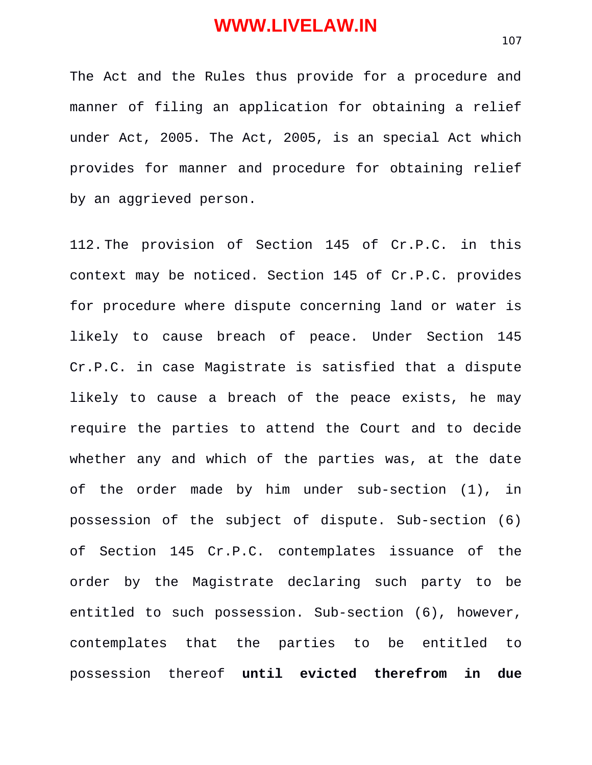The Act and the Rules thus provide for a procedure and manner of filing an application for obtaining a relief under Act, 2005. The Act, 2005, is an special Act which provides for manner and procedure for obtaining relief by an aggrieved person.

112. The provision of Section 145 of Cr.P.C. in this context may be noticed. Section 145 of Cr.P.C. provides for procedure where dispute concerning land or water is likely to cause breach of peace. Under Section 145 Cr.P.C. in case Magistrate is satisfied that a dispute likely to cause a breach of the peace exists, he may require the parties to attend the Court and to decide whether any and which of the parties was, at the date of the order made by him under sub-section (1), in possession of the subject of dispute. Sub-section (6) of Section 145 Cr.P.C. contemplates issuance of the order by the Magistrate declaring such party to be entitled to such possession. Sub-section (6), however, contemplates that the parties to be entitled to possession thereof **until evicted therefrom in due**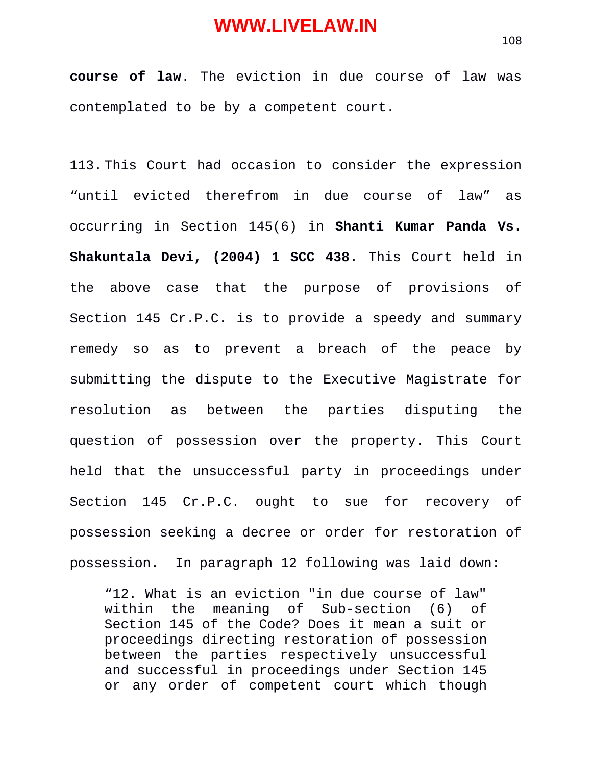**course of law**. The eviction in due course of law was contemplated to be by a competent court.

113. This Court had occasion to consider the expression "until evicted therefrom in due course of law" as occurring in Section 145(6) in **Shanti Kumar Panda Vs. Shakuntala Devi, (2004) 1 SCC 438.** This Court held in the above case that the purpose of provisions of Section 145 Cr.P.C. is to provide a speedy and summary remedy so as to prevent a breach of the peace by submitting the dispute to the Executive Magistrate for resolution as between the parties disputing the question of possession over the property. This Court held that the unsuccessful party in proceedings under Section 145 Cr.P.C. ought to sue for recovery of possession seeking a decree or order for restoration of possession. In paragraph 12 following was laid down:

"12. What is an eviction "in due course of law" within the meaning of Sub-section (6) of Section 145 of the Code? Does it mean a suit or proceedings directing restoration of possession between the parties respectively unsuccessful and successful in proceedings under Section 145 or any order of competent court which though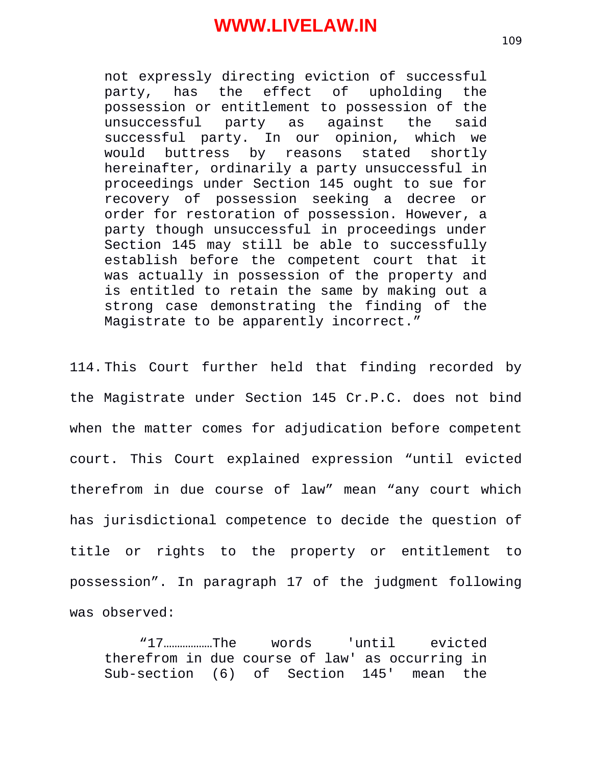not expressly directing eviction of successful party, has the effect of upholding the possession or entitlement to possession of the unsuccessful party as against the said successful party. In our opinion, which we would buttress by reasons stated shortly hereinafter, ordinarily a party unsuccessful in proceedings under Section 145 ought to sue for recovery of possession seeking a decree or order for restoration of possession. However, a party though unsuccessful in proceedings under Section 145 may still be able to successfully establish before the competent court that it was actually in possession of the property and is entitled to retain the same by making out a strong case demonstrating the finding of the Magistrate to be apparently incorrect."

114. This Court further held that finding recorded by the Magistrate under Section 145 Cr.P.C. does not bind when the matter comes for adjudication before competent court. This Court explained expression "until evicted therefrom in due course of law" mean "any court which has jurisdictional competence to decide the question of title or rights to the property or entitlement to possession". In paragraph 17 of the judgment following was observed:

"17………………The words 'until evicted therefrom in due course of law' as occurring in Sub-section (6) of Section 145' mean the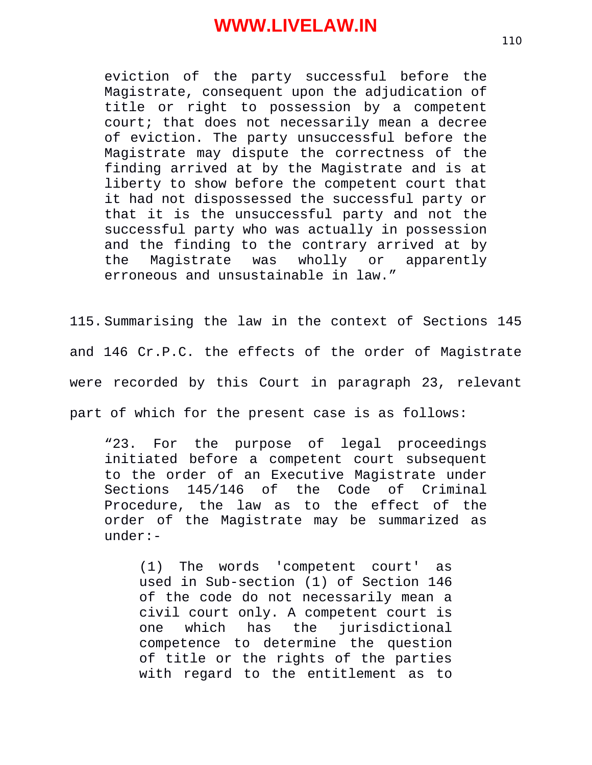eviction of the party successful before the Magistrate, consequent upon the adjudication of title or right to possession by a competent court; that does not necessarily mean a decree of eviction. The party unsuccessful before the Magistrate may dispute the correctness of the finding arrived at by the Magistrate and is at liberty to show before the competent court that it had not dispossessed the successful party or that it is the unsuccessful party and not the successful party who was actually in possession and the finding to the contrary arrived at by the Magistrate was wholly or apparently erroneous and unsustainable in law."

115. Summarising the law in the context of Sections 145 and 146 Cr.P.C. the effects of the order of Magistrate were recorded by this Court in paragraph 23, relevant

part of which for the present case is as follows:

"23. For the purpose of legal proceedings initiated before a competent court subsequent to the order of an Executive Magistrate under Sections 145/146 of the Code of Criminal Procedure, the law as to the effect of the order of the Magistrate may be summarized as under:-

(1) The words 'competent court' as used in Sub-section (1) of Section 146 of the code do not necessarily mean a civil court only. A competent court is one which has the jurisdictional competence to determine the question of title or the rights of the parties with regard to the entitlement as to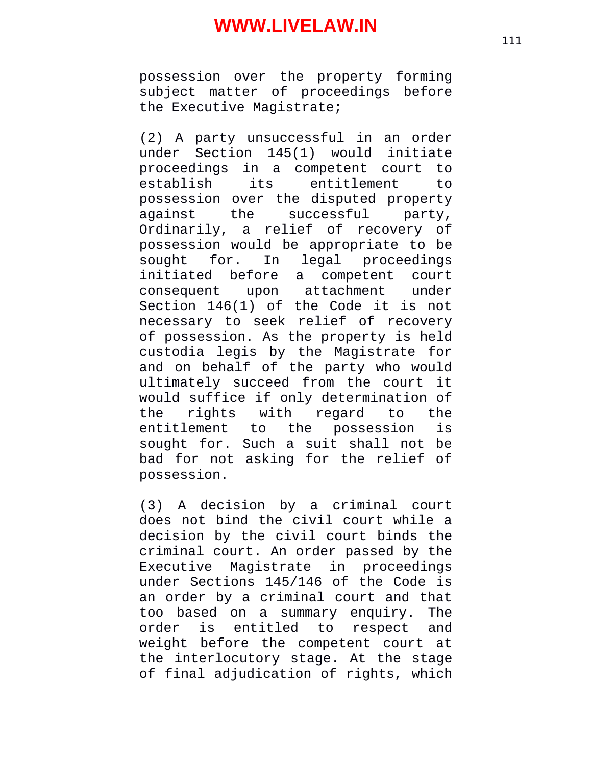possession over the property forming subject matter of proceedings before the Executive Magistrate;

(2) A party unsuccessful in an order under Section 145(1) would initiate proceedings in a competent court to establish its entitlement to possession over the disputed property against the successful party, Ordinarily, a relief of recovery of possession would be appropriate to be sought for. In legal proceedings initiated before a competent court consequent upon attachment under Section 146(1) of the Code it is not necessary to seek relief of recovery of possession. As the property is held custodia legis by the Magistrate for and on behalf of the party who would ultimately succeed from the court it would suffice if only determination of the rights with regard to the entitlement to the possession is sought for. Such a suit shall not be bad for not asking for the relief of possession.

(3) A decision by a criminal court does not bind the civil court while a decision by the civil court binds the criminal court. An order passed by the Executive Magistrate in proceedings under Sections 145/146 of the Code is an order by a criminal court and that too based on a summary enquiry. The order is entitled to respect and weight before the competent court at the interlocutory stage. At the stage of final adjudication of rights, which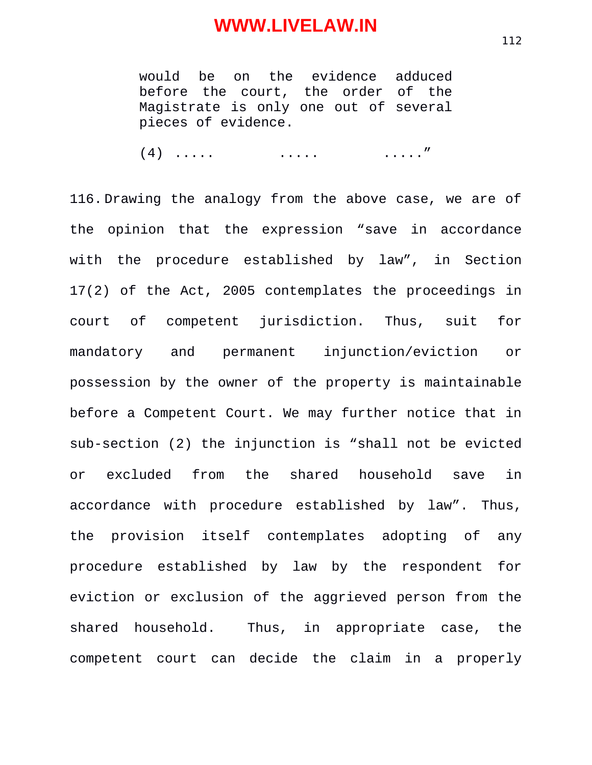would be on the evidence adduced before the court, the order of the Magistrate is only one out of several pieces of evidence.

(4) ..... ..... ....."

116. Drawing the analogy from the above case, we are of the opinion that the expression "save in accordance with the procedure established by law", in Section 17(2) of the Act, 2005 contemplates the proceedings in court of competent jurisdiction. Thus, suit for mandatory and permanent injunction/eviction or possession by the owner of the property is maintainable before a Competent Court. We may further notice that in sub-section (2) the injunction is "shall not be evicted or excluded from the shared household save in accordance with procedure established by law". Thus, the provision itself contemplates adopting of any procedure established by law by the respondent for eviction or exclusion of the aggrieved person from the shared household. Thus, in appropriate case, the competent court can decide the claim in a properly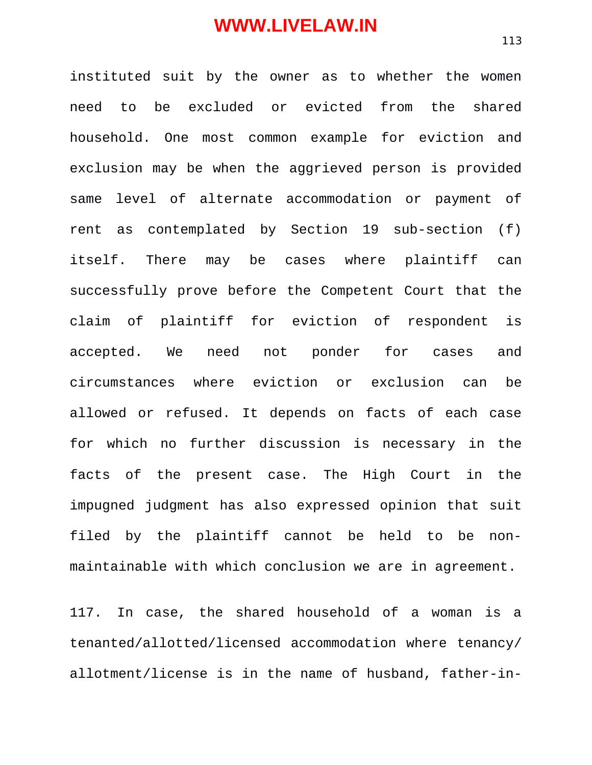instituted suit by the owner as to whether the women need to be excluded or evicted from the shared household. One most common example for eviction and exclusion may be when the aggrieved person is provided same level of alternate accommodation or payment of rent as contemplated by Section 19 sub-section (f) itself. There may be cases where plaintiff can successfully prove before the Competent Court that the claim of plaintiff for eviction of respondent is accepted. We need not ponder for cases and circumstances where eviction or exclusion can be allowed or refused. It depends on facts of each case for which no further discussion is necessary in the facts of the present case. The High Court in the impugned judgment has also expressed opinion that suit filed by the plaintiff cannot be held to be nonmaintainable with which conclusion we are in agreement.

117. In case, the shared household of a woman is a tenanted/allotted/licensed accommodation where tenancy/ allotment/license is in the name of husband, father-in-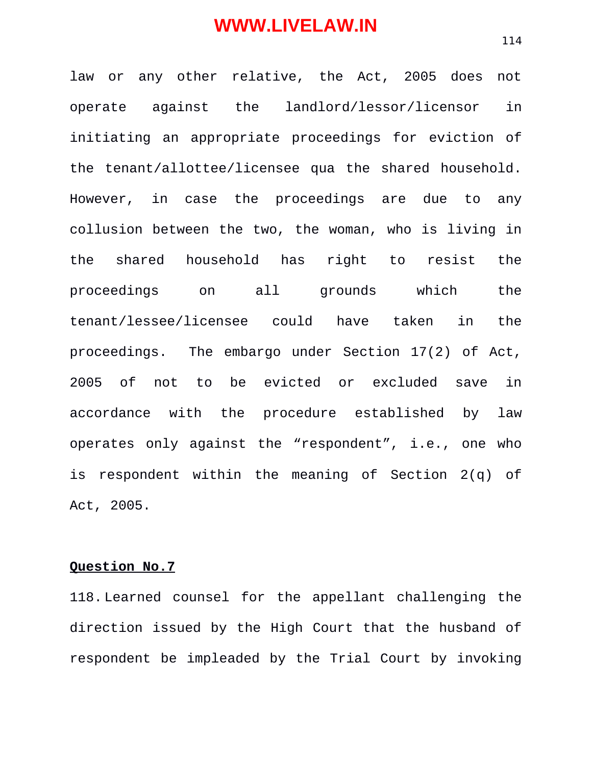law or any other relative, the Act, 2005 does not operate against the landlord/lessor/licensor in initiating an appropriate proceedings for eviction of the tenant/allottee/licensee qua the shared household. However, in case the proceedings are due to any collusion between the two, the woman, who is living in the shared household has right to resist the proceedings on all grounds which the tenant/lessee/licensee could have taken in the proceedings. The embargo under Section 17(2) of Act, 2005 of not to be evicted or excluded save in accordance with the procedure established by law operates only against the "respondent", i.e., one who is respondent within the meaning of Section 2(q) of Act, 2005.

#### **Question No.7**

118. Learned counsel for the appellant challenging the direction issued by the High Court that the husband of respondent be impleaded by the Trial Court by invoking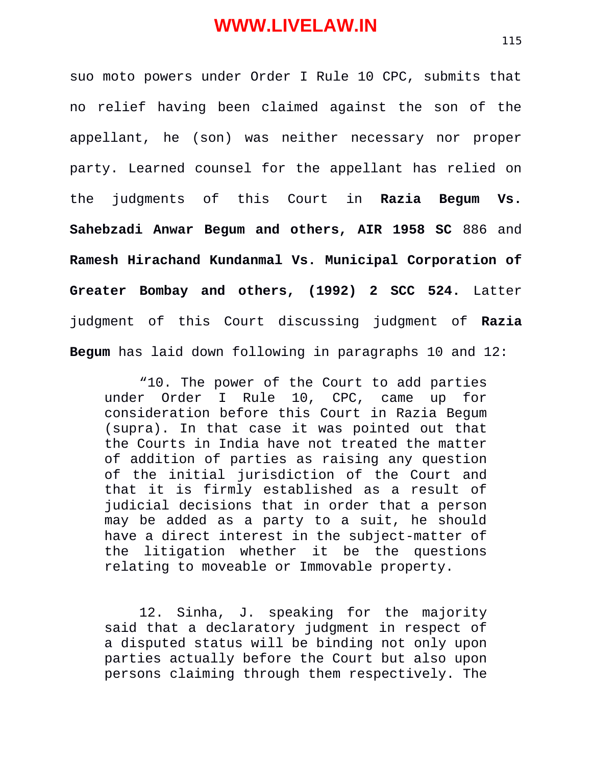suo moto powers under Order I Rule 10 CPC, submits that no relief having been claimed against the son of the appellant, he (son) was neither necessary nor proper party. Learned counsel for the appellant has relied on the judgments of this Court in **Razia Begum Vs. Sahebzadi Anwar Begum and others, AIR 1958 SC** 886 and **Ramesh Hirachand Kundanmal Vs. Municipal Corporation of Greater Bombay and others, (1992) 2 SCC 524.** Latter judgment of this Court discussing judgment of **Razia Begum** has laid down following in paragraphs 10 and 12:

"10. The power of the Court to add parties under Order I Rule 10, CPC, came up for consideration before this Court in Razia Begum (supra). In that case it was pointed out that the Courts in India have not treated the matter of addition of parties as raising any question of the initial jurisdiction of the Court and that it is firmly established as a result of judicial decisions that in order that a person may be added as a party to a suit, he should have a direct interest in the subject-matter of the litigation whether it be the questions relating to moveable or Immovable property.

12. Sinha, J. speaking for the majority said that a declaratory judgment in respect of a disputed status will be binding not only upon parties actually before the Court but also upon persons claiming through them respectively. The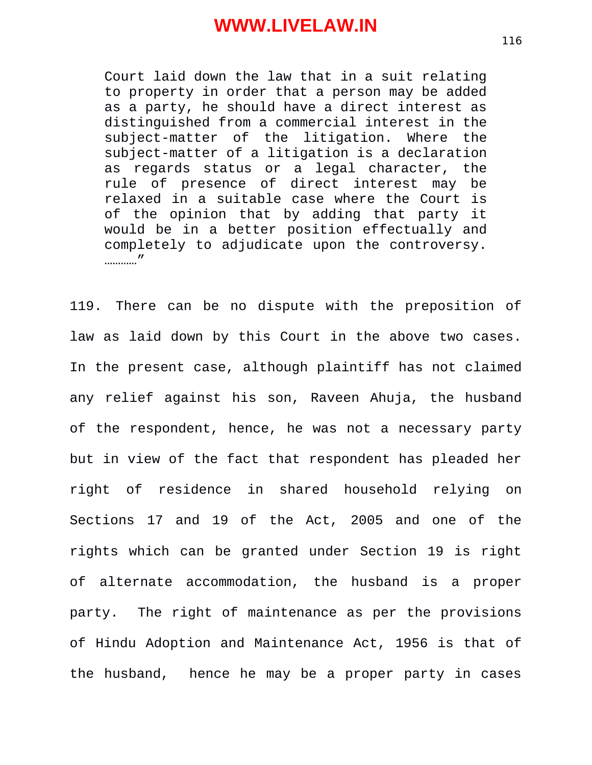Court laid down the law that in a suit relating to property in order that a person may be added as a party, he should have a direct interest as distinguished from a commercial interest in the subject-matter of the litigation. Where the subject-matter of a litigation is a declaration as regards status or a legal character, the rule of presence of direct interest may be relaxed in a suitable case where the Court is of the opinion that by adding that party it would be in a better position effectually and completely to adjudicate upon the controversy. …………"

119. There can be no dispute with the preposition of law as laid down by this Court in the above two cases. In the present case, although plaintiff has not claimed any relief against his son, Raveen Ahuja, the husband of the respondent, hence, he was not a necessary party but in view of the fact that respondent has pleaded her right of residence in shared household relying on Sections 17 and 19 of the Act, 2005 and one of the rights which can be granted under Section 19 is right of alternate accommodation, the husband is a proper party. The right of maintenance as per the provisions of Hindu Adoption and Maintenance Act, 1956 is that of the husband, hence he may be a proper party in cases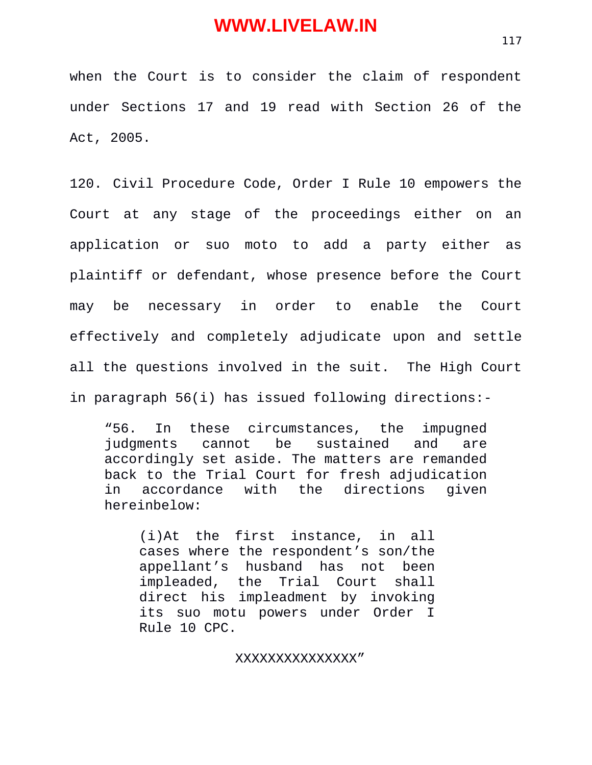when the Court is to consider the claim of respondent under Sections 17 and 19 read with Section 26 of the Act, 2005.

120. Civil Procedure Code, Order I Rule 10 empowers the Court at any stage of the proceedings either on an application or suo moto to add a party either as plaintiff or defendant, whose presence before the Court may be necessary in order to enable the Court effectively and completely adjudicate upon and settle all the questions involved in the suit. The High Court in paragraph 56(i) has issued following directions:-

"56. In these circumstances, the impugned judgments cannot be sustained and are accordingly set aside. The matters are remanded back to the Trial Court for fresh adjudication<br>in accordance with the directions given in accordance with the directions given hereinbelow:

(i)At the first instance, in all cases where the respondent's son/the appellant's husband has not been impleaded, the Trial Court shall direct his impleadment by invoking its suo motu powers under Order I Rule 10 CPC.

XXXXXXXXXXXXXXX"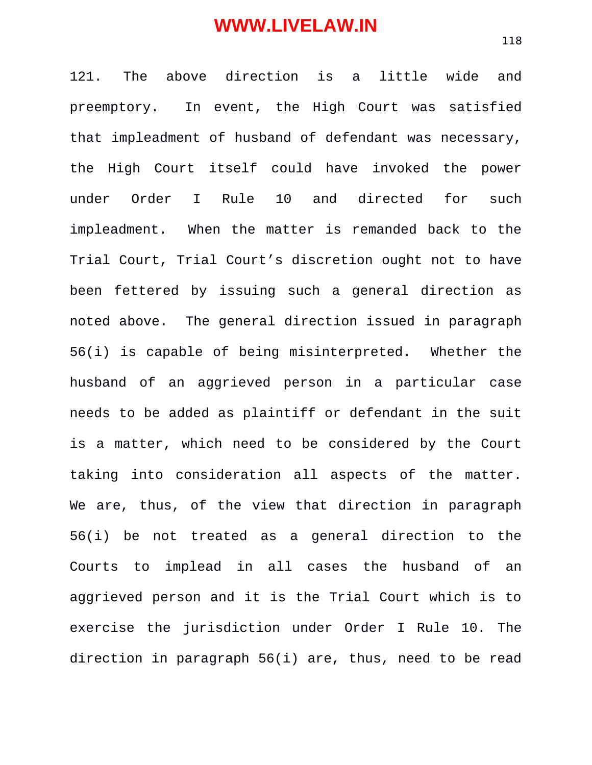121. The above direction is a little wide and preemptory. In event, the High Court was satisfied that impleadment of husband of defendant was necessary, the High Court itself could have invoked the power under Order I Rule 10 and directed for such impleadment. When the matter is remanded back to the Trial Court, Trial Court's discretion ought not to have been fettered by issuing such a general direction as noted above. The general direction issued in paragraph 56(i) is capable of being misinterpreted. Whether the husband of an aggrieved person in a particular case needs to be added as plaintiff or defendant in the suit is a matter, which need to be considered by the Court taking into consideration all aspects of the matter. We are, thus, of the view that direction in paragraph 56(i) be not treated as a general direction to the Courts to implead in all cases the husband of an aggrieved person and it is the Trial Court which is to exercise the jurisdiction under Order I Rule 10. The direction in paragraph 56(i) are, thus, need to be read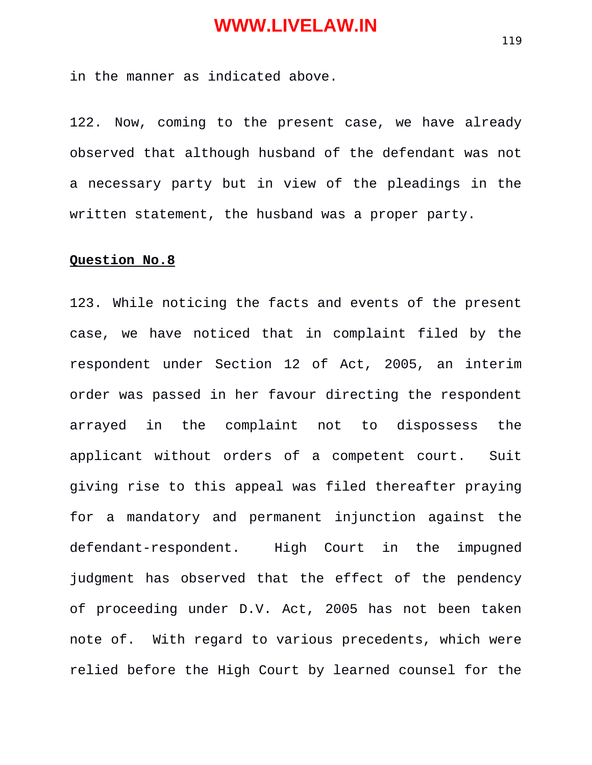in the manner as indicated above.

122. Now, coming to the present case, we have already observed that although husband of the defendant was not a necessary party but in view of the pleadings in the written statement, the husband was a proper party.

#### **Question No.8**

123. While noticing the facts and events of the present case, we have noticed that in complaint filed by the respondent under Section 12 of Act, 2005, an interim order was passed in her favour directing the respondent arrayed in the complaint not to dispossess the applicant without orders of a competent court. Suit giving rise to this appeal was filed thereafter praying for a mandatory and permanent injunction against the defendant-respondent. High Court in the impugned judgment has observed that the effect of the pendency of proceeding under D.V. Act, 2005 has not been taken note of. With regard to various precedents, which were relied before the High Court by learned counsel for the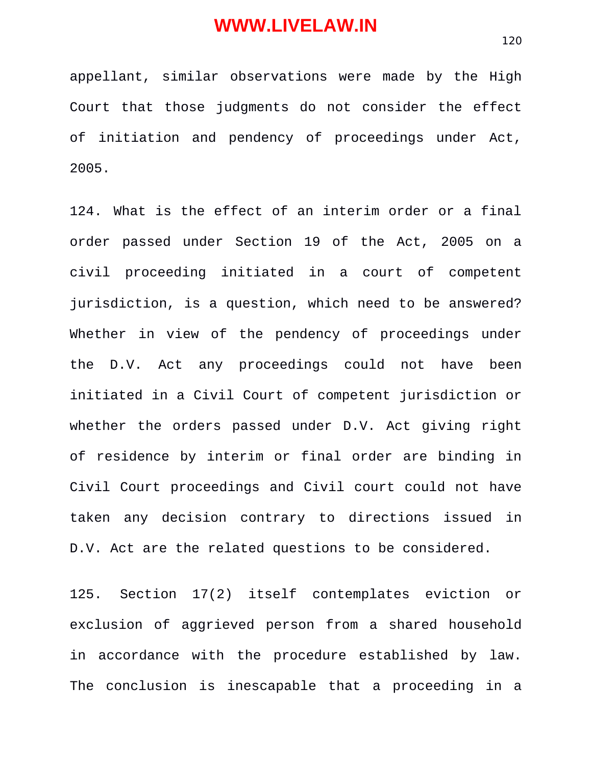appellant, similar observations were made by the High Court that those judgments do not consider the effect of initiation and pendency of proceedings under Act, 2005.

124. What is the effect of an interim order or a final order passed under Section 19 of the Act, 2005 on a civil proceeding initiated in a court of competent jurisdiction, is a question, which need to be answered? Whether in view of the pendency of proceedings under the D.V. Act any proceedings could not have been initiated in a Civil Court of competent jurisdiction or whether the orders passed under D.V. Act giving right of residence by interim or final order are binding in Civil Court proceedings and Civil court could not have taken any decision contrary to directions issued in D.V. Act are the related questions to be considered.

125. Section 17(2) itself contemplates eviction or exclusion of aggrieved person from a shared household in accordance with the procedure established by law. The conclusion is inescapable that a proceeding in a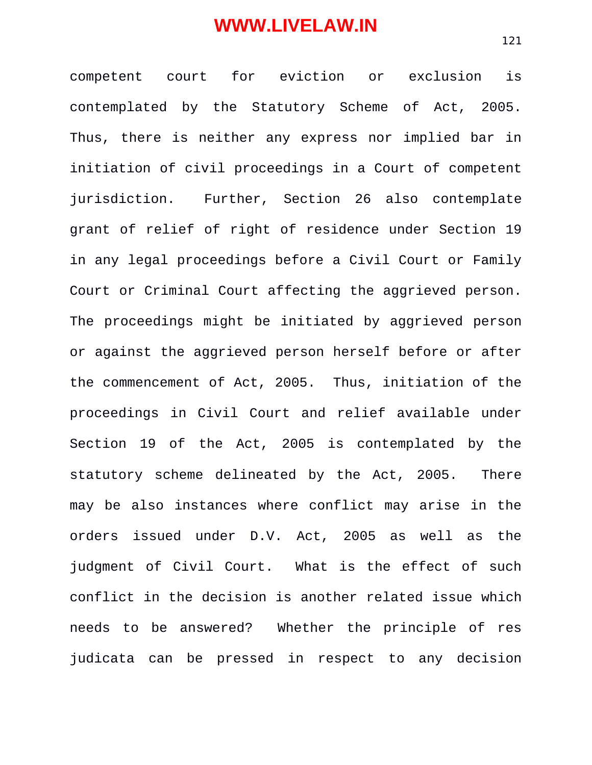competent court for eviction or exclusion is contemplated by the Statutory Scheme of Act, 2005. Thus, there is neither any express nor implied bar in initiation of civil proceedings in a Court of competent jurisdiction. Further, Section 26 also contemplate grant of relief of right of residence under Section 19 in any legal proceedings before a Civil Court or Family Court or Criminal Court affecting the aggrieved person. The proceedings might be initiated by aggrieved person or against the aggrieved person herself before or after the commencement of Act, 2005. Thus, initiation of the proceedings in Civil Court and relief available under Section 19 of the Act, 2005 is contemplated by the statutory scheme delineated by the Act, 2005. There may be also instances where conflict may arise in the orders issued under D.V. Act, 2005 as well as the judgment of Civil Court. What is the effect of such conflict in the decision is another related issue which needs to be answered? Whether the principle of res judicata can be pressed in respect to any decision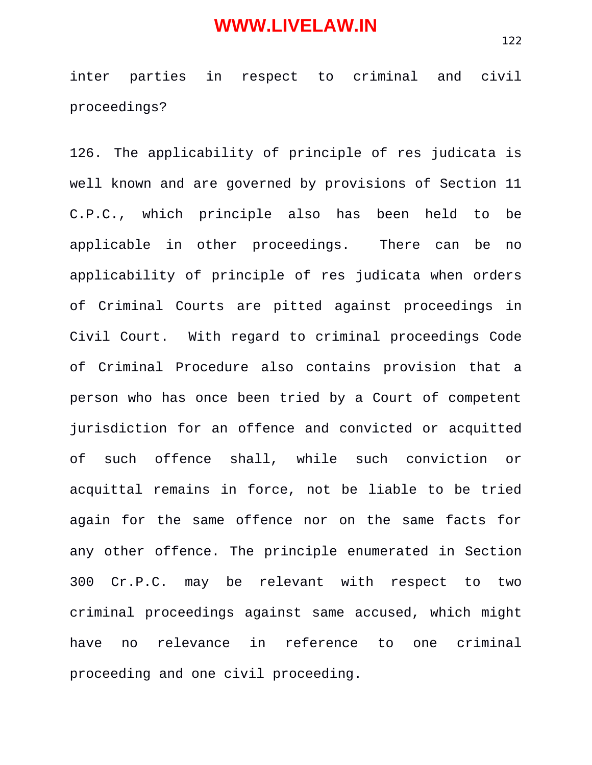inter parties in respect to criminal and civil proceedings?

126. The applicability of principle of res judicata is well known and are governed by provisions of Section 11 C.P.C., which principle also has been held to be applicable in other proceedings. There can be no applicability of principle of res judicata when orders of Criminal Courts are pitted against proceedings in Civil Court. With regard to criminal proceedings Code of Criminal Procedure also contains provision that a person who has once been tried by a Court of competent jurisdiction for an offence and convicted or acquitted of such offence shall, while such conviction or acquittal remains in force, not be liable to be tried again for the same offence nor on the same facts for any other offence. The principle enumerated in Section 300 Cr.P.C. may be relevant with respect to two criminal proceedings against same accused, which might have no relevance in reference to one criminal proceeding and one civil proceeding.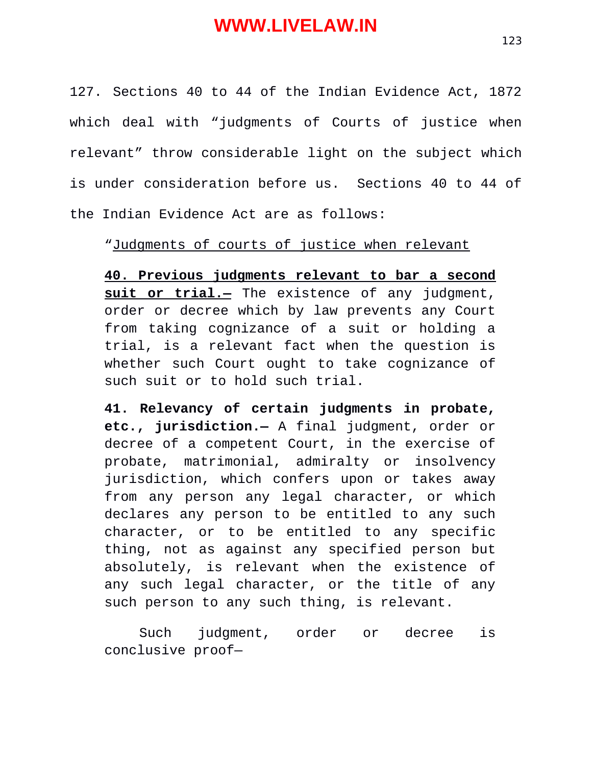127. Sections 40 to 44 of the Indian Evidence Act, 1872 which deal with "judgments of Courts of justice when relevant" throw considerable light on the subject which is under consideration before us. Sections 40 to 44 of the Indian Evidence Act are as follows:

"Judgments of courts of justice when relevant

**40. Previous judgments relevant to bar a second suit or trial.—** The existence of any judgment, order or decree which by law prevents any Court from taking cognizance of a suit or holding a trial, is a relevant fact when the question is whether such Court ought to take cognizance of such suit or to hold such trial.

**41. Relevancy of certain judgments in probate, etc., jurisdiction.—** A final judgment, order or decree of a competent Court, in the exercise of probate, matrimonial, admiralty or insolvency jurisdiction, which confers upon or takes away from any person any legal character, or which declares any person to be entitled to any such character, or to be entitled to any specific thing, not as against any specified person but absolutely, is relevant when the existence of any such legal character, or the title of any such person to any such thing, is relevant.

Such judgment, order or decree is conclusive proof—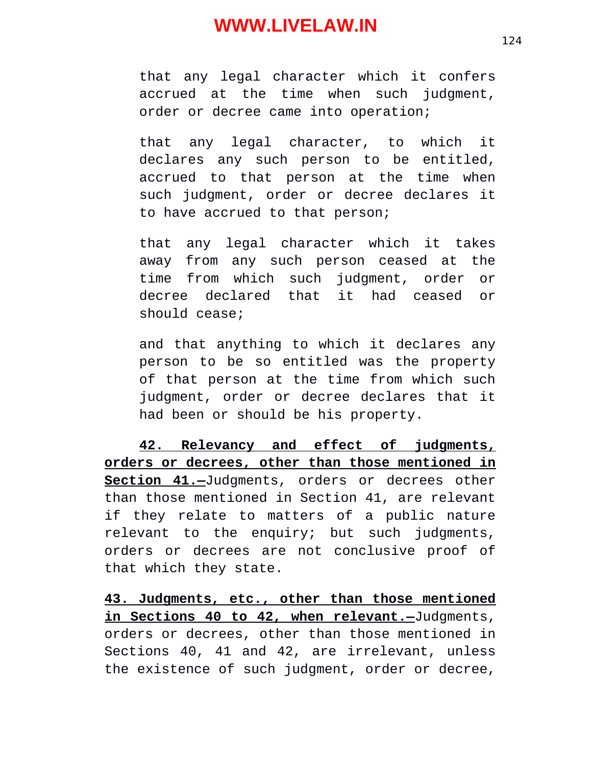that any legal character which it confers accrued at the time when such judgment, order or decree came into operation;

that any legal character, to which it declares any such person to be entitled, accrued to that person at the time when such judgment, order or decree declares it to have accrued to that person;

that any legal character which it takes away from any such person ceased at the time from which such judgment, order or decree declared that it had ceased or should cease;

and that anything to which it declares any person to be so entitled was the property of that person at the time from which such judgment, order or decree declares that it had been or should be his property.

**42. Relevancy and effect of judgments, orders or decrees, other than those mentioned in Section 41.—**Judgments, orders or decrees other than those mentioned in Section 41, are relevant if they relate to matters of a public nature relevant to the enquiry; but such judgments, orders or decrees are not conclusive proof of that which they state.

**43. Judgments, etc., other than those mentioned in Sections 40 to 42, when relevant.—**Judgments, orders or decrees, other than those mentioned in Sections 40, 41 and 42, are irrelevant, unless the existence of such judgment, order or decree,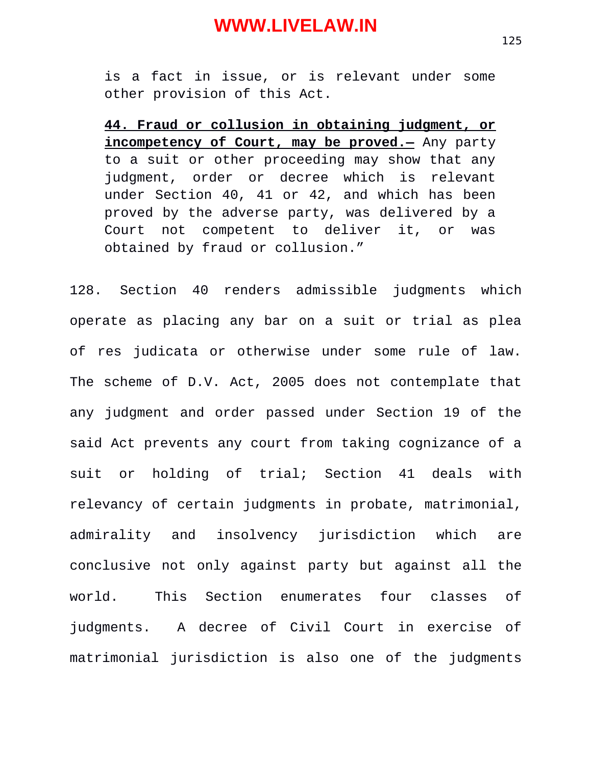is a fact in issue, or is relevant under some other provision of this Act.

**44. Fraud or collusion in obtaining judgment, or incompetency of Court, may be proved.—** Any party to a suit or other proceeding may show that any judgment, order or decree which is relevant under Section 40, 41 or 42, and which has been proved by the adverse party, was delivered by a Court not competent to deliver it, or was obtained by fraud or collusion."

128. Section 40 renders admissible judgments which operate as placing any bar on a suit or trial as plea of res judicata or otherwise under some rule of law. The scheme of D.V. Act, 2005 does not contemplate that any judgment and order passed under Section 19 of the said Act prevents any court from taking cognizance of a suit or holding of trial; Section 41 deals with relevancy of certain judgments in probate, matrimonial, admirality and insolvency jurisdiction which are conclusive not only against party but against all the world. This Section enumerates four classes of judgments. A decree of Civil Court in exercise of matrimonial jurisdiction is also one of the judgments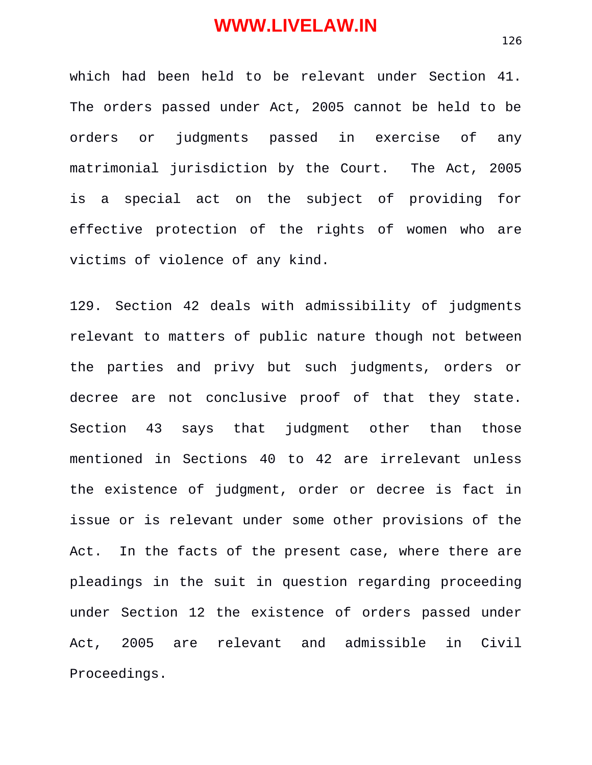which had been held to be relevant under Section 41. The orders passed under Act, 2005 cannot be held to be orders or judgments passed in exercise of any matrimonial jurisdiction by the Court. The Act, 2005 is a special act on the subject of providing for effective protection of the rights of women who are victims of violence of any kind.

129. Section 42 deals with admissibility of judgments relevant to matters of public nature though not between the parties and privy but such judgments, orders or decree are not conclusive proof of that they state. Section 43 says that judgment other than those mentioned in Sections 40 to 42 are irrelevant unless the existence of judgment, order or decree is fact in issue or is relevant under some other provisions of the Act. In the facts of the present case, where there are pleadings in the suit in question regarding proceeding under Section 12 the existence of orders passed under Act, 2005 are relevant and admissible in Civil Proceedings.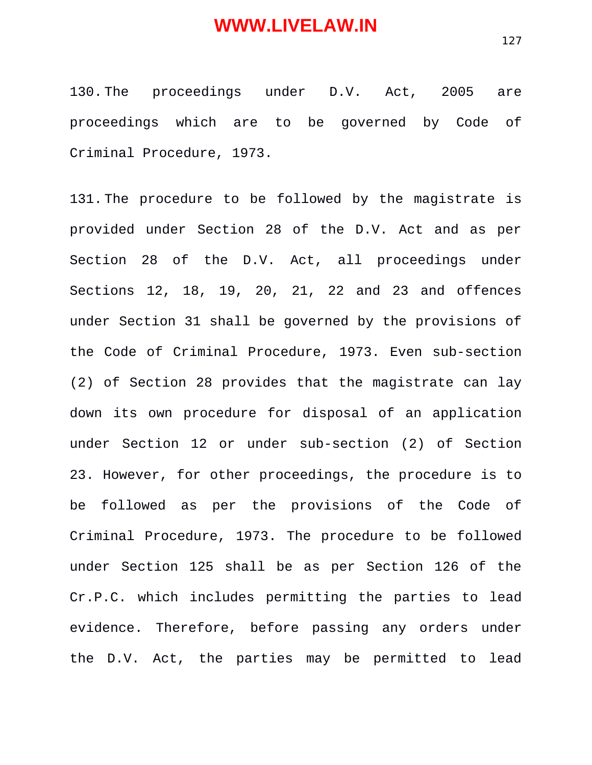130. The proceedings under D.V. Act, 2005 are proceedings which are to be governed by Code of Criminal Procedure, 1973.

131. The procedure to be followed by the magistrate is provided under Section 28 of the D.V. Act and as per Section 28 of the D.V. Act, all proceedings under Sections 12, 18, 19, 20, 21, 22 and 23 and offences under Section 31 shall be governed by the provisions of the Code of Criminal Procedure, 1973. Even sub-section (2) of Section 28 provides that the magistrate can lay down its own procedure for disposal of an application under Section 12 or under sub-section (2) of Section 23. However, for other proceedings, the procedure is to be followed as per the provisions of the Code of Criminal Procedure, 1973. The procedure to be followed under Section 125 shall be as per Section 126 of the Cr.P.C. which includes permitting the parties to lead evidence. Therefore, before passing any orders under the D.V. Act, the parties may be permitted to lead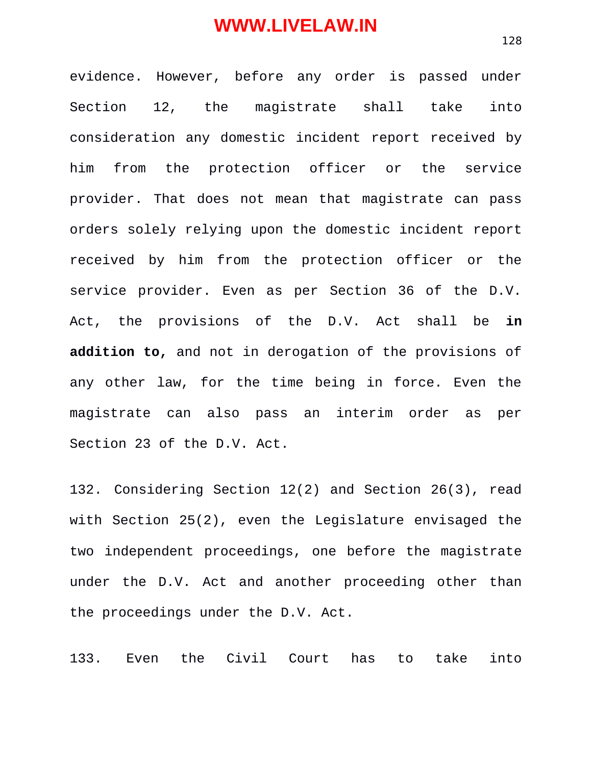evidence. However, before any order is passed under Section 12, the magistrate shall take into consideration any domestic incident report received by him from the protection officer or the service provider. That does not mean that magistrate can pass orders solely relying upon the domestic incident report received by him from the protection officer or the service provider. Even as per Section 36 of the D.V. Act, the provisions of the D.V. Act shall be **in addition to,** and not in derogation of the provisions of any other law, for the time being in force. Even the magistrate can also pass an interim order as per Section 23 of the D.V. Act.

132. Considering Section 12(2) and Section 26(3), read with Section 25(2), even the Legislature envisaged the two independent proceedings, one before the magistrate under the D.V. Act and another proceeding other than the proceedings under the D.V. Act.

133. Even the Civil Court has to take into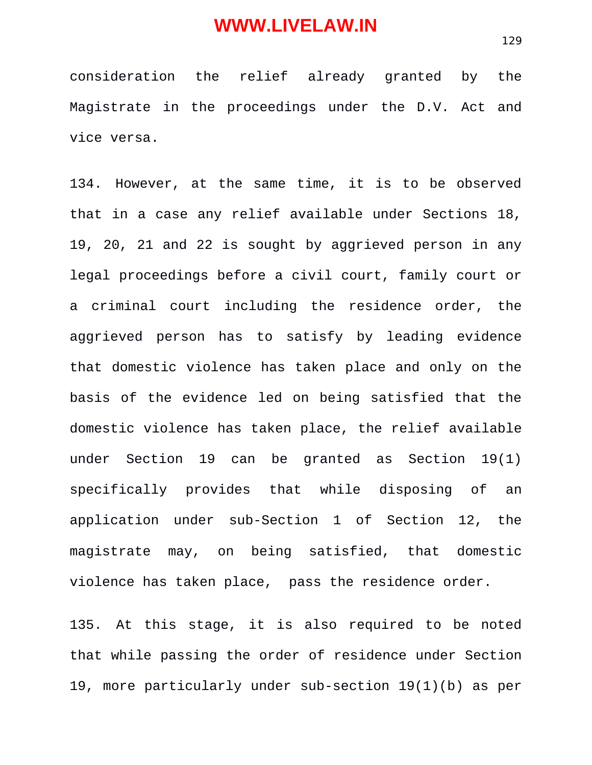consideration the relief already granted by the Magistrate in the proceedings under the D.V. Act and vice versa.

134. However, at the same time, it is to be observed that in a case any relief available under Sections 18, 19, 20, 21 and 22 is sought by aggrieved person in any legal proceedings before a civil court, family court or a criminal court including the residence order, the aggrieved person has to satisfy by leading evidence that domestic violence has taken place and only on the basis of the evidence led on being satisfied that the domestic violence has taken place, the relief available under Section 19 can be granted as Section 19(1) specifically provides that while disposing of an application under sub-Section 1 of Section 12, the magistrate may, on being satisfied, that domestic violence has taken place, pass the residence order.

135. At this stage, it is also required to be noted that while passing the order of residence under Section 19, more particularly under sub-section 19(1)(b) as per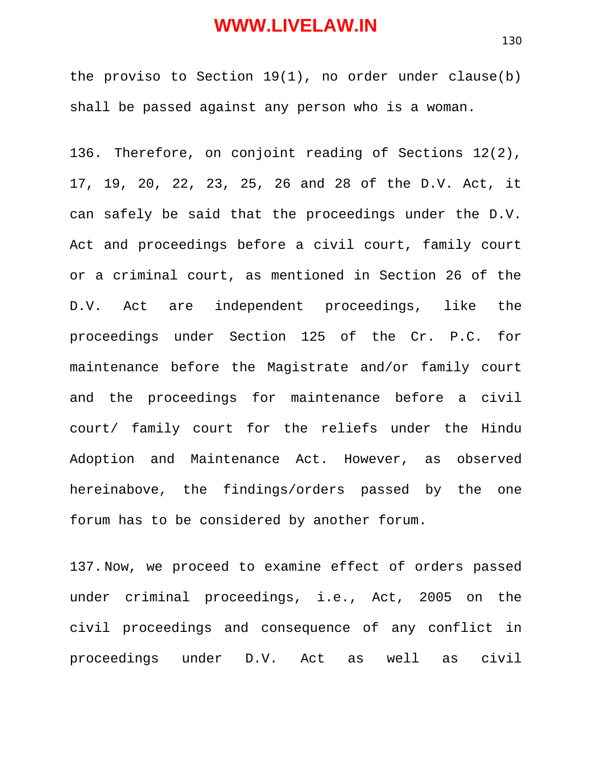the proviso to Section 19(1), no order under clause(b) shall be passed against any person who is a woman.

136. Therefore, on conjoint reading of Sections 12(2), 17, 19, 20, 22, 23, 25, 26 and 28 of the D.V. Act, it can safely be said that the proceedings under the D.V. Act and proceedings before a civil court, family court or a criminal court, as mentioned in Section 26 of the D.V. Act are independent proceedings, like the proceedings under Section 125 of the Cr. P.C. for maintenance before the Magistrate and/or family court and the proceedings for maintenance before a civil court/ family court for the reliefs under the Hindu Adoption and Maintenance Act. However, as observed hereinabove, the findings/orders passed by the one forum has to be considered by another forum.

137. Now, we proceed to examine effect of orders passed under criminal proceedings, i.e., Act, 2005 on the civil proceedings and consequence of any conflict in proceedings under D.V. Act as well as civil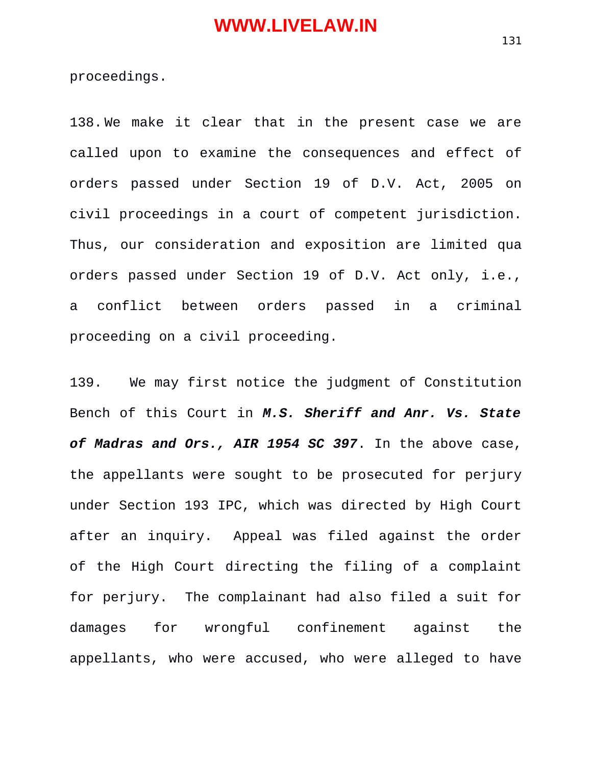proceedings.

138. We make it clear that in the present case we are called upon to examine the consequences and effect of orders passed under Section 19 of D.V. Act, 2005 on civil proceedings in a court of competent jurisdiction. Thus, our consideration and exposition are limited qua orders passed under Section 19 of D.V. Act only, i.e., a conflict between orders passed in a criminal proceeding on a civil proceeding.

139. We may first notice the judgment of Constitution Bench of this Court in *M.S. Sheriff and Anr. Vs. State of Madras and Ors., AIR 1954 SC 397*. In the above case, the appellants were sought to be prosecuted for perjury under Section 193 IPC, which was directed by High Court after an inquiry. Appeal was filed against the order of the High Court directing the filing of a complaint for perjury. The complainant had also filed a suit for damages for wrongful confinement against the appellants, who were accused, who were alleged to have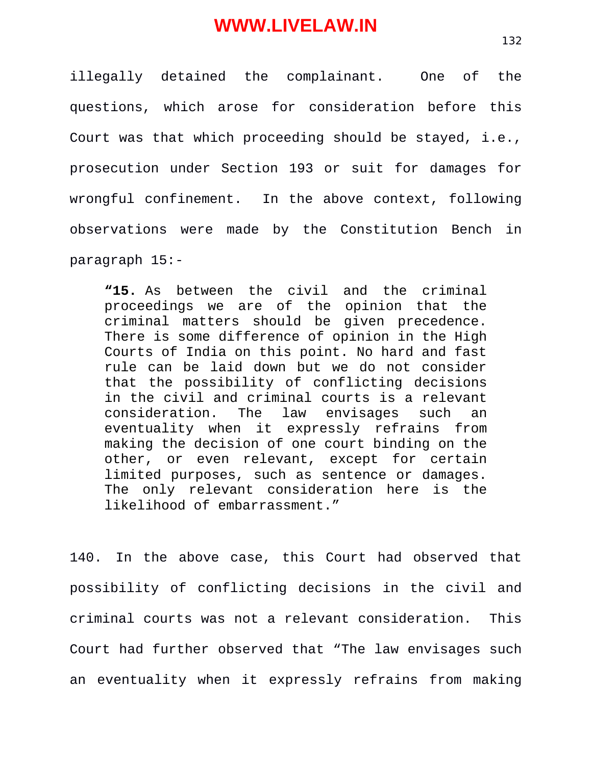illegally detained the complainant. One of the questions, which arose for consideration before this Court was that which proceeding should be stayed, i.e., prosecution under Section 193 or suit for damages for wrongful confinement. In the above context, following observations were made by the Constitution Bench in paragraph 15:-

**"15.** As between the civil and the criminal proceedings we are of the opinion that the criminal matters should be given precedence. There is some difference of opinion in the High Courts of India on this point. No hard and fast rule can be laid down but we do not consider that the possibility of conflicting decisions in the civil and criminal courts is a relevant consideration. The law envisages such an eventuality when it expressly refrains from making the decision of one court binding on the other, or even relevant, except for certain limited purposes, such as sentence or damages. The only relevant consideration here is the likelihood of embarrassment."

140. In the above case, this Court had observed that possibility of conflicting decisions in the civil and criminal courts was not a relevant consideration. This Court had further observed that "The law envisages such an eventuality when it expressly refrains from making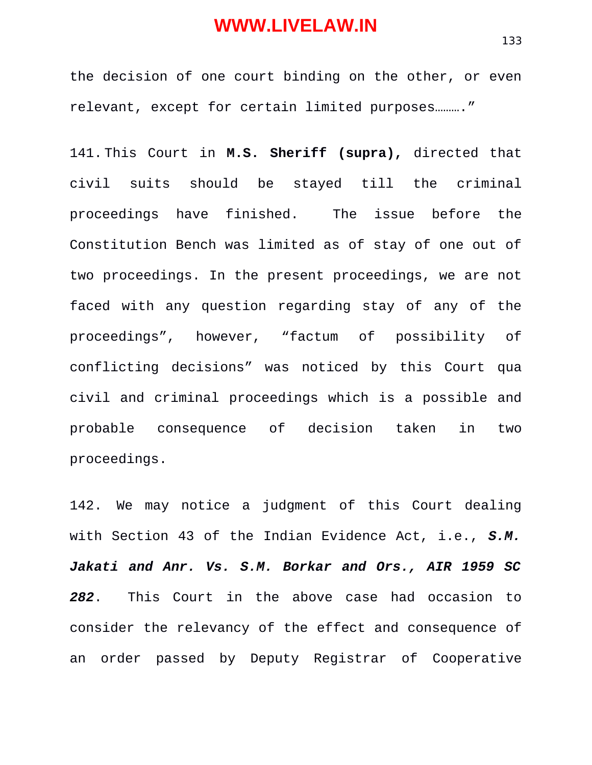the decision of one court binding on the other, or even relevant, except for certain limited purposes.........."

141. This Court in **M.S. Sheriff (supra),** directed that civil suits should be stayed till the criminal proceedings have finished. The issue before the Constitution Bench was limited as of stay of one out of two proceedings. In the present proceedings, we are not faced with any question regarding stay of any of the proceedings", however, "factum of possibility of conflicting decisions" was noticed by this Court qua civil and criminal proceedings which is a possible and probable consequence of decision taken in two proceedings.

142. We may notice a judgment of this Court dealing with Section 43 of the Indian Evidence Act, i.e., *S.M. Jakati and Anr. Vs. S.M. Borkar and Ors., AIR 1959 SC 282*. This Court in the above case had occasion to consider the relevancy of the effect and consequence of an order passed by Deputy Registrar of Cooperative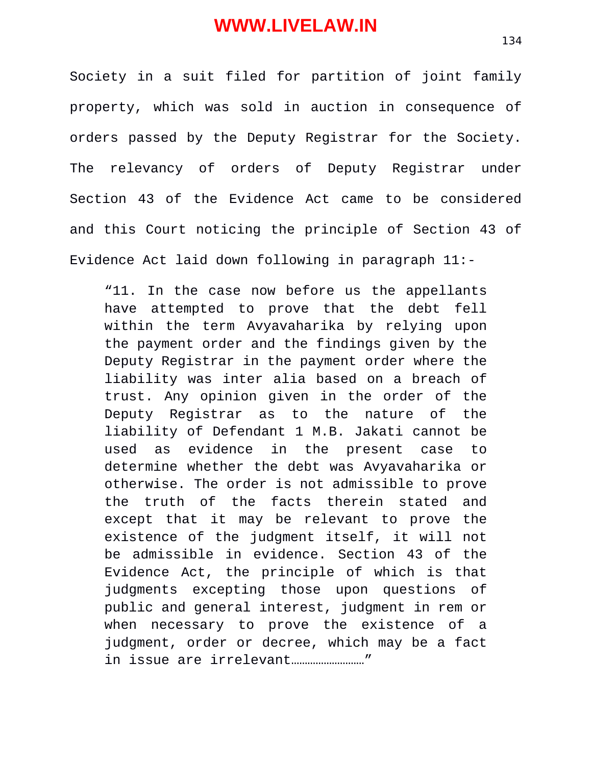Society in a suit filed for partition of joint family property, which was sold in auction in consequence of orders passed by the Deputy Registrar for the Society. The relevancy of orders of Deputy Registrar under Section 43 of the Evidence Act came to be considered and this Court noticing the principle of Section 43 of Evidence Act laid down following in paragraph 11:-

"11. In the case now before us the appellants have attempted to prove that the debt fell within the term Avyavaharika by relying upon the payment order and the findings given by the Deputy Registrar in the payment order where the liability was inter alia based on a breach of trust. Any opinion given in the order of the Deputy Registrar as to the nature of the liability of Defendant 1 M.B. Jakati cannot be used as evidence in the present case to determine whether the debt was Avyavaharika or otherwise. The order is not admissible to prove the truth of the facts therein stated and except that it may be relevant to prove the existence of the judgment itself, it will not be admissible in evidence. Section 43 of the Evidence Act, the principle of which is that judgments excepting those upon questions of public and general interest, judgment in rem or when necessary to prove the existence of a judgment, order or decree, which may be a fact in issue are irrelevant………………………"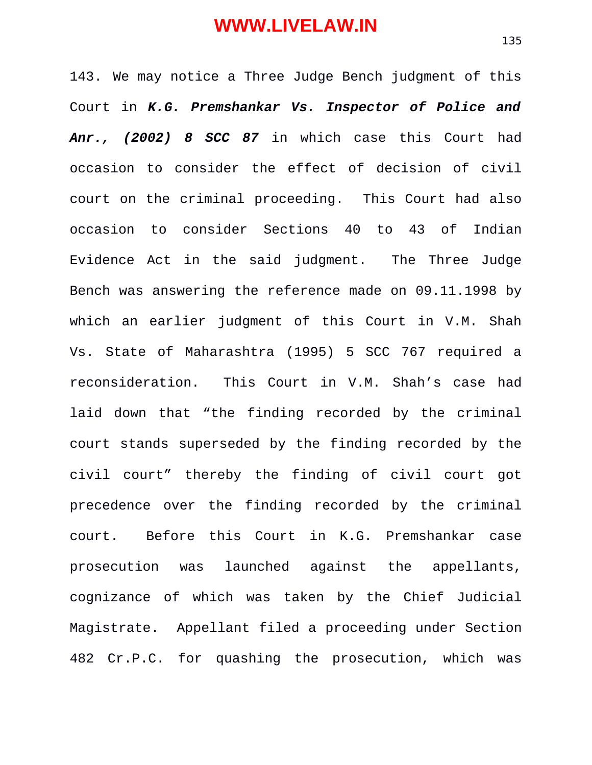143. We may notice a Three Judge Bench judgment of this Court in *K.G. Premshankar Vs. Inspector of Police and Anr., (2002) 8 SCC 87* in which case this Court had occasion to consider the effect of decision of civil court on the criminal proceeding. This Court had also occasion to consider Sections 40 to 43 of Indian Evidence Act in the said judgment. The Three Judge Bench was answering the reference made on 09.11.1998 by which an earlier judgment of this Court in V.M. Shah Vs. State of Maharashtra (1995) 5 SCC 767 required a reconsideration. This Court in V.M. Shah's case had laid down that "the finding recorded by the criminal court stands superseded by the finding recorded by the civil court" thereby the finding of civil court got precedence over the finding recorded by the criminal court. Before this Court in K.G. Premshankar case prosecution was launched against the appellants, cognizance of which was taken by the Chief Judicial Magistrate. Appellant filed a proceeding under Section 482 Cr.P.C. for quashing the prosecution, which was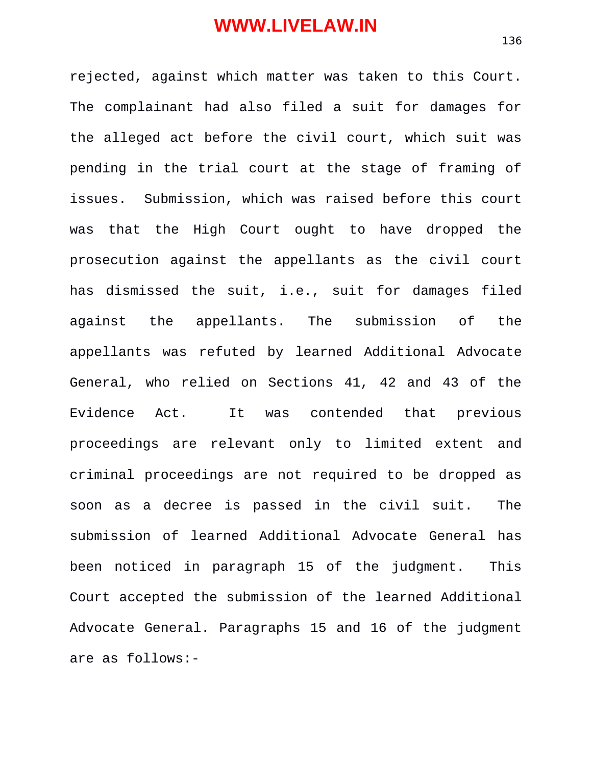rejected, against which matter was taken to this Court. The complainant had also filed a suit for damages for the alleged act before the civil court, which suit was pending in the trial court at the stage of framing of issues. Submission, which was raised before this court was that the High Court ought to have dropped the prosecution against the appellants as the civil court has dismissed the suit, i.e., suit for damages filed against the appellants. The submission of the appellants was refuted by learned Additional Advocate General, who relied on Sections 41, 42 and 43 of the Evidence Act. It was contended that previous proceedings are relevant only to limited extent and criminal proceedings are not required to be dropped as soon as a decree is passed in the civil suit. The submission of learned Additional Advocate General has been noticed in paragraph 15 of the judgment. This Court accepted the submission of the learned Additional Advocate General. Paragraphs 15 and 16 of the judgment are as follows:-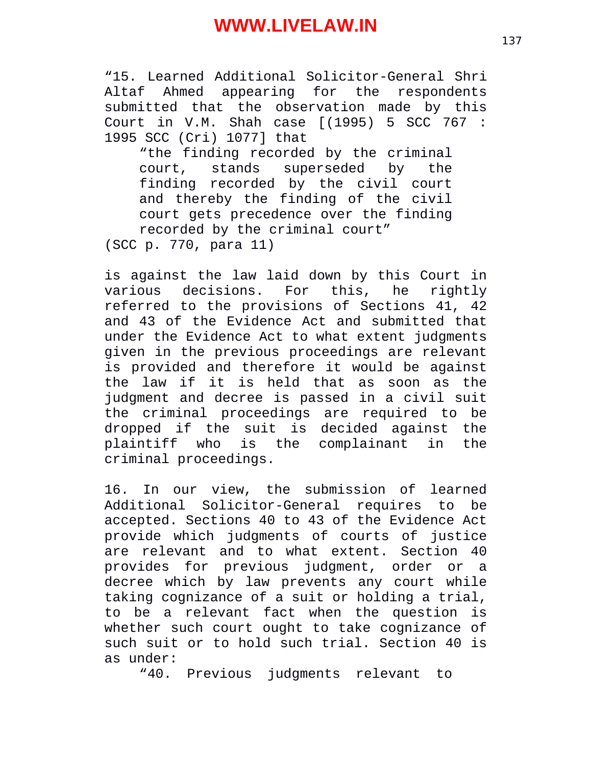"15. Learned Additional Solicitor-General Shri Altaf Ahmed appearing for the respondents submitted that the observation made by this Court in V.M. Shah case [(1995) 5 SCC 767 : 1995 SCC (Cri) 1077] that

"the finding recorded by the criminal court, stands superseded by the finding recorded by the civil court and thereby the finding of the civil court gets precedence over the finding recorded by the criminal court" (SCC p. 770, para 11)

is against the law laid down by this Court in various decisions. For this, he rightly referred to the provisions of Sections 41, 42 and 43 of the Evidence Act and submitted that under the Evidence Act to what extent judgments given in the previous proceedings are relevant is provided and therefore it would be against the law if it is held that as soon as the judgment and decree is passed in a civil suit the criminal proceedings are required to be dropped if the suit is decided against the plaintiff who is the complainant in the criminal proceedings.

16. In our view, the submission of learned Additional Solicitor-General requires to be accepted. Sections 40 to 43 of the Evidence Act provide which judgments of courts of justice are relevant and to what extent. Section 40 provides for previous judgment, order or a decree which by law prevents any court while taking cognizance of a suit or holding a trial, to be a relevant fact when the question is whether such court ought to take cognizance of such suit or to hold such trial. Section 40 is as under:

"40. Previous judgments relevant to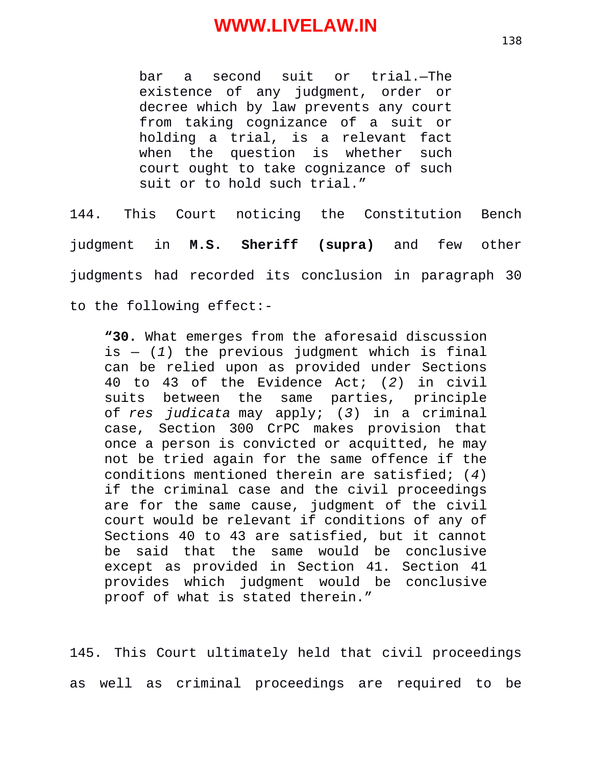bar a second suit or trial.—The existence of any judgment, order or decree which by law prevents any court from taking cognizance of a suit or holding a trial, is a relevant fact when the question is whether such court ought to take cognizance of such suit or to hold such trial."

144. This Court noticing the Constitution Bench judgment in **M.S. Sheriff (supra)** and few other judgments had recorded its conclusion in paragraph 30 to the following effect:-

**"30.** What emerges from the aforesaid discussion  $is - (1)$  the previous judgment which is final can be relied upon as provided under Sections 40 to 43 of the Evidence Act; (*2*) in civil suits between the same of *res judicata* may apply; (*3*) in a criminal case, Section 300 CrPC makes provision that once a person is convicted or acquitted, he may not be tried again for the same offence if the conditions mentioned therein are satisfied; (*4*) if the criminal case and the civil proceedings are for the same cause, judgment of the civil court would be relevant if conditions of any of Sections 40 to 43 are satisfied, but it cannot be said that the same would be conclusive except as provided in Section 41. Section 41 provides which judgment would be conclusive proof of what is stated therein."

145. This Court ultimately held that civil proceedings as well as criminal proceedings are required to be

138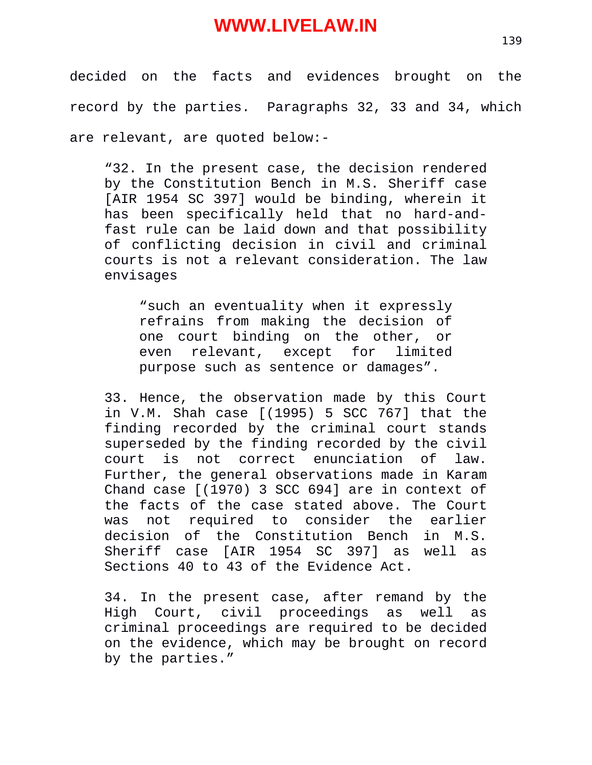decided on the facts and evidences brought on the record by the parties. Paragraphs 32, 33 and 34, which are relevant, are quoted below:-

"32. In the present case, the decision rendered by the Constitution Bench in M.S. Sheriff case [AIR 1954 SC 397] would be binding, wherein it has been specifically held that no hard-andfast rule can be laid down and that possibility of conflicting decision in civil and criminal courts is not a relevant consideration. The law envisages

"such an eventuality when it expressly refrains from making the decision of one court binding on the other, or even relevant, except for limited purpose such as sentence or damages".

33. Hence, the observation made by this Court in V.M. Shah case [(1995) 5 SCC 767] that the finding recorded by the criminal court stands superseded by the finding recorded by the civil court is not correct enunciation of law. Further, the general observations made in Karam Chand case [(1970) 3 SCC 694] are in context of the facts of the case stated above. The Court was not required to consider the earlier decision of the Constitution Bench in M.S. Sheriff case [AIR 1954 SC 397] as well as Sections 40 to 43 of the Evidence Act.

34. In the present case, after remand by the High Court, civil proceedings as well as criminal proceedings are required to be decided on the evidence, which may be brought on record by the parties."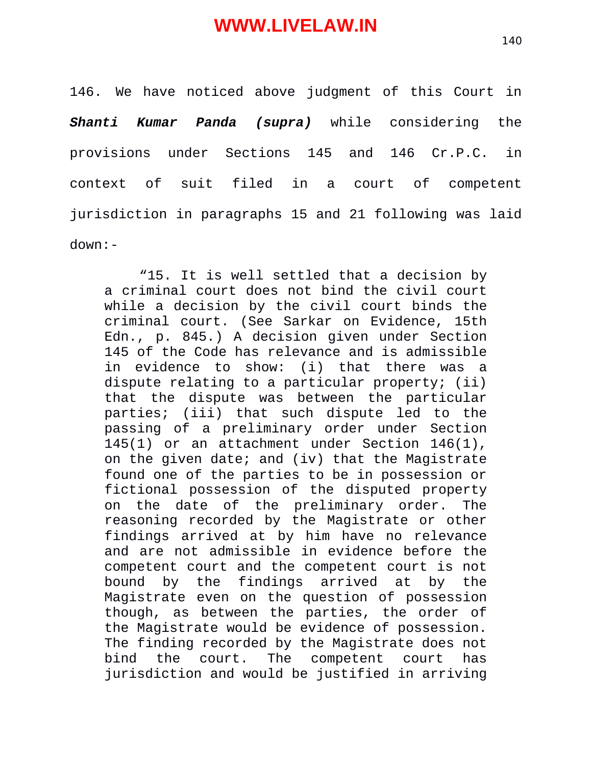146. We have noticed above judgment of this Court in *Shanti Kumar Panda (supra)* while considering the provisions under Sections 145 and 146 Cr.P.C. in context of suit filed in a court of competent jurisdiction in paragraphs 15 and 21 following was laid down:-

"15. It is well settled that a decision by a criminal court does not bind the civil court while a decision by the civil court binds the criminal court. (See Sarkar on Evidence, 15th Edn., p. 845.) A decision given under Section 145 of the Code has relevance and is admissible in evidence to show: (i) that there was a dispute relating to a particular property; (ii) that the dispute was between the particular parties; (iii) that such dispute led to the passing of a preliminary order under Section 145(1) or an attachment under Section 146(1), on the given date; and (iv) that the Magistrate found one of the parties to be in possession or fictional possession of the disputed property on the date of the preliminary order. The reasoning recorded by the Magistrate or other findings arrived at by him have no relevance and are not admissible in evidence before the competent court and the competent court is not bound by the findings arrived at by the Magistrate even on the question of possession though, as between the parties, the order of the Magistrate would be evidence of possession. The finding recorded by the Magistrate does not bind the court. The competent court has jurisdiction and would be justified in arriving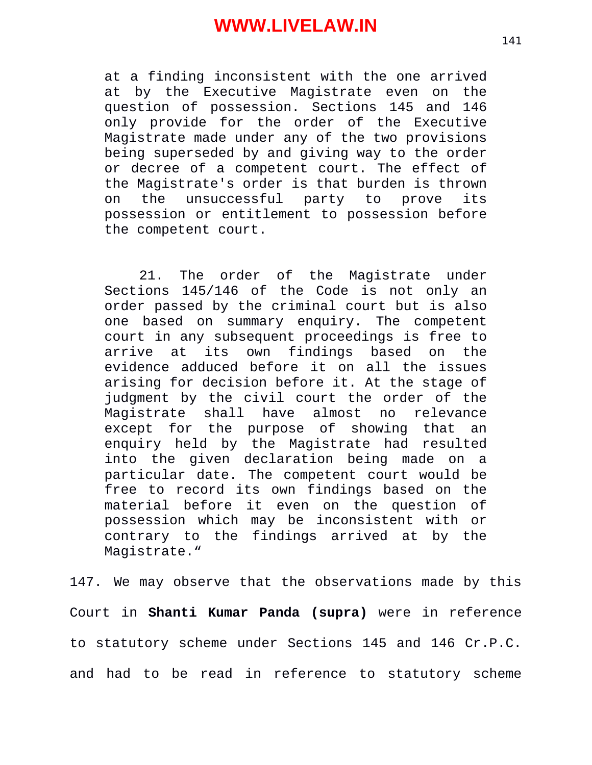at a finding inconsistent with the one arrived at by the Executive Magistrate even on the question of possession. Sections 145 and 146 only provide for the order of the Executive Magistrate made under any of the two provisions being superseded by and giving way to the order or decree of a competent court. The effect of the Magistrate's order is that burden is thrown on the unsuccessful party to prove its possession or entitlement to possession before the competent court.

21. The order of the Magistrate under Sections 145/146 of the Code is not only an order passed by the criminal court but is also one based on summary enquiry. The competent court in any subsequent proceedings is free to arrive at its own findings based on the evidence adduced before it on all the issues arising for decision before it. At the stage of judgment by the civil court the order of the Magistrate shall have almost no relevance except for the purpose of showing that an enquiry held by the Magistrate had resulted into the given declaration being made on a particular date. The competent court would be free to record its own findings based on the material before it even on the question of possession which may be inconsistent with or contrary to the findings arrived at by the Magistrate."

147. We may observe that the observations made by this Court in **Shanti Kumar Panda (supra)** were in reference to statutory scheme under Sections 145 and 146 Cr.P.C. and had to be read in reference to statutory scheme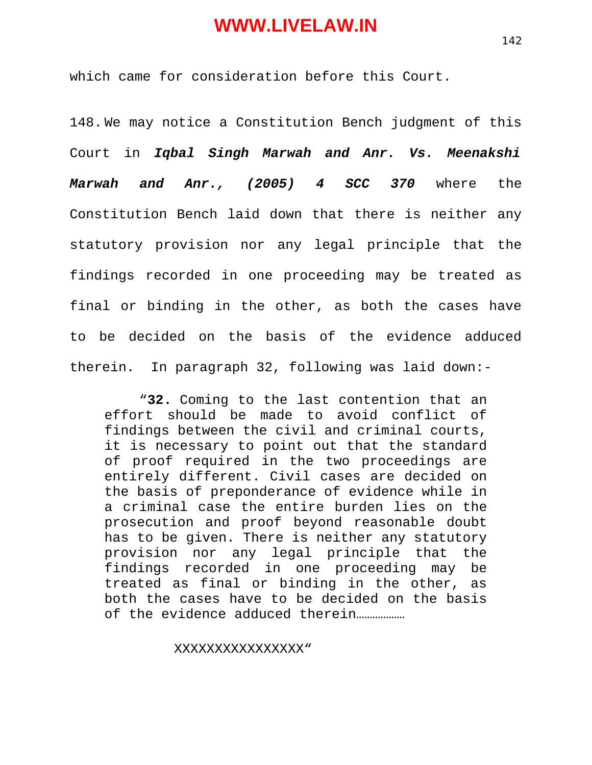which came for consideration before this Court.

148. We may notice a Constitution Bench judgment of this Court in *Iqbal Singh Marwah and Anr. Vs. Meenakshi Marwah and Anr., (2005) 4 SCC 370* where the Constitution Bench laid down that there is neither any statutory provision nor any legal principle that the findings recorded in one proceeding may be treated as final or binding in the other, as both the cases have to be decided on the basis of the evidence adduced therein. In paragraph 32, following was laid down:-

"**32.** Coming to the last contention that an effort should be made to avoid conflict of findings between the civil and criminal courts, it is necessary to point out that the standard of proof required in the two proceedings are entirely different. Civil cases are decided on the basis of preponderance of evidence while in a criminal case the entire burden lies on the prosecution and proof beyond reasonable doubt has to be given. There is neither any statutory provision nor any legal principle that the findings recorded in one proceeding may be treated as final or binding in the other, as both the cases have to be decided on the basis of the evidence adduced therein………………

#### XXXXXXXXXXXXXXXX"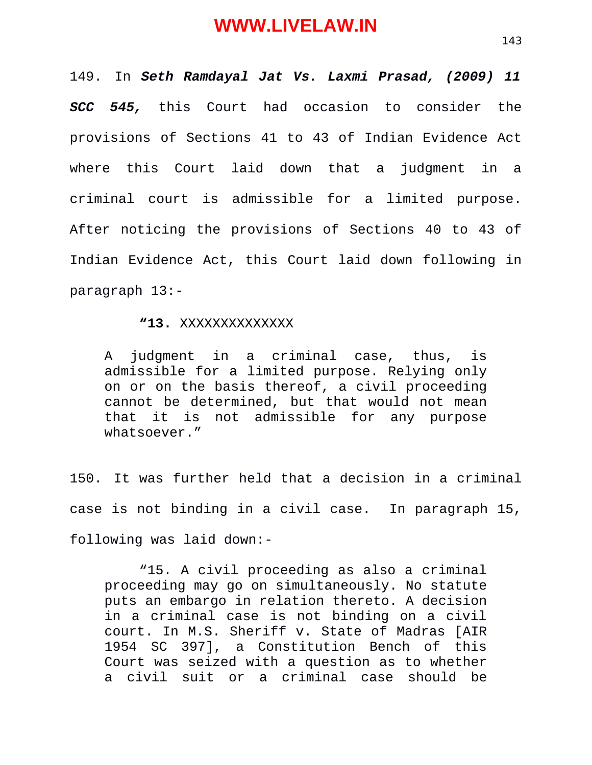149. In *Seth Ramdayal Jat Vs. Laxmi Prasad, (2009) 11 SCC 545,* this Court had occasion to consider the provisions of Sections 41 to 43 of Indian Evidence Act where this Court laid down that a judgment in a criminal court is admissible for a limited purpose. After noticing the provisions of Sections 40 to 43 of Indian Evidence Act, this Court laid down following in paragraph 13:-

#### **"13.** XXXXXXXXXXXXXX

A judgment in a criminal case, thus, is admissible for a limited purpose. Relying only on or on the basis thereof, a civil proceeding cannot be determined, but that would not mean that it is not admissible for any purpose whatsoever."

150. It was further held that a decision in a criminal case is not binding in a civil case. In paragraph 15, following was laid down:-

"15. A civil proceeding as also a criminal proceeding may go on simultaneously. No statute puts an embargo in relation thereto. A decision in a criminal case is not binding on a civil court. In M.S. Sheriff v. State of Madras [AIR 1954 SC 397], a Constitution Bench of this Court was seized with a question as to whether a civil suit or a criminal case should be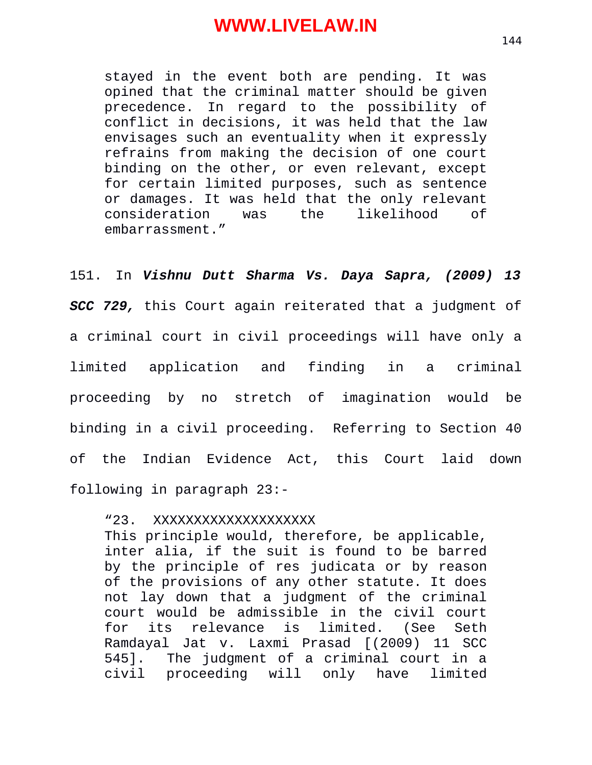stayed in the event both are pending. It was opined that the criminal matter should be given precedence. In regard to the possibility of conflict in decisions, it was held that the law envisages such an eventuality when it expressly refrains from making the decision of one court binding on the other, or even relevant, except for certain limited purposes, such as sentence or damages. It was held that the only relevant consideration was the likelihood of embarrassment."

151. In *Vishnu Dutt Sharma Vs. Daya Sapra, (2009) 13*

*SCC 729,* this Court again reiterated that a judgment of a criminal court in civil proceedings will have only a limited application and finding in a criminal proceeding by no stretch of imagination would be binding in a civil proceeding. Referring to Section 40 of the Indian Evidence Act, this Court laid down following in paragraph 23:-

"23. XXXXXXXXXXXXXXXXXXXX

This principle would, therefore, be applicable, inter alia, if the suit is found to be barred by the principle of res judicata or by reason of the provisions of any other statute. It does not lay down that a judgment of the criminal court would be admissible in the civil court for its relevance is limited. (See Seth Ramdayal Jat v. Laxmi Prasad [(2009) 11 SCC 545]. The judgment of a criminal court in a civil proceeding will only have limited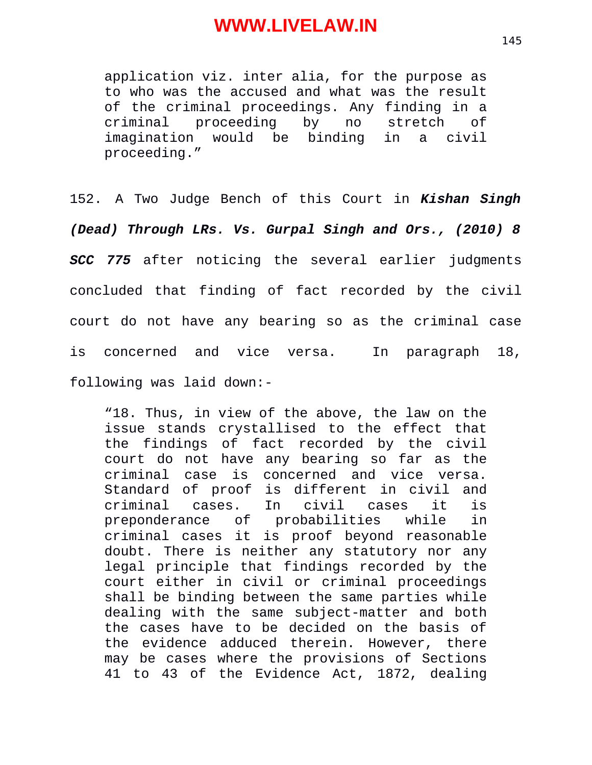application viz. inter alia, for the purpose as to who was the accused and what was the result of the criminal proceedings. Any finding in a criminal proceeding by no stretch of imagination would be binding in a civil proceeding."

152. A Two Judge Bench of this Court in *Kishan Singh (Dead) Through LRs. Vs. Gurpal Singh and Ors., (2010) 8 SCC 775* after noticing the several earlier judgments concluded that finding of fact recorded by the civil court do not have any bearing so as the criminal case is concerned and vice versa. In paragraph 18, following was laid down:-

"18. Thus, in view of the above, the law on the issue stands crystallised to the effect that the findings of fact recorded by the civil court do not have any bearing so far as the criminal case is concerned and vice versa. Standard of proof is different in civil and criminal cases. In civil cases it is preponderance of probabilities while in criminal cases it is proof beyond reasonable doubt. There is neither any statutory nor any legal principle that findings recorded by the court either in civil or criminal proceedings shall be binding between the same parties while dealing with the same subject-matter and both the cases have to be decided on the basis of the evidence adduced therein. However, there may be cases where the provisions of Sections 41 to 43 of the Evidence Act, 1872, dealing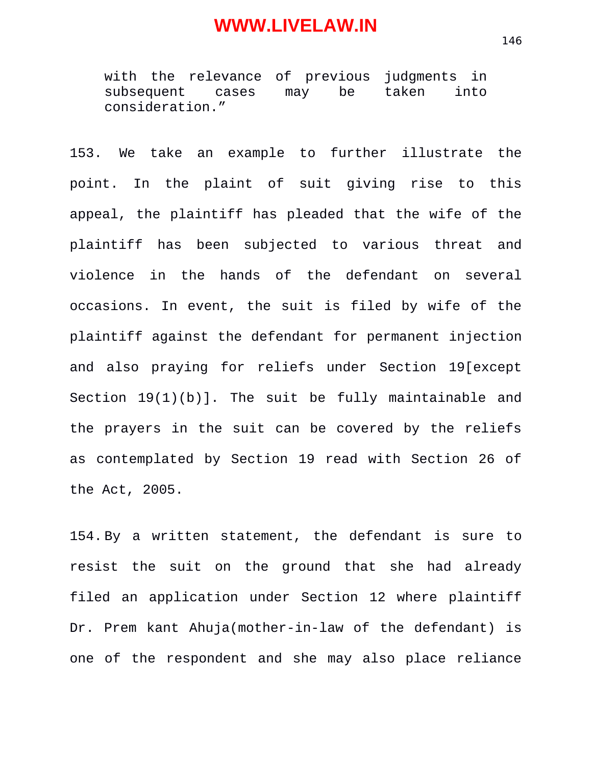with the relevance of previous judgments in subsequent cases may be taken into consideration."

153. We take an example to further illustrate the point. In the plaint of suit giving rise to this appeal, the plaintiff has pleaded that the wife of the plaintiff has been subjected to various threat and violence in the hands of the defendant on several occasions. In event, the suit is filed by wife of the plaintiff against the defendant for permanent injection and also praying for reliefs under Section 19[except Section 19(1)(b)]. The suit be fully maintainable and the prayers in the suit can be covered by the reliefs as contemplated by Section 19 read with Section 26 of the Act, 2005.

154. By a written statement, the defendant is sure to resist the suit on the ground that she had already filed an application under Section 12 where plaintiff Dr. Prem kant Ahuja(mother-in-law of the defendant) is one of the respondent and she may also place reliance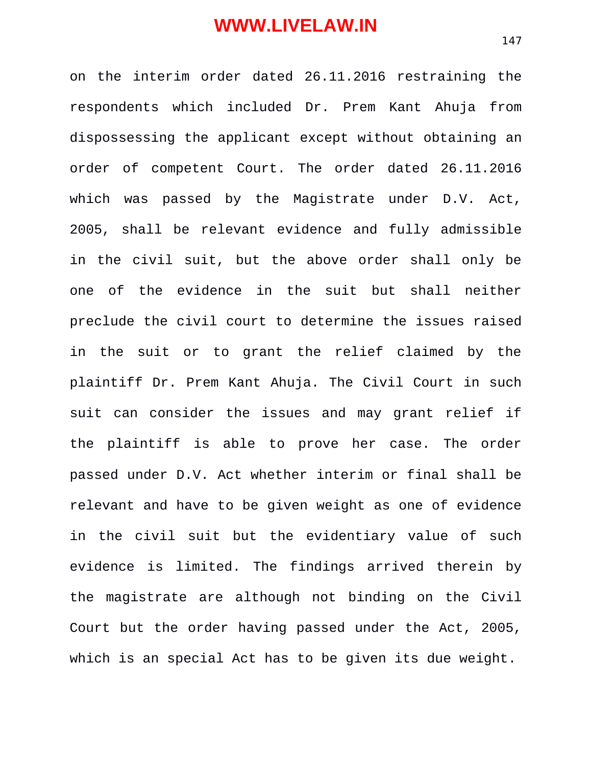on the interim order dated 26.11.2016 restraining the respondents which included Dr. Prem Kant Ahuja from dispossessing the applicant except without obtaining an order of competent Court. The order dated 26.11.2016 which was passed by the Magistrate under D.V. Act, 2005, shall be relevant evidence and fully admissible in the civil suit, but the above order shall only be one of the evidence in the suit but shall neither preclude the civil court to determine the issues raised in the suit or to grant the relief claimed by the plaintiff Dr. Prem Kant Ahuja. The Civil Court in such suit can consider the issues and may grant relief if the plaintiff is able to prove her case. The order passed under D.V. Act whether interim or final shall be relevant and have to be given weight as one of evidence in the civil suit but the evidentiary value of such evidence is limited. The findings arrived therein by the magistrate are although not binding on the Civil Court but the order having passed under the Act, 2005, which is an special Act has to be given its due weight.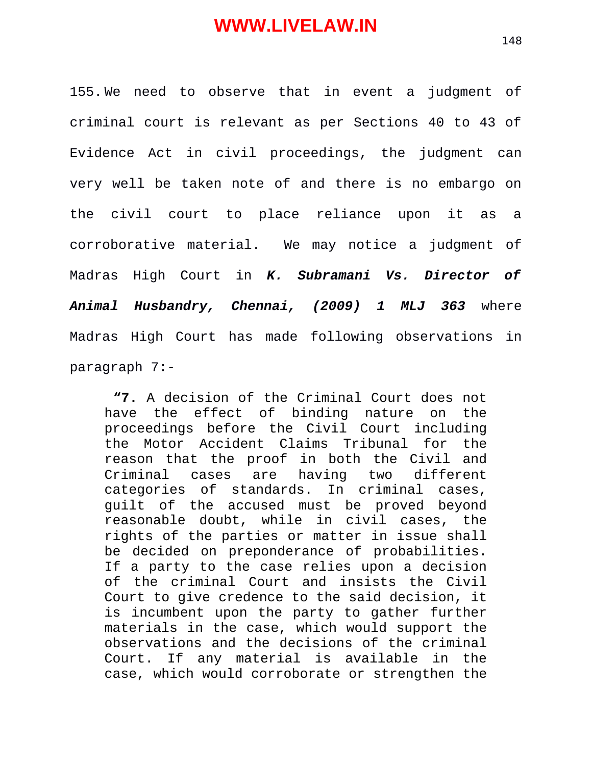155. We need to observe that in event a judgment of criminal court is relevant as per Sections 40 to 43 of Evidence Act in civil proceedings, the judgment can very well be taken note of and there is no embargo on the civil court to place reliance upon it as a corroborative material. We may notice a judgment of Madras High Court in *K. Subramani Vs. Director of Animal Husbandry, Chennai, (2009) 1 MLJ 363* where Madras High Court has made following observations in paragraph 7:-

**"7.** A decision of the Criminal Court does not have the effect of binding nature on the proceedings before the Civil Court including the Motor Accident Claims Tribunal for the reason that the proof in both the Civil and Criminal cases are having two different categories of standards. In criminal cases, guilt of the accused must be proved beyond reasonable doubt, while in civil cases, the rights of the parties or matter in issue shall be decided on preponderance of probabilities. If a party to the case relies upon a decision of the criminal Court and insists the Civil Court to give credence to the said decision, it is incumbent upon the party to gather further materials in the case, which would support the observations and the decisions of the criminal Court. If any material is available in the case, which would corroborate or strengthen the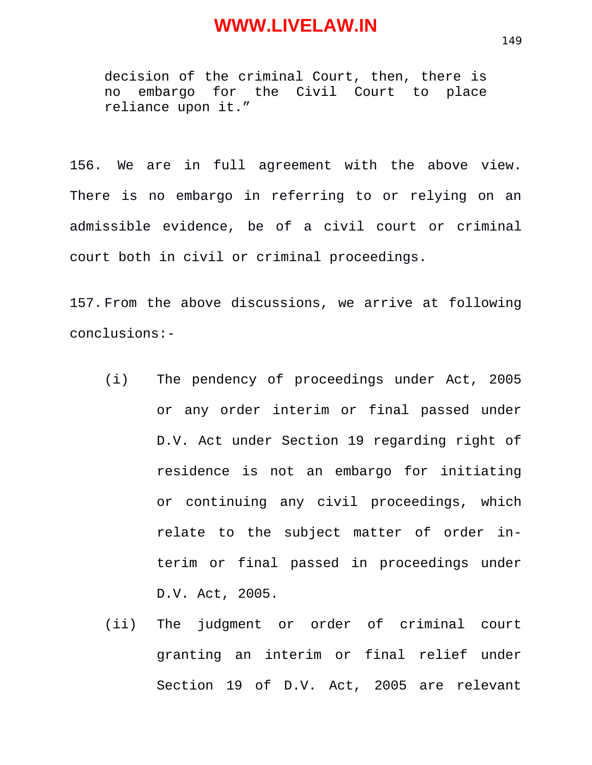decision of the criminal Court, then, there is no embargo for the Civil Court to place reliance upon it."

156. We are in full agreement with the above view. There is no embargo in referring to or relying on an admissible evidence, be of a civil court or criminal court both in civil or criminal proceedings.

157. From the above discussions, we arrive at following conclusions:-

- (i) The pendency of proceedings under Act, 2005 or any order interim or final passed under D.V. Act under Section 19 regarding right of residence is not an embargo for initiating or continuing any civil proceedings, which relate to the subject matter of order interim or final passed in proceedings under D.V. Act, 2005.
- (ii) The judgment or order of criminal court granting an interim or final relief under Section 19 of D.V. Act, 2005 are relevant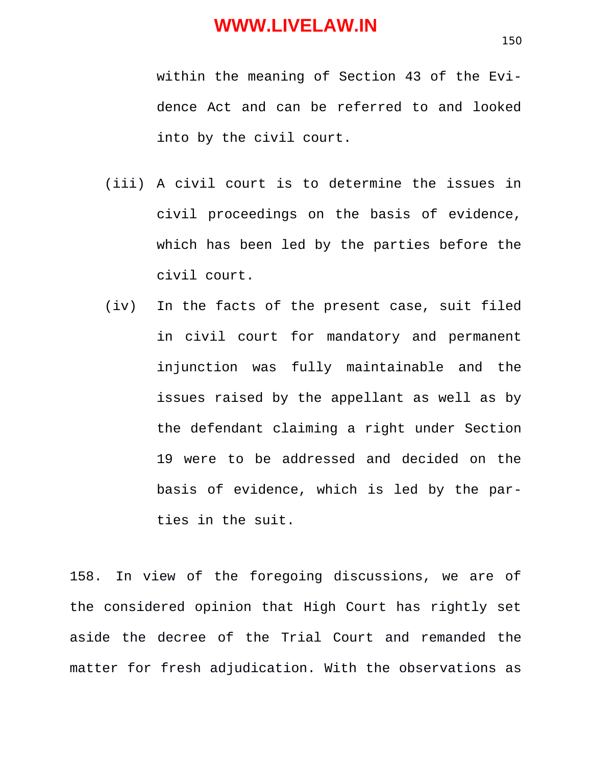within the meaning of Section 43 of the Evidence Act and can be referred to and looked into by the civil court.

- (iii) A civil court is to determine the issues in civil proceedings on the basis of evidence, which has been led by the parties before the civil court.
- (iv) In the facts of the present case, suit filed in civil court for mandatory and permanent injunction was fully maintainable and the issues raised by the appellant as well as by the defendant claiming a right under Section 19 were to be addressed and decided on the basis of evidence, which is led by the parties in the suit.

158. In view of the foregoing discussions, we are of the considered opinion that High Court has rightly set aside the decree of the Trial Court and remanded the matter for fresh adjudication. With the observations as